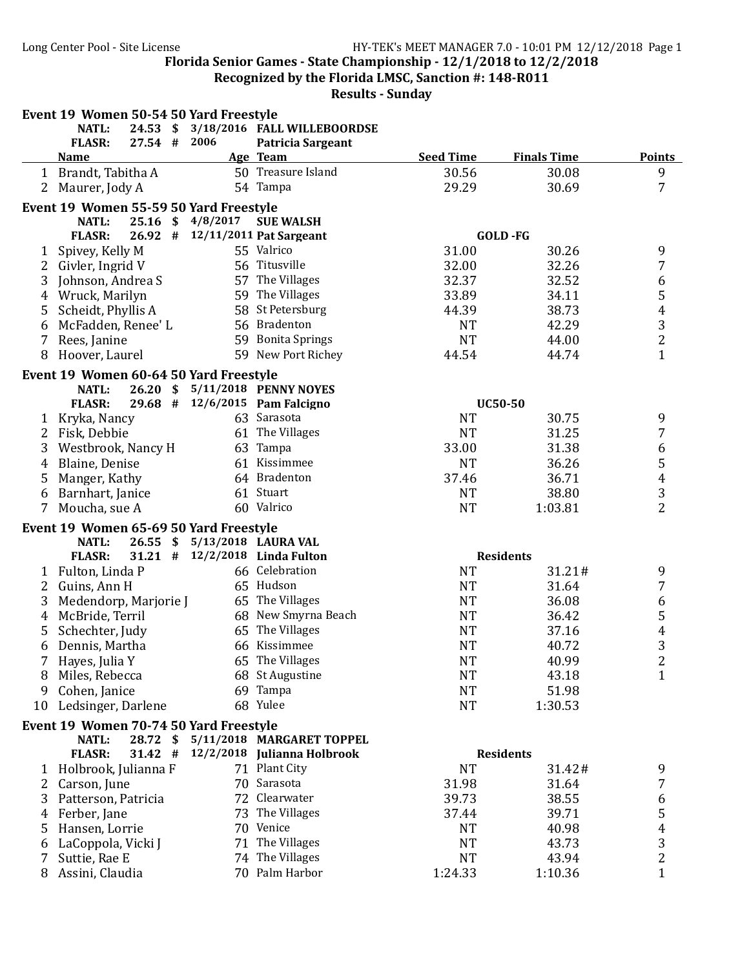**Recognized by the Florida LMSC, Sanction #: 148-R011** 

|                | Event 19 Women 50-54 50 Yard Freestyle                 |                         |                   |                                                          |                  |                    |                |
|----------------|--------------------------------------------------------|-------------------------|-------------------|----------------------------------------------------------|------------------|--------------------|----------------|
|                | NATL:                                                  | $24.53$ \$              |                   | 3/18/2016 FALL WILLEBOORDSE                              |                  |                    |                |
|                | <b>FLASR:</b>                                          | $27.54$ #               | 2006              | Patricia Sargeant                                        |                  |                    |                |
|                | <b>Name</b>                                            |                         |                   | Age Team                                                 | <b>Seed Time</b> | <b>Finals Time</b> | <b>Points</b>  |
|                | 1 Brandt, Tabitha A                                    |                         |                   | 50 Treasure Island                                       | 30.56            | 30.08              | 9              |
| $\overline{2}$ | Maurer, Jody A                                         |                         |                   | 54 Tampa                                                 | 29.29            | 30.69              | $\overline{7}$ |
|                | Event 19 Women 55-59 50 Yard Freestyle                 |                         |                   |                                                          |                  |                    |                |
|                | <b>NATL:</b>                                           |                         | 25.16 \$ 4/8/2017 | <b>SUE WALSH</b>                                         |                  |                    |                |
|                | <b>FLASR:</b>                                          | 26.92#                  |                   | 12/11/2011 Pat Sargeant                                  |                  | GOLD-FG            |                |
|                | 1 Spivey, Kelly M                                      |                         |                   | 55 Valrico                                               | 31.00            | 30.26              | 9              |
|                | 2 Givler, Ingrid V                                     |                         |                   | 56 Titusville                                            | 32.00            | 32.26              | $\overline{7}$ |
| 3              | Johnson, Andrea S                                      |                         |                   | 57 The Villages                                          | 32.37            | 32.52              | 6              |
| 4              | Wruck, Marilyn                                         |                         |                   | 59 The Villages                                          | 33.89            | 34.11              | 5              |
| 5              | Scheidt, Phyllis A                                     |                         |                   | 58 St Petersburg                                         | 44.39            | 38.73              | $\overline{4}$ |
| 6              | McFadden, Renee' L                                     |                         |                   | 56 Bradenton                                             | <b>NT</b>        | 42.29              | 3              |
| 7              | Rees, Janine                                           |                         |                   | 59 Bonita Springs                                        | <b>NT</b>        | 44.00              | $\overline{2}$ |
| 8              | Hoover, Laurel                                         |                         |                   | 59 New Port Richey                                       | 44.54            | 44.74              | $\overline{1}$ |
|                | Event 19 Women 60-64 50 Yard Freestyle                 |                         |                   |                                                          |                  |                    |                |
|                | <b>NATL:</b>                                           |                         |                   | 26.20 \$ 5/11/2018 PENNY NOYES                           |                  |                    |                |
|                | <b>FLASR:</b>                                          |                         |                   | 29.68 # 12/6/2015 Pam Falcigno                           |                  | <b>UC50-50</b>     |                |
| 1              | Kryka, Nancy                                           |                         |                   | 63 Sarasota                                              | <b>NT</b>        | 30.75              | 9              |
| 2              | Fisk, Debbie                                           |                         |                   | 61 The Villages                                          | <b>NT</b>        | 31.25              | 7              |
| 3              | Westbrook, Nancy H                                     |                         |                   | 63 Tampa                                                 | 33.00            | 31.38              | 6              |
| 4              | Blaine, Denise                                         |                         |                   | 61 Kissimmee                                             | <b>NT</b>        | 36.26              | 5              |
| 5              | Manger, Kathy                                          |                         |                   | 64 Bradenton                                             | 37.46            | 36.71              | $\overline{4}$ |
| 6              | Barnhart, Janice                                       |                         |                   | 61 Stuart                                                | <b>NT</b>        | 38.80              | 3              |
|                | 7 Moucha, sue A                                        |                         |                   | 60 Valrico                                               | <b>NT</b>        | 1:03.81            | $\overline{2}$ |
|                |                                                        |                         |                   |                                                          |                  |                    |                |
|                | Event 19 Women 65-69 50 Yard Freestyle<br><b>NATL:</b> | $26.55$ \$              |                   | 5/13/2018 LAURA VAL                                      |                  |                    |                |
|                | <b>FLASR:</b>                                          |                         |                   | 31.21 # 12/2/2018 Linda Fulton                           |                  | <b>Residents</b>   |                |
|                | 1 Fulton, Linda P                                      |                         |                   | 66 Celebration                                           | <b>NT</b>        | 31.21#             | 9              |
|                | 2 Guins, Ann H                                         |                         |                   | 65 Hudson                                                | <b>NT</b>        | 31.64              | 7              |
| 3              | Medendorp, Marjorie J                                  |                         |                   | 65 The Villages                                          | <b>NT</b>        | 36.08              | 6              |
| 4              | McBride, Terril                                        |                         |                   | 68 New Smyrna Beach                                      | <b>NT</b>        | 36.42              | 5              |
| 5              | Schechter, Judy                                        |                         |                   | 65 The Villages                                          | <b>NT</b>        | 37.16              | 4              |
| 6              | Dennis, Martha                                         |                         |                   | 66 Kissimmee                                             | <b>NT</b>        | 40.72              | 3              |
|                | Hayes, Julia Y                                         |                         |                   | 65 The Villages                                          | NT               | 40.99              | 2              |
| 8              | Miles, Rebecca                                         |                         |                   | 68 St Augustine                                          | <b>NT</b>        | 43.18              | $\mathbf{1}$   |
| 9              | Cohen, Janice                                          |                         |                   | 69 Tampa                                                 | <b>NT</b>        | 51.98              |                |
| 10             | Ledsinger, Darlene                                     |                         |                   | 68 Yulee                                                 | <b>NT</b>        | 1:30.53            |                |
|                |                                                        |                         |                   |                                                          |                  |                    |                |
|                | Event 19 Women 70-74 50 Yard Freestyle                 |                         |                   |                                                          |                  |                    |                |
|                | <b>NATL:</b><br><b>FLASR:</b>                          | $28.72$ \$<br>$31.42$ # |                   | 5/11/2018 MARGARET TOPPEL<br>12/2/2018 Julianna Holbrook |                  | <b>Residents</b>   |                |
|                |                                                        |                         |                   | 71 Plant City                                            | <b>NT</b>        |                    |                |
|                | 1 Holbrook, Julianna F                                 |                         |                   | 70 Sarasota                                              |                  | 31.42#<br>31.64    | 9              |
| 2              | Carson, June                                           |                         |                   | 72 Clearwater                                            | 31.98<br>39.73   |                    | 7              |
| 3              | Patterson, Patricia                                    |                         |                   | 73 The Villages                                          |                  | 38.55              | 6              |
| 4              | Ferber, Jane                                           |                         |                   | 70 Venice                                                | 37.44            | 39.71              | 5              |
| 5.             | Hansen, Lorrie                                         |                         |                   |                                                          | <b>NT</b>        | 40.98              | 4              |
| 6              | LaCoppola, Vicki J                                     |                         |                   | 71 The Villages<br>74 The Villages                       | <b>NT</b>        | 43.73              | 3              |
| 7              | Suttie, Rae E                                          |                         |                   | 70 Palm Harbor                                           | <b>NT</b>        | 43.94              | $\overline{c}$ |
|                | 8 Assini, Claudia                                      |                         |                   |                                                          | 1:24.33          | 1:10.36            | $\mathbf{1}$   |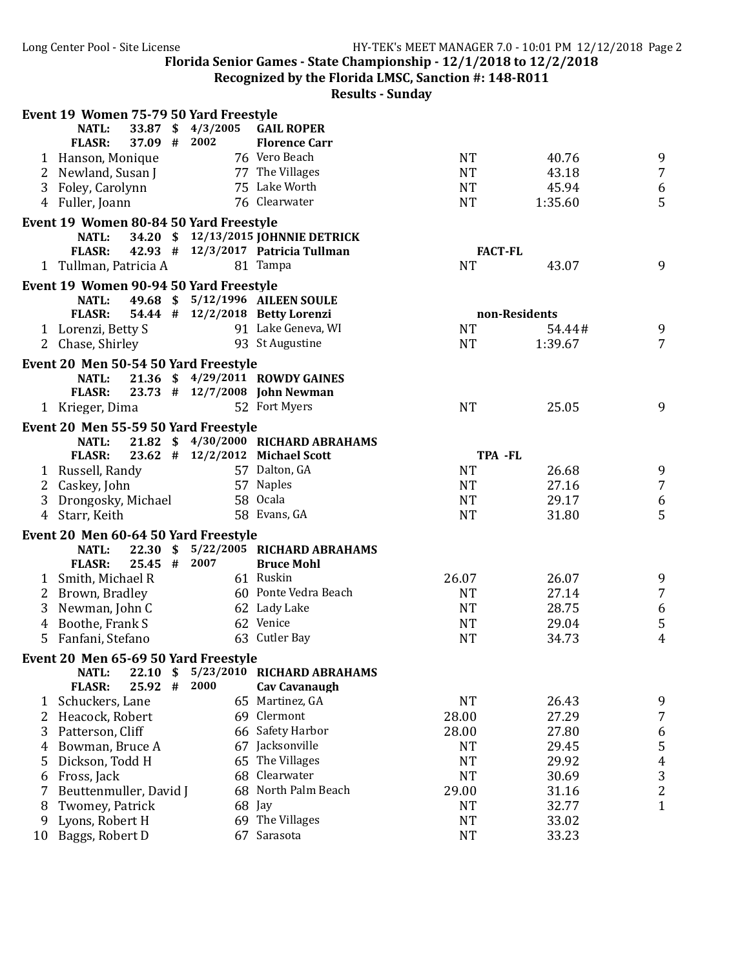**Recognized by the Florida LMSC, Sanction #: 148-R011** 

| 33.87 \$4/3/2005<br><b>NATL:</b><br>37.09 # 2002<br><b>FLASR:</b><br><b>Florence Carr</b><br>76 Vero Beach<br><b>NT</b><br>9<br>40.76<br>1 Hanson, Monique<br>$\overline{7}$<br>77 The Villages<br><b>NT</b><br>2 Newland, Susan J<br>43.18<br>75 Lake Worth<br>45.94<br>3 Foley, Carolynn<br><b>NT</b><br>6<br>5<br>76 Clearwater<br>4 Fuller, Joann<br><b>NT</b><br>1:35.60<br>Event 19 Women 80-84 50 Yard Freestyle<br>34.20 \$12/13/2015 JOHNNIE DETRICK<br>NATL:<br>42.93 # 12/3/2017 Patricia Tullman<br><b>FACT-FL</b><br><b>FLASR:</b><br><b>NT</b><br>9<br>1 Tullman, Patricia A<br>81 Tampa<br>43.07<br>Event 19 Women 90-94 50 Yard Freestyle<br>49.68 \$ 5/12/1996 AILEEN SOULE<br><b>NATL:</b><br>54.44 # 12/2/2018 Betty Lorenzi<br><b>FLASR:</b><br>non-Residents<br>91 Lake Geneva, WI<br><b>NT</b><br>9<br>1 Lorenzi, Betty S<br>54.44#<br>93 St Augustine<br>2 Chase, Shirley<br>1:39.67<br>$\overline{7}$<br><b>NT</b><br>Event 20 Men 50-54 50 Yard Freestyle<br>21.36 \$4/29/2011 ROWDY GAINES<br><b>NATL:</b><br>23.73 # 12/7/2008 John Newman<br><b>FLASR:</b><br>52 Fort Myers<br><b>NT</b><br>9<br>1 Krieger, Dima<br>25.05<br>Event 20 Men 55-59 50 Yard Freestyle<br>21.82 \$4/30/2000 RICHARD ABRAHAMS<br>NATL:<br><b>FLASR:</b><br>23.62 # 12/2/2012 Michael Scott<br>TPA -FL<br>57 Dalton, GA<br><b>NT</b><br>9<br>1 Russell, Randy<br>26.68<br>$\overline{7}$<br>57 Naples<br><b>NT</b><br>Caskey, John<br>27.16<br>2<br>$\boldsymbol{6}$<br>58 Ocala<br><b>NT</b><br>29.17<br>3<br>Drongosky, Michael<br>5<br><b>NT</b><br>4 Starr, Keith<br>58 Evans, GA<br>31.80<br>Event 20 Men 60-64 50 Yard Freestyle<br>22.30 \$ 5/22/2005 RICHARD ABRAHAMS<br><b>NATL:</b><br>25.45 # 2007<br><b>FLASR:</b><br><b>Bruce Mohl</b><br>61 Ruskin<br>26.07<br>26.07<br>1 Smith, Michael R<br>9<br>$\overline{7}$<br>60 Ponte Vedra Beach<br><b>NT</b><br>27.14<br>2 Brown, Bradley<br>$\boldsymbol{6}$<br>62 Lady Lake<br>Newman, John C<br><b>NT</b><br>28.75<br>3<br>$\mathsf S$<br>Boothe, Frank S<br>62 Venice<br><b>NT</b><br>29.04<br>4<br>$\overline{4}$<br>63 Cutler Bay<br>Fanfani, Stefano<br><b>NT</b><br>34.73<br>5<br>Event 20 Men 65-69 50 Yard Freestyle<br>5/23/2010 RICHARD ABRAHAMS<br>$22.10 \text{ }$<br>NATL:<br><b>FLASR:</b><br>2000<br>25.92#<br><b>Cav Cavanaugh</b><br>65 Martinez, GA<br><b>NT</b><br>9<br>Schuckers, Lane<br>26.43<br>1<br>69 Clermont<br>28.00<br>27.29<br>7<br>Heacock, Robert<br>2<br>66 Safety Harbor<br>3<br>Patterson, Cliff<br>28.00<br>27.80<br>6<br>5<br>67 Jacksonville<br>Bowman, Bruce A<br><b>NT</b><br>29.45<br>4<br>65 The Villages<br><b>NT</b><br>29.92<br>$\overline{4}$<br>Dickson, Todd H<br>5<br>3<br>68 Clearwater<br><b>NT</b><br>30.69<br>Fross, Jack<br>6<br>68 North Palm Beach<br>$\overline{c}$<br>Beuttenmuller, David J<br>29.00<br>31.16<br>7<br>$\mathbf{1}$<br>Twomey, Patrick<br>68 Jay<br><b>NT</b><br>32.77<br>8<br>69 The Villages<br>Lyons, Robert H<br><b>NT</b><br>33.02<br>9<br>Baggs, Robert D<br>67 Sarasota<br><b>NT</b><br>33.23<br>10 | Event 19 Women 75-79 50 Yard Freestyle |  |                   |  |  |
|-----------------------------------------------------------------------------------------------------------------------------------------------------------------------------------------------------------------------------------------------------------------------------------------------------------------------------------------------------------------------------------------------------------------------------------------------------------------------------------------------------------------------------------------------------------------------------------------------------------------------------------------------------------------------------------------------------------------------------------------------------------------------------------------------------------------------------------------------------------------------------------------------------------------------------------------------------------------------------------------------------------------------------------------------------------------------------------------------------------------------------------------------------------------------------------------------------------------------------------------------------------------------------------------------------------------------------------------------------------------------------------------------------------------------------------------------------------------------------------------------------------------------------------------------------------------------------------------------------------------------------------------------------------------------------------------------------------------------------------------------------------------------------------------------------------------------------------------------------------------------------------------------------------------------------------------------------------------------------------------------------------------------------------------------------------------------------------------------------------------------------------------------------------------------------------------------------------------------------------------------------------------------------------------------------------------------------------------------------------------------------------------------------------------------------------------------------------------------------------------------------------------------------------------------------------------------------------------------------------------------------------------------------------------------------------------------------------------------------------------------------------------------------------------------------------------------------------------------------------------------------------------------------------------------------------------------------------------------------------------------------------------------------------------------------|----------------------------------------|--|-------------------|--|--|
|                                                                                                                                                                                                                                                                                                                                                                                                                                                                                                                                                                                                                                                                                                                                                                                                                                                                                                                                                                                                                                                                                                                                                                                                                                                                                                                                                                                                                                                                                                                                                                                                                                                                                                                                                                                                                                                                                                                                                                                                                                                                                                                                                                                                                                                                                                                                                                                                                                                                                                                                                                                                                                                                                                                                                                                                                                                                                                                                                                                                                                                     |                                        |  | <b>GAIL ROPER</b> |  |  |
|                                                                                                                                                                                                                                                                                                                                                                                                                                                                                                                                                                                                                                                                                                                                                                                                                                                                                                                                                                                                                                                                                                                                                                                                                                                                                                                                                                                                                                                                                                                                                                                                                                                                                                                                                                                                                                                                                                                                                                                                                                                                                                                                                                                                                                                                                                                                                                                                                                                                                                                                                                                                                                                                                                                                                                                                                                                                                                                                                                                                                                                     |                                        |  |                   |  |  |
|                                                                                                                                                                                                                                                                                                                                                                                                                                                                                                                                                                                                                                                                                                                                                                                                                                                                                                                                                                                                                                                                                                                                                                                                                                                                                                                                                                                                                                                                                                                                                                                                                                                                                                                                                                                                                                                                                                                                                                                                                                                                                                                                                                                                                                                                                                                                                                                                                                                                                                                                                                                                                                                                                                                                                                                                                                                                                                                                                                                                                                                     |                                        |  |                   |  |  |
|                                                                                                                                                                                                                                                                                                                                                                                                                                                                                                                                                                                                                                                                                                                                                                                                                                                                                                                                                                                                                                                                                                                                                                                                                                                                                                                                                                                                                                                                                                                                                                                                                                                                                                                                                                                                                                                                                                                                                                                                                                                                                                                                                                                                                                                                                                                                                                                                                                                                                                                                                                                                                                                                                                                                                                                                                                                                                                                                                                                                                                                     |                                        |  |                   |  |  |
|                                                                                                                                                                                                                                                                                                                                                                                                                                                                                                                                                                                                                                                                                                                                                                                                                                                                                                                                                                                                                                                                                                                                                                                                                                                                                                                                                                                                                                                                                                                                                                                                                                                                                                                                                                                                                                                                                                                                                                                                                                                                                                                                                                                                                                                                                                                                                                                                                                                                                                                                                                                                                                                                                                                                                                                                                                                                                                                                                                                                                                                     |                                        |  |                   |  |  |
|                                                                                                                                                                                                                                                                                                                                                                                                                                                                                                                                                                                                                                                                                                                                                                                                                                                                                                                                                                                                                                                                                                                                                                                                                                                                                                                                                                                                                                                                                                                                                                                                                                                                                                                                                                                                                                                                                                                                                                                                                                                                                                                                                                                                                                                                                                                                                                                                                                                                                                                                                                                                                                                                                                                                                                                                                                                                                                                                                                                                                                                     |                                        |  |                   |  |  |
|                                                                                                                                                                                                                                                                                                                                                                                                                                                                                                                                                                                                                                                                                                                                                                                                                                                                                                                                                                                                                                                                                                                                                                                                                                                                                                                                                                                                                                                                                                                                                                                                                                                                                                                                                                                                                                                                                                                                                                                                                                                                                                                                                                                                                                                                                                                                                                                                                                                                                                                                                                                                                                                                                                                                                                                                                                                                                                                                                                                                                                                     |                                        |  |                   |  |  |
|                                                                                                                                                                                                                                                                                                                                                                                                                                                                                                                                                                                                                                                                                                                                                                                                                                                                                                                                                                                                                                                                                                                                                                                                                                                                                                                                                                                                                                                                                                                                                                                                                                                                                                                                                                                                                                                                                                                                                                                                                                                                                                                                                                                                                                                                                                                                                                                                                                                                                                                                                                                                                                                                                                                                                                                                                                                                                                                                                                                                                                                     |                                        |  |                   |  |  |
|                                                                                                                                                                                                                                                                                                                                                                                                                                                                                                                                                                                                                                                                                                                                                                                                                                                                                                                                                                                                                                                                                                                                                                                                                                                                                                                                                                                                                                                                                                                                                                                                                                                                                                                                                                                                                                                                                                                                                                                                                                                                                                                                                                                                                                                                                                                                                                                                                                                                                                                                                                                                                                                                                                                                                                                                                                                                                                                                                                                                                                                     |                                        |  |                   |  |  |
|                                                                                                                                                                                                                                                                                                                                                                                                                                                                                                                                                                                                                                                                                                                                                                                                                                                                                                                                                                                                                                                                                                                                                                                                                                                                                                                                                                                                                                                                                                                                                                                                                                                                                                                                                                                                                                                                                                                                                                                                                                                                                                                                                                                                                                                                                                                                                                                                                                                                                                                                                                                                                                                                                                                                                                                                                                                                                                                                                                                                                                                     |                                        |  |                   |  |  |
|                                                                                                                                                                                                                                                                                                                                                                                                                                                                                                                                                                                                                                                                                                                                                                                                                                                                                                                                                                                                                                                                                                                                                                                                                                                                                                                                                                                                                                                                                                                                                                                                                                                                                                                                                                                                                                                                                                                                                                                                                                                                                                                                                                                                                                                                                                                                                                                                                                                                                                                                                                                                                                                                                                                                                                                                                                                                                                                                                                                                                                                     |                                        |  |                   |  |  |
|                                                                                                                                                                                                                                                                                                                                                                                                                                                                                                                                                                                                                                                                                                                                                                                                                                                                                                                                                                                                                                                                                                                                                                                                                                                                                                                                                                                                                                                                                                                                                                                                                                                                                                                                                                                                                                                                                                                                                                                                                                                                                                                                                                                                                                                                                                                                                                                                                                                                                                                                                                                                                                                                                                                                                                                                                                                                                                                                                                                                                                                     |                                        |  |                   |  |  |
|                                                                                                                                                                                                                                                                                                                                                                                                                                                                                                                                                                                                                                                                                                                                                                                                                                                                                                                                                                                                                                                                                                                                                                                                                                                                                                                                                                                                                                                                                                                                                                                                                                                                                                                                                                                                                                                                                                                                                                                                                                                                                                                                                                                                                                                                                                                                                                                                                                                                                                                                                                                                                                                                                                                                                                                                                                                                                                                                                                                                                                                     |                                        |  |                   |  |  |
|                                                                                                                                                                                                                                                                                                                                                                                                                                                                                                                                                                                                                                                                                                                                                                                                                                                                                                                                                                                                                                                                                                                                                                                                                                                                                                                                                                                                                                                                                                                                                                                                                                                                                                                                                                                                                                                                                                                                                                                                                                                                                                                                                                                                                                                                                                                                                                                                                                                                                                                                                                                                                                                                                                                                                                                                                                                                                                                                                                                                                                                     |                                        |  |                   |  |  |
|                                                                                                                                                                                                                                                                                                                                                                                                                                                                                                                                                                                                                                                                                                                                                                                                                                                                                                                                                                                                                                                                                                                                                                                                                                                                                                                                                                                                                                                                                                                                                                                                                                                                                                                                                                                                                                                                                                                                                                                                                                                                                                                                                                                                                                                                                                                                                                                                                                                                                                                                                                                                                                                                                                                                                                                                                                                                                                                                                                                                                                                     |                                        |  |                   |  |  |
|                                                                                                                                                                                                                                                                                                                                                                                                                                                                                                                                                                                                                                                                                                                                                                                                                                                                                                                                                                                                                                                                                                                                                                                                                                                                                                                                                                                                                                                                                                                                                                                                                                                                                                                                                                                                                                                                                                                                                                                                                                                                                                                                                                                                                                                                                                                                                                                                                                                                                                                                                                                                                                                                                                                                                                                                                                                                                                                                                                                                                                                     |                                        |  |                   |  |  |
|                                                                                                                                                                                                                                                                                                                                                                                                                                                                                                                                                                                                                                                                                                                                                                                                                                                                                                                                                                                                                                                                                                                                                                                                                                                                                                                                                                                                                                                                                                                                                                                                                                                                                                                                                                                                                                                                                                                                                                                                                                                                                                                                                                                                                                                                                                                                                                                                                                                                                                                                                                                                                                                                                                                                                                                                                                                                                                                                                                                                                                                     |                                        |  |                   |  |  |
|                                                                                                                                                                                                                                                                                                                                                                                                                                                                                                                                                                                                                                                                                                                                                                                                                                                                                                                                                                                                                                                                                                                                                                                                                                                                                                                                                                                                                                                                                                                                                                                                                                                                                                                                                                                                                                                                                                                                                                                                                                                                                                                                                                                                                                                                                                                                                                                                                                                                                                                                                                                                                                                                                                                                                                                                                                                                                                                                                                                                                                                     |                                        |  |                   |  |  |
|                                                                                                                                                                                                                                                                                                                                                                                                                                                                                                                                                                                                                                                                                                                                                                                                                                                                                                                                                                                                                                                                                                                                                                                                                                                                                                                                                                                                                                                                                                                                                                                                                                                                                                                                                                                                                                                                                                                                                                                                                                                                                                                                                                                                                                                                                                                                                                                                                                                                                                                                                                                                                                                                                                                                                                                                                                                                                                                                                                                                                                                     |                                        |  |                   |  |  |
|                                                                                                                                                                                                                                                                                                                                                                                                                                                                                                                                                                                                                                                                                                                                                                                                                                                                                                                                                                                                                                                                                                                                                                                                                                                                                                                                                                                                                                                                                                                                                                                                                                                                                                                                                                                                                                                                                                                                                                                                                                                                                                                                                                                                                                                                                                                                                                                                                                                                                                                                                                                                                                                                                                                                                                                                                                                                                                                                                                                                                                                     |                                        |  |                   |  |  |
|                                                                                                                                                                                                                                                                                                                                                                                                                                                                                                                                                                                                                                                                                                                                                                                                                                                                                                                                                                                                                                                                                                                                                                                                                                                                                                                                                                                                                                                                                                                                                                                                                                                                                                                                                                                                                                                                                                                                                                                                                                                                                                                                                                                                                                                                                                                                                                                                                                                                                                                                                                                                                                                                                                                                                                                                                                                                                                                                                                                                                                                     |                                        |  |                   |  |  |
|                                                                                                                                                                                                                                                                                                                                                                                                                                                                                                                                                                                                                                                                                                                                                                                                                                                                                                                                                                                                                                                                                                                                                                                                                                                                                                                                                                                                                                                                                                                                                                                                                                                                                                                                                                                                                                                                                                                                                                                                                                                                                                                                                                                                                                                                                                                                                                                                                                                                                                                                                                                                                                                                                                                                                                                                                                                                                                                                                                                                                                                     |                                        |  |                   |  |  |
|                                                                                                                                                                                                                                                                                                                                                                                                                                                                                                                                                                                                                                                                                                                                                                                                                                                                                                                                                                                                                                                                                                                                                                                                                                                                                                                                                                                                                                                                                                                                                                                                                                                                                                                                                                                                                                                                                                                                                                                                                                                                                                                                                                                                                                                                                                                                                                                                                                                                                                                                                                                                                                                                                                                                                                                                                                                                                                                                                                                                                                                     |                                        |  |                   |  |  |
|                                                                                                                                                                                                                                                                                                                                                                                                                                                                                                                                                                                                                                                                                                                                                                                                                                                                                                                                                                                                                                                                                                                                                                                                                                                                                                                                                                                                                                                                                                                                                                                                                                                                                                                                                                                                                                                                                                                                                                                                                                                                                                                                                                                                                                                                                                                                                                                                                                                                                                                                                                                                                                                                                                                                                                                                                                                                                                                                                                                                                                                     |                                        |  |                   |  |  |
|                                                                                                                                                                                                                                                                                                                                                                                                                                                                                                                                                                                                                                                                                                                                                                                                                                                                                                                                                                                                                                                                                                                                                                                                                                                                                                                                                                                                                                                                                                                                                                                                                                                                                                                                                                                                                                                                                                                                                                                                                                                                                                                                                                                                                                                                                                                                                                                                                                                                                                                                                                                                                                                                                                                                                                                                                                                                                                                                                                                                                                                     |                                        |  |                   |  |  |
|                                                                                                                                                                                                                                                                                                                                                                                                                                                                                                                                                                                                                                                                                                                                                                                                                                                                                                                                                                                                                                                                                                                                                                                                                                                                                                                                                                                                                                                                                                                                                                                                                                                                                                                                                                                                                                                                                                                                                                                                                                                                                                                                                                                                                                                                                                                                                                                                                                                                                                                                                                                                                                                                                                                                                                                                                                                                                                                                                                                                                                                     |                                        |  |                   |  |  |
|                                                                                                                                                                                                                                                                                                                                                                                                                                                                                                                                                                                                                                                                                                                                                                                                                                                                                                                                                                                                                                                                                                                                                                                                                                                                                                                                                                                                                                                                                                                                                                                                                                                                                                                                                                                                                                                                                                                                                                                                                                                                                                                                                                                                                                                                                                                                                                                                                                                                                                                                                                                                                                                                                                                                                                                                                                                                                                                                                                                                                                                     |                                        |  |                   |  |  |
|                                                                                                                                                                                                                                                                                                                                                                                                                                                                                                                                                                                                                                                                                                                                                                                                                                                                                                                                                                                                                                                                                                                                                                                                                                                                                                                                                                                                                                                                                                                                                                                                                                                                                                                                                                                                                                                                                                                                                                                                                                                                                                                                                                                                                                                                                                                                                                                                                                                                                                                                                                                                                                                                                                                                                                                                                                                                                                                                                                                                                                                     |                                        |  |                   |  |  |
|                                                                                                                                                                                                                                                                                                                                                                                                                                                                                                                                                                                                                                                                                                                                                                                                                                                                                                                                                                                                                                                                                                                                                                                                                                                                                                                                                                                                                                                                                                                                                                                                                                                                                                                                                                                                                                                                                                                                                                                                                                                                                                                                                                                                                                                                                                                                                                                                                                                                                                                                                                                                                                                                                                                                                                                                                                                                                                                                                                                                                                                     |                                        |  |                   |  |  |
|                                                                                                                                                                                                                                                                                                                                                                                                                                                                                                                                                                                                                                                                                                                                                                                                                                                                                                                                                                                                                                                                                                                                                                                                                                                                                                                                                                                                                                                                                                                                                                                                                                                                                                                                                                                                                                                                                                                                                                                                                                                                                                                                                                                                                                                                                                                                                                                                                                                                                                                                                                                                                                                                                                                                                                                                                                                                                                                                                                                                                                                     |                                        |  |                   |  |  |
|                                                                                                                                                                                                                                                                                                                                                                                                                                                                                                                                                                                                                                                                                                                                                                                                                                                                                                                                                                                                                                                                                                                                                                                                                                                                                                                                                                                                                                                                                                                                                                                                                                                                                                                                                                                                                                                                                                                                                                                                                                                                                                                                                                                                                                                                                                                                                                                                                                                                                                                                                                                                                                                                                                                                                                                                                                                                                                                                                                                                                                                     |                                        |  |                   |  |  |
|                                                                                                                                                                                                                                                                                                                                                                                                                                                                                                                                                                                                                                                                                                                                                                                                                                                                                                                                                                                                                                                                                                                                                                                                                                                                                                                                                                                                                                                                                                                                                                                                                                                                                                                                                                                                                                                                                                                                                                                                                                                                                                                                                                                                                                                                                                                                                                                                                                                                                                                                                                                                                                                                                                                                                                                                                                                                                                                                                                                                                                                     |                                        |  |                   |  |  |
|                                                                                                                                                                                                                                                                                                                                                                                                                                                                                                                                                                                                                                                                                                                                                                                                                                                                                                                                                                                                                                                                                                                                                                                                                                                                                                                                                                                                                                                                                                                                                                                                                                                                                                                                                                                                                                                                                                                                                                                                                                                                                                                                                                                                                                                                                                                                                                                                                                                                                                                                                                                                                                                                                                                                                                                                                                                                                                                                                                                                                                                     |                                        |  |                   |  |  |
|                                                                                                                                                                                                                                                                                                                                                                                                                                                                                                                                                                                                                                                                                                                                                                                                                                                                                                                                                                                                                                                                                                                                                                                                                                                                                                                                                                                                                                                                                                                                                                                                                                                                                                                                                                                                                                                                                                                                                                                                                                                                                                                                                                                                                                                                                                                                                                                                                                                                                                                                                                                                                                                                                                                                                                                                                                                                                                                                                                                                                                                     |                                        |  |                   |  |  |
|                                                                                                                                                                                                                                                                                                                                                                                                                                                                                                                                                                                                                                                                                                                                                                                                                                                                                                                                                                                                                                                                                                                                                                                                                                                                                                                                                                                                                                                                                                                                                                                                                                                                                                                                                                                                                                                                                                                                                                                                                                                                                                                                                                                                                                                                                                                                                                                                                                                                                                                                                                                                                                                                                                                                                                                                                                                                                                                                                                                                                                                     |                                        |  |                   |  |  |
|                                                                                                                                                                                                                                                                                                                                                                                                                                                                                                                                                                                                                                                                                                                                                                                                                                                                                                                                                                                                                                                                                                                                                                                                                                                                                                                                                                                                                                                                                                                                                                                                                                                                                                                                                                                                                                                                                                                                                                                                                                                                                                                                                                                                                                                                                                                                                                                                                                                                                                                                                                                                                                                                                                                                                                                                                                                                                                                                                                                                                                                     |                                        |  |                   |  |  |
|                                                                                                                                                                                                                                                                                                                                                                                                                                                                                                                                                                                                                                                                                                                                                                                                                                                                                                                                                                                                                                                                                                                                                                                                                                                                                                                                                                                                                                                                                                                                                                                                                                                                                                                                                                                                                                                                                                                                                                                                                                                                                                                                                                                                                                                                                                                                                                                                                                                                                                                                                                                                                                                                                                                                                                                                                                                                                                                                                                                                                                                     |                                        |  |                   |  |  |
|                                                                                                                                                                                                                                                                                                                                                                                                                                                                                                                                                                                                                                                                                                                                                                                                                                                                                                                                                                                                                                                                                                                                                                                                                                                                                                                                                                                                                                                                                                                                                                                                                                                                                                                                                                                                                                                                                                                                                                                                                                                                                                                                                                                                                                                                                                                                                                                                                                                                                                                                                                                                                                                                                                                                                                                                                                                                                                                                                                                                                                                     |                                        |  |                   |  |  |
|                                                                                                                                                                                                                                                                                                                                                                                                                                                                                                                                                                                                                                                                                                                                                                                                                                                                                                                                                                                                                                                                                                                                                                                                                                                                                                                                                                                                                                                                                                                                                                                                                                                                                                                                                                                                                                                                                                                                                                                                                                                                                                                                                                                                                                                                                                                                                                                                                                                                                                                                                                                                                                                                                                                                                                                                                                                                                                                                                                                                                                                     |                                        |  |                   |  |  |
|                                                                                                                                                                                                                                                                                                                                                                                                                                                                                                                                                                                                                                                                                                                                                                                                                                                                                                                                                                                                                                                                                                                                                                                                                                                                                                                                                                                                                                                                                                                                                                                                                                                                                                                                                                                                                                                                                                                                                                                                                                                                                                                                                                                                                                                                                                                                                                                                                                                                                                                                                                                                                                                                                                                                                                                                                                                                                                                                                                                                                                                     |                                        |  |                   |  |  |
|                                                                                                                                                                                                                                                                                                                                                                                                                                                                                                                                                                                                                                                                                                                                                                                                                                                                                                                                                                                                                                                                                                                                                                                                                                                                                                                                                                                                                                                                                                                                                                                                                                                                                                                                                                                                                                                                                                                                                                                                                                                                                                                                                                                                                                                                                                                                                                                                                                                                                                                                                                                                                                                                                                                                                                                                                                                                                                                                                                                                                                                     |                                        |  |                   |  |  |
|                                                                                                                                                                                                                                                                                                                                                                                                                                                                                                                                                                                                                                                                                                                                                                                                                                                                                                                                                                                                                                                                                                                                                                                                                                                                                                                                                                                                                                                                                                                                                                                                                                                                                                                                                                                                                                                                                                                                                                                                                                                                                                                                                                                                                                                                                                                                                                                                                                                                                                                                                                                                                                                                                                                                                                                                                                                                                                                                                                                                                                                     |                                        |  |                   |  |  |
|                                                                                                                                                                                                                                                                                                                                                                                                                                                                                                                                                                                                                                                                                                                                                                                                                                                                                                                                                                                                                                                                                                                                                                                                                                                                                                                                                                                                                                                                                                                                                                                                                                                                                                                                                                                                                                                                                                                                                                                                                                                                                                                                                                                                                                                                                                                                                                                                                                                                                                                                                                                                                                                                                                                                                                                                                                                                                                                                                                                                                                                     |                                        |  |                   |  |  |
|                                                                                                                                                                                                                                                                                                                                                                                                                                                                                                                                                                                                                                                                                                                                                                                                                                                                                                                                                                                                                                                                                                                                                                                                                                                                                                                                                                                                                                                                                                                                                                                                                                                                                                                                                                                                                                                                                                                                                                                                                                                                                                                                                                                                                                                                                                                                                                                                                                                                                                                                                                                                                                                                                                                                                                                                                                                                                                                                                                                                                                                     |                                        |  |                   |  |  |
|                                                                                                                                                                                                                                                                                                                                                                                                                                                                                                                                                                                                                                                                                                                                                                                                                                                                                                                                                                                                                                                                                                                                                                                                                                                                                                                                                                                                                                                                                                                                                                                                                                                                                                                                                                                                                                                                                                                                                                                                                                                                                                                                                                                                                                                                                                                                                                                                                                                                                                                                                                                                                                                                                                                                                                                                                                                                                                                                                                                                                                                     |                                        |  |                   |  |  |
|                                                                                                                                                                                                                                                                                                                                                                                                                                                                                                                                                                                                                                                                                                                                                                                                                                                                                                                                                                                                                                                                                                                                                                                                                                                                                                                                                                                                                                                                                                                                                                                                                                                                                                                                                                                                                                                                                                                                                                                                                                                                                                                                                                                                                                                                                                                                                                                                                                                                                                                                                                                                                                                                                                                                                                                                                                                                                                                                                                                                                                                     |                                        |  |                   |  |  |
|                                                                                                                                                                                                                                                                                                                                                                                                                                                                                                                                                                                                                                                                                                                                                                                                                                                                                                                                                                                                                                                                                                                                                                                                                                                                                                                                                                                                                                                                                                                                                                                                                                                                                                                                                                                                                                                                                                                                                                                                                                                                                                                                                                                                                                                                                                                                                                                                                                                                                                                                                                                                                                                                                                                                                                                                                                                                                                                                                                                                                                                     |                                        |  |                   |  |  |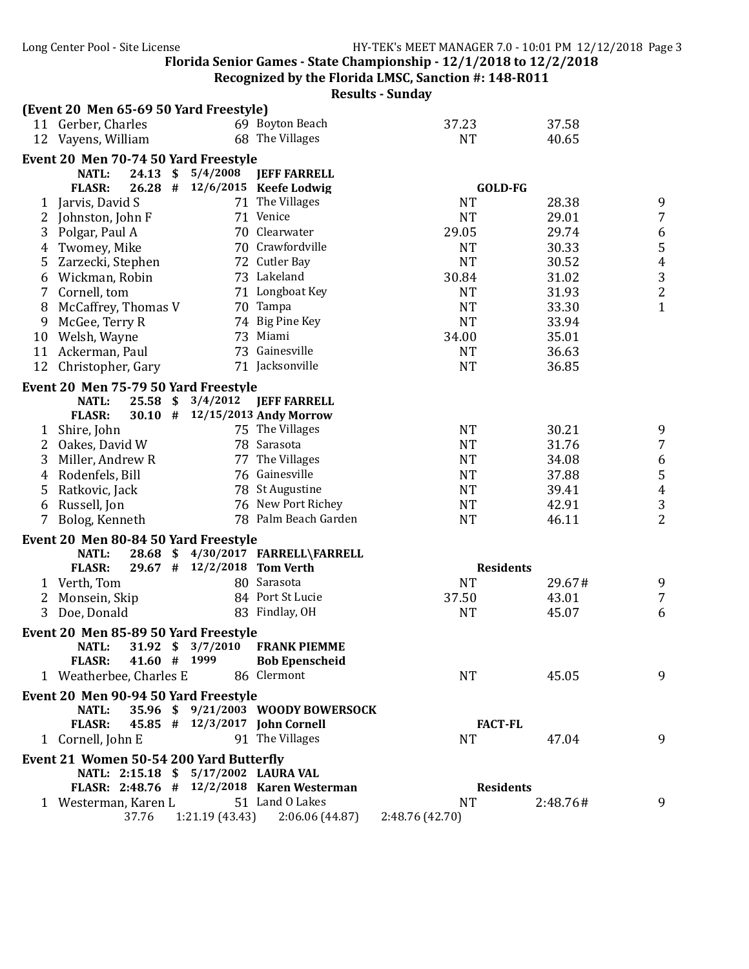Recognized by the Florida LMSC, Sanction #: 148-R011

|              | (Event 20 Men 65-69 50 Yard Freestyle)        |                             |                                            |                  |          |                                            |
|--------------|-----------------------------------------------|-----------------------------|--------------------------------------------|------------------|----------|--------------------------------------------|
|              | 11 Gerber, Charles                            |                             | 69 Boyton Beach                            | 37.23            | 37.58    |                                            |
|              | 12 Vayens, William                            |                             | 68 The Villages                            | <b>NT</b>        | 40.65    |                                            |
|              | Event 20 Men 70-74 50 Yard Freestyle          |                             |                                            |                  |          |                                            |
|              | NATL:                                         | 24.13 \$ 5/4/2008           | <b>JEFF FARRELL</b>                        |                  |          |                                            |
|              | <b>FLASR:</b>                                 |                             | 26.28 # 12/6/2015 Keefe Lodwig             | <b>GOLD-FG</b>   |          |                                            |
| $\mathbf{1}$ | Jarvis, David S                               |                             | 71 The Villages                            | <b>NT</b>        | 28.38    | 9                                          |
| 2            | Johnston, John F                              |                             | 71 Venice                                  | <b>NT</b>        | 29.01    | $\boldsymbol{7}$                           |
| 3            | Polgar, Paul A                                |                             | 70 Clearwater                              | 29.05            | 29.74    | $\frac{6}{5}$                              |
| 4            | Twomey, Mike                                  |                             | 70 Crawfordville                           | <b>NT</b>        | 30.33    |                                            |
| 5            | Zarzecki, Stephen                             |                             | 72 Cutler Bay                              | <b>NT</b>        | 30.52    | $\overline{4}$                             |
| 6            | Wickman, Robin                                |                             | 73 Lakeland                                | 30.84            | 31.02    | $\overline{3}$                             |
| 7            | Cornell, tom                                  |                             | 71 Longboat Key                            | <b>NT</b>        | 31.93    | $\overline{c}$                             |
| 8            | McCaffrey, Thomas V                           |                             | 70 Tampa                                   | <b>NT</b>        | 33.30    | $\mathbf{1}$                               |
| 9            | McGee, Terry R                                |                             | 74 Big Pine Key                            | <b>NT</b>        | 33.94    |                                            |
| 10           | Welsh, Wayne                                  |                             | 73 Miami                                   | 34.00            | 35.01    |                                            |
|              | 11 Ackerman, Paul                             |                             | 73 Gainesville                             | <b>NT</b>        | 36.63    |                                            |
|              | 12 Christopher, Gary                          |                             | 71 Jacksonville                            | <b>NT</b>        | 36.85    |                                            |
|              | Event 20 Men 75-79 50 Yard Freestyle          |                             |                                            |                  |          |                                            |
|              | $25.58$ \$<br>NATL:                           | 3/4/2012                    | <b>JEFF FARRELL</b>                        |                  |          |                                            |
|              | <b>FLASR:</b>                                 |                             | 30.10 # 12/15/2013 Andy Morrow             |                  |          |                                            |
| 1            | Shire, John                                   |                             | 75 The Villages                            | <b>NT</b>        | 30.21    | 9                                          |
| 2            | Oakes, David W                                |                             | 78 Sarasota                                | <b>NT</b>        | 31.76    | $\overline{7}$                             |
| 3            | Miller, Andrew R                              |                             | 77 The Villages                            | <b>NT</b>        | 34.08    |                                            |
| 4            | Rodenfels, Bill                               |                             | 76 Gainesville                             | <b>NT</b>        | 37.88    |                                            |
| 5            | Ratkovic, Jack                                |                             | 78 St Augustine                            | <b>NT</b>        | 39.41    | $\begin{array}{c} 6 \\ 5 \\ 4 \end{array}$ |
| 6            | Russell, Jon                                  |                             | 76 New Port Richey                         | <b>NT</b>        | 42.91    |                                            |
| 7            | Bolog, Kenneth                                |                             | 78 Palm Beach Garden                       | <b>NT</b>        | 46.11    | $\frac{3}{2}$                              |
|              |                                               |                             |                                            |                  |          |                                            |
|              | Event 20 Men 80-84 50 Yard Freestyle<br>NATL: |                             | 28.68 \$ 4/30/2017 FARRELL\FARRELL         |                  |          |                                            |
|              | <b>FLASR:</b>                                 | 29.67 # 12/2/2018 Tom Verth |                                            | <b>Residents</b> |          |                                            |
|              | 1 Verth, Tom                                  |                             | 80 Sarasota                                | <b>NT</b>        | 29.67#   | 9                                          |
|              | Monsein, Skip                                 |                             | 84 Port St Lucie                           | 37.50            | 43.01    | $\overline{7}$                             |
| 2<br>3       | Doe, Donald                                   |                             | 83 Findlay, OH                             | <b>NT</b>        | 45.07    | 6                                          |
|              |                                               |                             |                                            |                  |          |                                            |
|              | Event 20 Men 85-89 50 Yard Freestyle          |                             |                                            |                  |          |                                            |
|              | NATL: 31.92 \$ 3/7/2010 FRANK PIEMME          |                             |                                            |                  |          |                                            |
|              | 41.60 # 1999<br><b>FLASR:</b>                 |                             | <b>Bob Epenscheid</b>                      |                  |          |                                            |
|              | 1 Weatherbee, Charles E                       |                             | 86 Clermont                                | NT               | 45.05    | 9                                          |
|              | Event 20 Men 90-94 50 Yard Freestyle          |                             |                                            |                  |          |                                            |
|              | <b>NATL:</b>                                  |                             | 35.96 \$9/21/2003 WOODY BOWERSOCK          |                  |          |                                            |
|              | <b>FLASR:</b>                                 |                             | 45.85 # 12/3/2017 John Cornell             | <b>FACT-FL</b>   |          |                                            |
|              | 1 Cornell, John E                             |                             | 91 The Villages                            | <b>NT</b>        | 47.04    | 9                                          |
|              | Event 21 Women 50-54 200 Yard Butterfly       |                             |                                            |                  |          |                                            |
|              | NATL: 2:15.18 \$ 5/17/2002 LAURA VAL          |                             |                                            |                  |          |                                            |
|              |                                               |                             | FLASR: 2:48.76 # 12/2/2018 Karen Westerman | <b>Residents</b> |          |                                            |
|              | 1 Westerman, Karen L                          |                             | 51 Land O Lakes                            | <b>NT</b>        | 2:48.76# | 9                                          |
|              | 37.76                                         |                             | $1:21.19(43.43)$ $2:06.06(44.87)$          | 2:48.76 (42.70)  |          |                                            |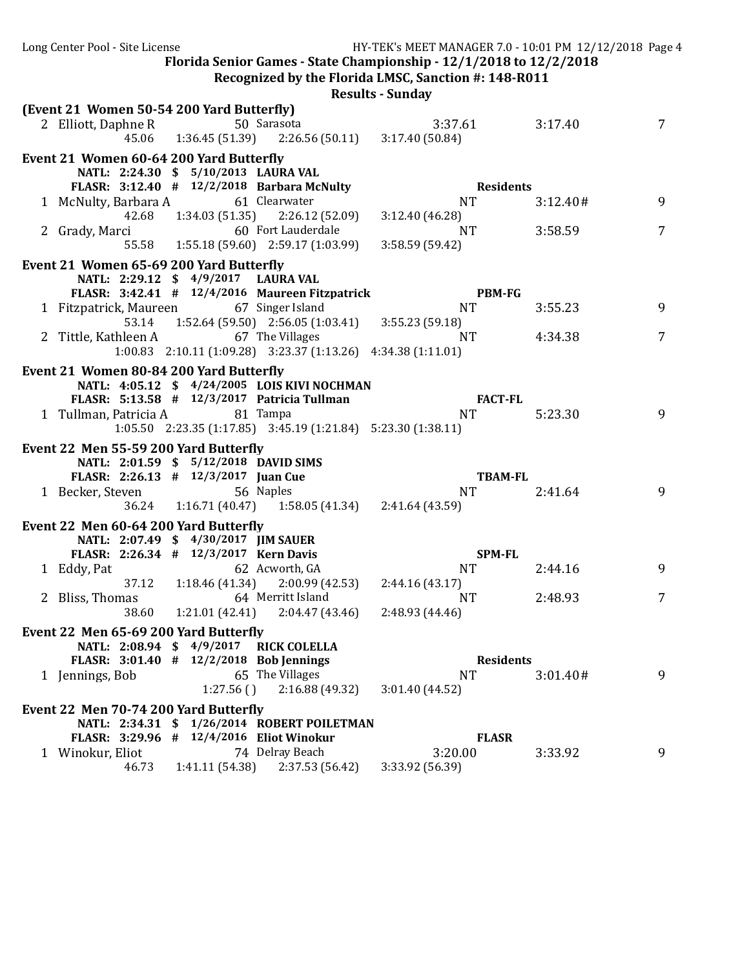Long Center Pool - Site License The Manual Center School and MY-TEK's MEET MANAGER 7.0 - 10:01 PM 12/12/2018 Page 4 Florida Senior Games - State Championship -  $12/1/2018$  to  $12/2/2018$ **Recognized by the Florida LMSC, Sanction #: 148-R011 Results - Sunday (Event 21 Women 50-54 200 Yard Butterfly)** 2 Elliott, Daphne R 50 Sarasota 3:37.61 3:17.40 7 45.06 1:36.45 (51.39) 2:26.56 (50.11) 3:17.40 (50.84) **Event 21 Women 60-64 200 Yard Butterfly NATL: 2:24.30 \$ 5/10/2013 LAURA VAL FLASR: 3:12.40 # 12/2/2018 Barbara McNulty Residents** 1 McNulty, Barbara A 61 Clearwater 1 1 NT 3:12.40 # 9 42.68 1:34.03 (51.35) 2:26.12 (52.09) 3:12.40 (46.28) 2 Grady, Marci 60 Fort Lauderdale 1 NT 3:58.59 7 55.58 1:55.18 (59.60) 2:59.17 (1:03.99) 3:58.59 (59.42) **Event 21 Women 65-69 200 Yard Butterfly NATL: 2:29.12 \$ 4/9/2017 LAURA VAL FLASR: 3:42.41 # 12/4/2016 Maureen Fitzpatrick PBM-FG** 1 Fitzpatrick, Maureen 67 Singer Island NT 3:55.23 9<br>53.14 1:52.64 (59.50) 2:56.05 (1:03.41) 3:55.23 (59.18) 53.14 1:52.64 (59.50) 2:56.05 (1:03.41)<br>leen A 67 The Villages 2 Tittle, Kathleen A 67 The Villages 2 NT 4:34.38 7 1:00.83 2:10.11 (1:09.28) 3:23.37 (1:13.26) 4:34.38 (1:11.01) **Event 21 Women 80-84 200 Yard Butterfly NATL: 4:05.12 \$ 4/24/2005 LOIS KIVI NOCHMAN FLASR: 5:13.58 # 12/3/2017 Patricia Tullman FACT-FL** 1 Tullman, Patricia A 81 Tampa 1 1 NT 5:23.30 9 1:05.50 2:23.35 (1:17.85) 3:45.19 (1:21.84) 5:23.30 (1:38.11) **Event 22 Men 55-59 200 Yard Butterfly NATL: 2:01.59 \$ 5/12/2018 DAVID SIMS FLASR: 2:26.13 # 12/3/2017 Juan Cue TBAM-FL** 1 Becker, Steven 56 Naples 1 Becker, Steven 56 Naples 1 Becker, Steven 9 36.24 1:16.71 (40.47) 1:58.05 (41.34) 2:41.64 (43.59) **Event 22 Men 60-64 200 Yard Butterfly NATL: 2:07.49 \$ 4/30/2017 JIM SAUER FLASR: 2:26.34 # 12/3/2017 Kern Davis SPM-FL** 1 Eddy, Pat 62 Acworth, GA NT 2:44.16 9 37.12 1:18.46 (41.34) 2:00.99 (42.53) 2:44.16 (43.17) 2 Bliss, Thomas 64 Merritt Island NT 2:48.93 7<br>38.60 1:21.01 (42.41) 2:04.47 (43.46) 2:48.93 (44.46) 38.60 1:21.01 (42.41) 2:04.47 (43.46) 2:48.93 (44.46) **Event 22 Men 65-69 200 Yard Butterfly NATL: 2:08.94 \$ 4/9/2017 RICK COLELLA FLASR: 3:01.40 # 12/2/2018 Bob Jennings Residents** 1 Jennings, Bob 65 The Villages NT 3:01.40 # 9<br>1:27.56 () 2:16.88 (49.32) 3:01.40 (44.52)  $1:27.56$  ( )  $2:16.88$  (49.32) **Event 22 Men 70-74 200 Yard Butterfly NATL: 2:34.31 \$ 1/26/2014 ROBERT POILETMAN FLASR: 3:29.96 # 12/4/2016 Eliot Winokur FLASR** 1 Winokur, Eliot 74 Delray Beach 3:20.00 3:33.92 9 2:37.53 (56.42)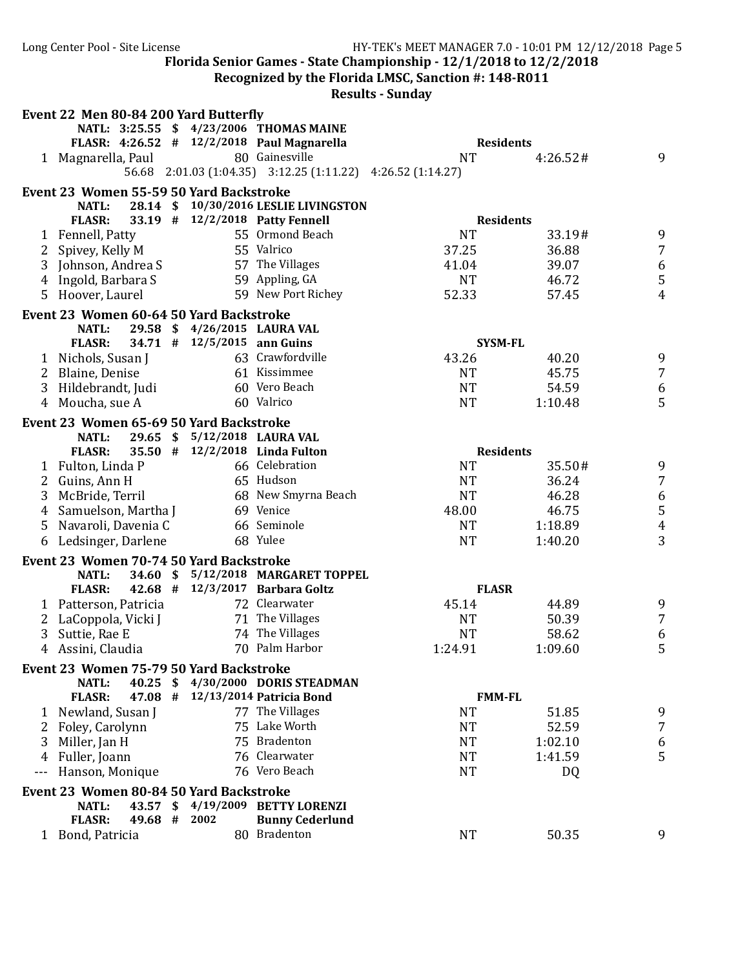**Recognized by the Florida LMSC, Sanction #: 148-R011** 

|       |                               |            | Event 22 Men 80-84 200 Yard Butterfly   |                                                              |           |                  |                                            |
|-------|-------------------------------|------------|-----------------------------------------|--------------------------------------------------------------|-----------|------------------|--------------------------------------------|
|       |                               |            |                                         | NATL: 3:25.55 \$ 4/23/2006 THOMAS MAINE                      |           |                  |                                            |
|       |                               |            |                                         | FLASR: 4:26.52 # 12/2/2018 Paul Magnarella                   |           | <b>Residents</b> |                                            |
|       | 1 Magnarella, Paul            |            |                                         | 80 Gainesville                                               | <b>NT</b> | 4:26.52#         | 9                                          |
|       |                               |            |                                         | 56.68 2:01.03 (1:04.35) 3:12.25 (1:11.22) 4:26.52 (1:14.27)  |           |                  |                                            |
|       |                               |            | Event 23 Women 55-59 50 Yard Backstroke |                                                              |           |                  |                                            |
|       | <b>NATL:</b>                  |            |                                         | 28.14 \$10/30/2016 LESLIE LIVINGSTON                         |           |                  |                                            |
|       | <b>FLASR:</b>                 |            |                                         | 33.19 # 12/2/2018 Patty Fennell                              |           | <b>Residents</b> |                                            |
|       | 1 Fennell, Patty              |            |                                         | 55 Ormond Beach                                              | <b>NT</b> | 33.19#           | 9                                          |
|       | 2 Spivey, Kelly M             |            |                                         | 55 Valrico                                                   | 37.25     | 36.88            | $\overline{7}$                             |
|       | 3 Johnson, Andrea S           |            |                                         | 57 The Villages                                              | 41.04     | 39.07            | $\boldsymbol{6}$                           |
|       | 4 Ingold, Barbara S           |            |                                         | 59 Appling, GA                                               | <b>NT</b> | 46.72            | $\sqrt{5}$                                 |
|       | 5 Hoover, Laurel              |            |                                         | 59 New Port Richey                                           | 52.33     | 57.45            | $\overline{4}$                             |
|       |                               |            |                                         |                                                              |           |                  |                                            |
|       |                               |            | Event 23 Women 60-64 50 Yard Backstroke |                                                              |           |                  |                                            |
|       | <b>NATL:</b>                  |            |                                         | 29.58 \$ 4/26/2015 LAURA VAL                                 |           |                  |                                            |
|       | <b>FLASR:</b>                 |            | 34.71 # 12/5/2015 ann Guins             | 63 Crawfordville                                             |           | <b>SYSM-FL</b>   |                                            |
|       | 1 Nichols, Susan J            |            |                                         |                                                              | 43.26     | 40.20            | 9                                          |
|       | 2 Blaine, Denise              |            |                                         | 61 Kissimmee                                                 | <b>NT</b> | 45.75            | $\overline{7}$                             |
| 3     | Hildebrandt, Judi             |            |                                         | 60 Vero Beach                                                | <b>NT</b> | 54.59            | $\boldsymbol{6}$                           |
|       | 4 Moucha, sue A               |            |                                         | 60 Valrico                                                   | <b>NT</b> | 1:10.48          | 5                                          |
|       |                               |            | Event 23 Women 65-69 50 Yard Backstroke |                                                              |           |                  |                                            |
|       | NATL:                         | $29.65$ \$ |                                         | 5/12/2018 LAURA VAL                                          |           |                  |                                            |
|       | <b>FLASR:</b>                 |            |                                         | 35.50 # 12/2/2018 Linda Fulton                               |           | <b>Residents</b> |                                            |
|       | 1 Fulton, Linda P             |            |                                         | 66 Celebration                                               | <b>NT</b> | 35.50#           | 9                                          |
| 2     | Guins, Ann H                  |            |                                         | 65 Hudson                                                    | <b>NT</b> | 36.24            | $\overline{7}$                             |
| 3     | McBride, Terril               |            |                                         | 68 New Smyrna Beach                                          | <b>NT</b> | 46.28            |                                            |
| 4     | Samuelson, Martha J           |            |                                         | 69 Venice                                                    | 48.00     | 46.75            | $\begin{array}{c} 6 \\ 5 \\ 4 \end{array}$ |
| 5     | Navaroli, Davenia C           |            |                                         | 66 Seminole                                                  | <b>NT</b> | 1:18.89          |                                            |
| 6     | Ledsinger, Darlene            |            |                                         | 68 Yulee                                                     | <b>NT</b> | 1:40.20          | 3                                          |
|       |                               |            | Event 23 Women 70-74 50 Yard Backstroke |                                                              |           |                  |                                            |
|       | NATL:                         |            |                                         | 34.60 \$ 5/12/2018 MARGARET TOPPEL                           |           |                  |                                            |
|       | <b>FLASR:</b>                 |            |                                         | 42.68 # 12/3/2017 Barbara Goltz                              |           | <b>FLASR</b>     |                                            |
|       | 1 Patterson, Patricia         |            |                                         | 72 Clearwater                                                | 45.14     | 44.89            | 9                                          |
| 2     | LaCoppola, Vicki J            |            |                                         | 71 The Villages                                              | <b>NT</b> | 50.39            | $\overline{7}$                             |
| 3     | Suttie, Rae E                 |            |                                         | 74 The Villages                                              | <b>NT</b> | 58.62            | $\boldsymbol{6}$                           |
| 4     | Assini, Claudia               |            |                                         | 70 Palm Harbor                                               | 1:24.91   | 1:09.60          | 5                                          |
|       |                               |            |                                         |                                                              |           |                  |                                            |
|       |                               |            | Event 23 Women 75-79 50 Yard Backstroke |                                                              |           |                  |                                            |
|       | <b>NATL:</b><br><b>FLASR:</b> |            |                                         | 40.25 \$4/30/2000 DORIS STEADMAN<br>12/13/2014 Patricia Bond |           | <b>FMM-FL</b>    |                                            |
|       |                               | 47.08 #    |                                         |                                                              |           |                  |                                            |
|       | 1 Newland, Susan J            |            |                                         | 77 The Villages<br>75 Lake Worth                             | <b>NT</b> | 51.85            | 9<br>$\overline{7}$                        |
|       | 2 Foley, Carolynn             |            |                                         |                                                              | <b>NT</b> | 52.59            |                                            |
| 3     | Miller, Jan H                 |            |                                         | 75 Bradenton                                                 | <b>NT</b> | 1:02.10          | 6                                          |
| 4     | Fuller, Joann                 |            |                                         | 76 Clearwater                                                | <b>NT</b> | 1:41.59          | 5                                          |
| $---$ | Hanson, Monique               |            |                                         | 76 Vero Beach                                                | <b>NT</b> | DQ               |                                            |
|       |                               |            | Event 23 Women 80-84 50 Yard Backstroke |                                                              |           |                  |                                            |
|       | <b>NATL:</b>                  | 43.57 \$   |                                         | 4/19/2009 BETTY LORENZI                                      |           |                  |                                            |
|       | <b>FLASR:</b>                 | 49.68 #    | 2002                                    | <b>Bunny Cederlund</b>                                       |           |                  |                                            |
|       | 1 Bond, Patricia              |            |                                         | 80 Bradenton                                                 | <b>NT</b> | 50.35            | 9                                          |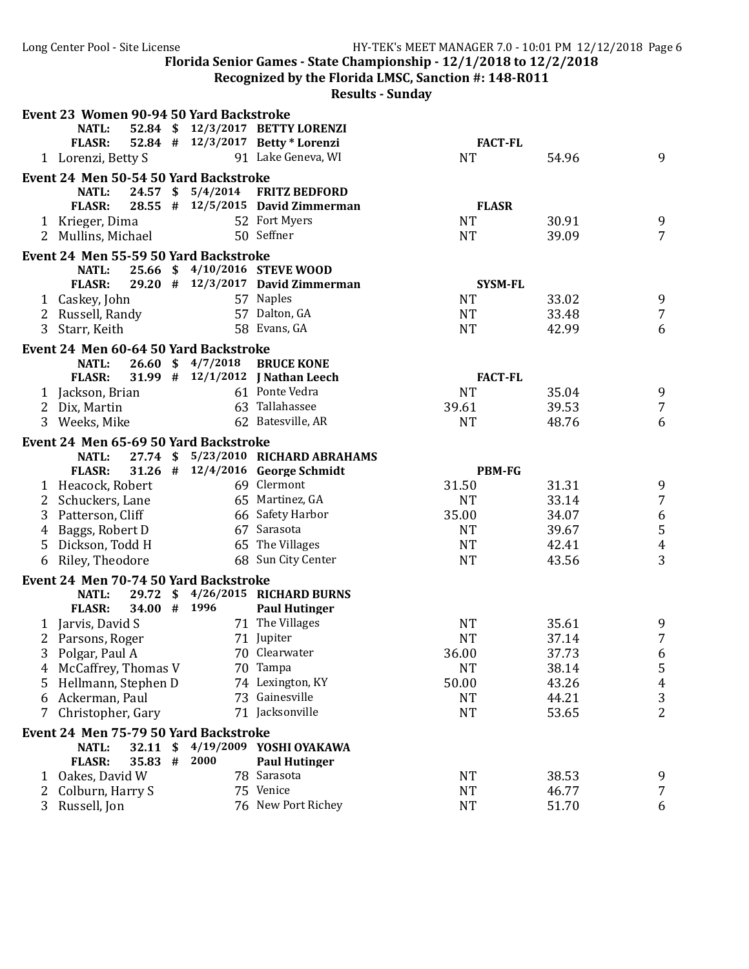**Recognized by the Florida LMSC, Sanction #: 148-R011** 

|   | Event 23 Women 90-94 50 Yard Backstroke |                   |                                     |                |                |                     |
|---|-----------------------------------------|-------------------|-------------------------------------|----------------|----------------|---------------------|
|   | <b>NATL:</b>                            |                   | 52.84 \$ 12/3/2017 BETTY LORENZI    |                |                |                     |
|   | <b>FLASR:</b>                           |                   | 52.84 # 12/3/2017 Betty * Lorenzi   | <b>FACT-FL</b> |                |                     |
|   | 1 Lorenzi, Betty S                      |                   | 91 Lake Geneva, WI                  | <b>NT</b>      | 54.96          | 9                   |
|   | Event 24 Men 50-54 50 Yard Backstroke   |                   |                                     |                |                |                     |
|   | <b>NATL:</b>                            |                   | 24.57 \$ 5/4/2014 FRITZ BEDFORD     |                |                |                     |
|   | <b>FLASR:</b>                           |                   | 28.55 # 12/5/2015 David Zimmerman   | <b>FLASR</b>   |                |                     |
|   | 1 Krieger, Dima                         |                   | 52 Fort Myers                       | <b>NT</b>      | 30.91          | 9                   |
|   | 2 Mullins, Michael                      |                   | 50 Seffner                          | <b>NT</b>      | 39.09          | $\overline{7}$      |
|   | Event 24 Men 55-59 50 Yard Backstroke   |                   |                                     |                |                |                     |
|   | <b>NATL:</b>                            |                   | 25.66 \$4/10/2016 STEVE WOOD        |                |                |                     |
|   | <b>FLASR:</b>                           |                   | 29.20 # 12/3/2017 David Zimmerman   | <b>SYSM-FL</b> |                |                     |
|   | 1 Caskey, John                          |                   | 57 Naples                           | <b>NT</b>      | 33.02          | 9                   |
|   | 2 Russell, Randy                        |                   | 57 Dalton, GA                       | <b>NT</b>      | 33.48          | $\overline{7}$      |
|   | 3 Starr, Keith                          |                   | 58 Evans, GA                        | <b>NT</b>      | 42.99          | 6                   |
|   | Event 24 Men 60-64 50 Yard Backstroke   |                   |                                     |                |                |                     |
|   | <b>NATL:</b>                            | 26.60 \$ 4/7/2018 | <b>BRUCE KONE</b>                   |                |                |                     |
|   | <b>FLASR:</b>                           |                   | 31.99 # 12/1/2012 J Nathan Leech    | <b>FACT-FL</b> |                |                     |
|   | 1 Jackson, Brian                        |                   | 61 Ponte Vedra                      | <b>NT</b>      | 35.04          | 9                   |
|   | 2 Dix, Martin                           |                   | 63 Tallahassee                      | 39.61          | 39.53          | $\overline{7}$      |
|   | 3 Weeks, Mike                           |                   | 62 Batesville, AR                   | <b>NT</b>      | 48.76          | 6                   |
|   |                                         |                   |                                     |                |                |                     |
|   | Event 24 Men 65-69 50 Yard Backstroke   |                   |                                     |                |                |                     |
|   | <b>NATL:</b>                            |                   | 27.74 \$ 5/23/2010 RICHARD ABRAHAMS |                |                |                     |
|   | <b>FLASR:</b>                           |                   | 31.26 # 12/4/2016 George Schmidt    | <b>PBM-FG</b>  |                |                     |
|   | 1 Heacock, Robert                       |                   | 69 Clermont                         | 31.50          | 31.31          | 9                   |
|   | 2 Schuckers, Lane                       |                   | 65 Martinez, GA                     | <b>NT</b>      | 33.14          | $\overline{7}$      |
| 3 | Patterson, Cliff                        |                   | 66 Safety Harbor                    | 35.00          | 34.07          | $\boldsymbol{6}$    |
|   | 4 Baggs, Robert D                       |                   | 67 Sarasota                         | <b>NT</b>      | 39.67          | 5                   |
| 5 | Dickson, Todd H                         |                   | 65 The Villages                     | <b>NT</b>      | 42.41          | $\overline{4}$      |
|   | 6 Riley, Theodore                       |                   | 68 Sun City Center                  | <b>NT</b>      | 43.56          | 3                   |
|   | Event 24 Men 70-74 50 Yard Backstroke   |                   |                                     |                |                |                     |
|   | <b>NATL:</b>                            |                   | 29.72 \$4/26/2015 RICHARD BURNS     |                |                |                     |
|   | 34.00 # 1996<br><b>FLASR:</b>           |                   | <b>Paul Hutinger</b>                |                |                |                     |
|   | 1 Jarvis, David S                       |                   | 71 The Villages                     | <b>NT</b>      | 35.61          | 9                   |
|   | 2 Parsons, Roger                        |                   | 71 Jupiter                          | <b>NT</b>      | 37.14          | $\overline{7}$      |
|   | 3 Polgar, Paul A                        |                   | 70 Clearwater                       | 36.00          | 37.73          | 6                   |
| 4 | McCaffrey, Thomas V                     |                   | 70 Tampa                            | <b>NT</b>      | 38.14          | 5                   |
|   | 5 Hellmann, Stephen D                   |                   | 74 Lexington, KY                    | 50.00          | 43.26          | $\overline{4}$      |
| 6 | Ackerman, Paul                          |                   | 73 Gainesville                      | <b>NT</b>      | 44.21          | $\sqrt{3}$          |
| 7 | Christopher, Gary                       |                   | 71 Jacksonville                     | <b>NT</b>      | 53.65          | $\overline{2}$      |
|   | Event 24 Men 75-79 50 Yard Backstroke   |                   |                                     |                |                |                     |
|   | <b>NATL:</b><br>32.11                   | \$                | 4/19/2009 YOSHI OYAKAWA             |                |                |                     |
|   | <b>FLASR:</b><br>35.83 #                | 2000              | <b>Paul Hutinger</b>                |                |                |                     |
|   |                                         |                   |                                     |                |                |                     |
| 1 | Oakes, David W                          |                   | 78 Sarasota                         | <b>NT</b>      |                |                     |
| 2 | Colburn, Harry S                        |                   | 75 Venice                           | <b>NT</b>      | 38.53<br>46.77 | 9<br>$\overline{7}$ |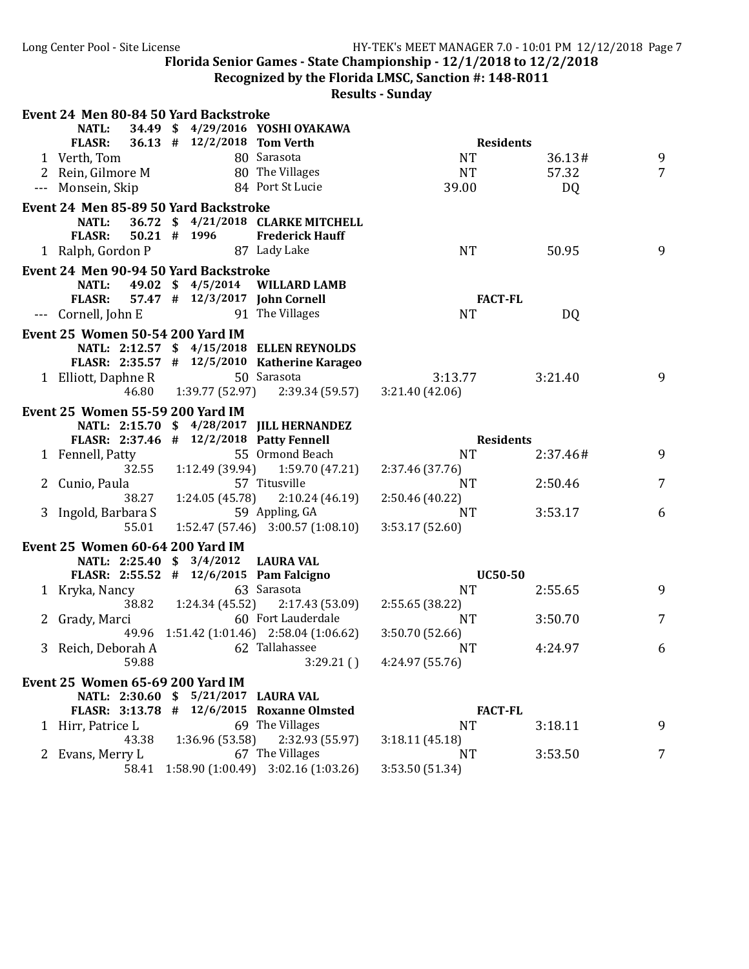**Recognized by the Florida LMSC, Sanction #: 148-R011** 

|              | Event 24 Men 80-84 50 Yard Backstroke    |                                |                                                    |                              |          |                 |
|--------------|------------------------------------------|--------------------------------|----------------------------------------------------|------------------------------|----------|-----------------|
|              | <b>NATL:</b>                             |                                | 34.49 \$4/29/2016 YOSHI OYAKAWA                    |                              |          |                 |
|              | <b>FLASR:</b>                            | 36.13 # 12/2/2018 Tom Verth    |                                                    | <b>Residents</b>             |          |                 |
|              | 1 Verth, Tom                             |                                | 80 Sarasota                                        | <b>NT</b>                    | 36.13#   | 9               |
|              | 2 Rein, Gilmore M                        |                                | 80 The Villages                                    | <b>NT</b>                    | 57.32    | $7\overline{ }$ |
|              | --- Monsein, Skip                        |                                | 84 Port St Lucie                                   | 39.00                        | DQ       |                 |
|              | Event 24 Men 85-89 50 Yard Backstroke    |                                |                                                    |                              |          |                 |
|              | <b>NATL:</b>                             |                                | 36.72 \$4/21/2018 CLARKE MITCHELL                  |                              |          |                 |
|              | <b>FLASR:</b>                            | $50.21$ # 1996                 | <b>Frederick Hauff</b>                             |                              |          |                 |
|              | 1 Ralph, Gordon P                        |                                | 87 Lady Lake                                       | <b>NT</b>                    | 50.95    | 9               |
|              | Event 24 Men 90-94 50 Yard Backstroke    |                                |                                                    |                              |          |                 |
|              | <b>NATL:</b>                             |                                | 49.02 \$4/5/2014 WILLARD LAMB                      |                              |          |                 |
|              | <b>FLASR:</b>                            | 57.47 # 12/3/2017 John Cornell |                                                    | <b>FACT-FL</b>               |          |                 |
|              | --- Cornell, John E                      |                                | 91 The Villages                                    | <b>NT</b>                    | DQ       |                 |
|              | <b>Event 25 Women 50-54 200 Yard IM</b>  |                                |                                                    |                              |          |                 |
|              |                                          |                                | NATL: 2:12.57 \$ 4/15/2018 ELLEN REYNOLDS          |                              |          |                 |
|              |                                          |                                | FLASR: 2:35.57 # 12/5/2010 Katherine Karageo       |                              |          |                 |
|              | 1 Elliott, Daphne R                      |                                | 50 Sarasota                                        | 3:13.77                      | 3:21.40  | 9               |
|              | 46.80                                    | 1:39.77 (52.97)                | 2:39.34 (59.57)                                    | 3:21.40(42.06)               |          |                 |
|              | <b>Event 25 Women 55-59 200 Yard IM</b>  |                                |                                                    |                              |          |                 |
|              |                                          |                                | NATL: 2:15.70 \$ 4/28/2017 JILL HERNANDEZ          |                              |          |                 |
|              | FLASR: 2:37.46 # 12/2/2018 Patty Fennell |                                |                                                    | <b>Residents</b>             |          |                 |
|              | 1 Fennell, Patty<br>32.55                |                                | 55 Ormond Beach                                    | <b>NT</b>                    | 2:37.46# | 9               |
|              | 2 Cunio, Paula                           |                                | $1:12.49(39.94)$ $1:59.70(47.21)$<br>57 Titusville | 2:37.46 (37.76)<br><b>NT</b> | 2:50.46  | 7               |
|              | 38.27                                    |                                | $1:24.05(45.78)$ $2:10.24(46.19)$                  | 2:50.46 (40.22)              |          |                 |
|              | 3 Ingold, Barbara S                      |                                | 59 Appling, GA                                     | <b>NT</b>                    | 3:53.17  | 6               |
|              | 55.01                                    |                                | $1:52.47(57.46)$ $3:00.57(1:08.10)$                | 3:53.17 (52.60)              |          |                 |
|              | Event 25 Women 60-64 200 Yard IM         |                                |                                                    |                              |          |                 |
|              | NATL: 2:25.40 \$ 3/4/2012 LAURA VAL      |                                |                                                    |                              |          |                 |
|              | FLASR: 2:55.52 # 12/6/2015 Pam Falcigno  |                                |                                                    | <b>UC50-50</b>               |          |                 |
|              | 1 Kryka, Nancy                           |                                | 63 Sarasota                                        | <b>NT</b>                    | 2:55.65  | 9               |
|              |                                          |                                | 38.82 1:24.34 (45.52) 2:17.43 (53.09)              | 2:55.65 (38.22)              |          |                 |
|              | 2 Grady, Marci                           |                                | 60 Fort Lauderdale                                 | <b>NT</b>                    | 3:50.70  | 7               |
|              |                                          |                                | 49.96 1:51.42 (1:01.46) 2:58.04 (1:06.62)          | 3:50.70 (52.66)              |          |                 |
|              | 3 Reich, Deborah A                       |                                | 62 Tallahassee                                     | <b>NT</b>                    | 4:24.97  | 6               |
|              | 59.88                                    |                                | 3:29.21()                                          | 4:24.97 (55.76)              |          |                 |
|              | <b>Event 25 Women 65-69 200 Yard IM</b>  |                                |                                                    |                              |          |                 |
|              | NATL: 2:30.60 \$                         |                                | 5/21/2017 LAURA VAL                                |                              |          |                 |
|              | FLASR: 3:13.78 #                         |                                | 12/6/2015 Roxanne Olmsted                          | <b>FACT-FL</b>               |          |                 |
|              | 1 Hirr, Patrice L                        |                                | 69 The Villages                                    | <b>NT</b>                    | 3:18.11  | 9               |
|              | 43.38                                    | 1:36.96 (53.58)                | 2:32.93 (55.97)                                    | 3:18.11(45.18)               |          |                 |
| $\mathbf{Z}$ | Evans, Merry L                           |                                | 67 The Villages                                    | <b>NT</b>                    | 3:53.50  | 7               |
|              | 58.41                                    |                                | 1:58.90 (1:00.49) 3:02.16 (1:03.26)                | 3:53.50 (51.34)              |          |                 |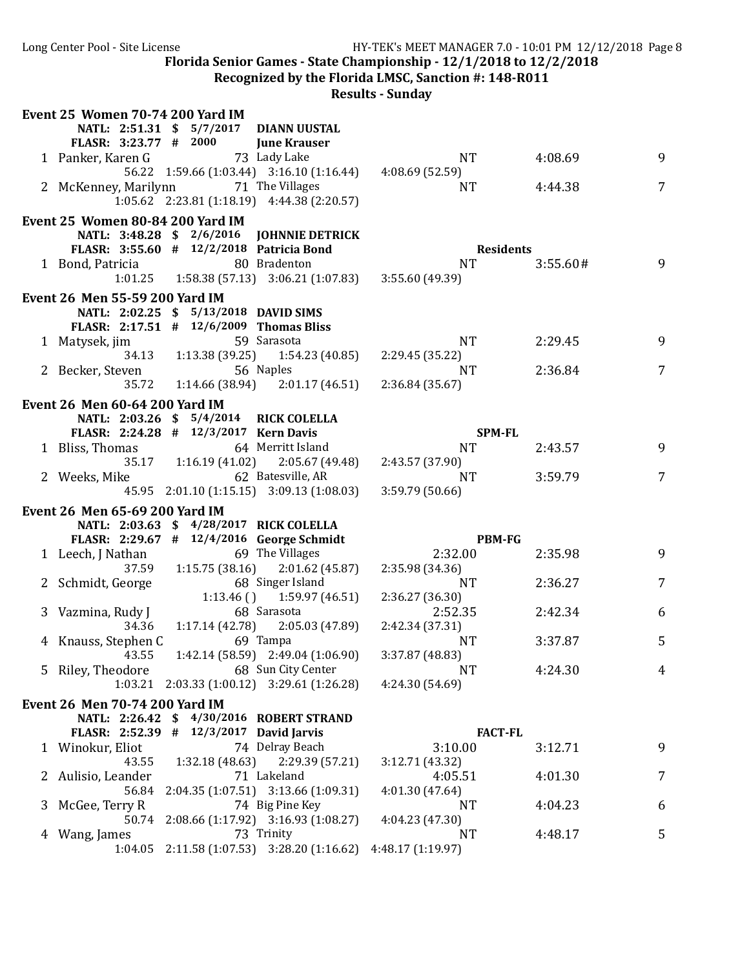**Recognized by the Florida LMSC, Sanction #: 148-R011** 

|   | <b>Event 25 Women 70-74 200 Yard IM</b>  |                                         |                                                       |                   |          |   |
|---|------------------------------------------|-----------------------------------------|-------------------------------------------------------|-------------------|----------|---|
|   |                                          |                                         | NATL: 2:51.31 \$ 5/7/2017 DIANN UUSTAL                |                   |          |   |
|   | FLASR: 3:23.77 # 2000                    |                                         | <b>June Krauser</b>                                   |                   |          |   |
|   | 1 Panker, Karen G                        |                                         | 73 Lady Lake                                          | <b>NT</b>         | 4:08.69  | 9 |
|   |                                          |                                         | 56.22 1:59.66 (1:03.44) 3:16.10 (1:16.44)             | 4:08.69 (52.59)   |          |   |
|   | 2 McKenney, Marilynn                     |                                         | 71 The Villages                                       | <b>NT</b>         | 4:44.38  | 7 |
|   |                                          |                                         | $1:05.62$ $2:23.81$ $(1:18.19)$ $4:44.38$ $(2:20.57)$ |                   |          |   |
|   | <b>Event 25 Women 80-84 200 Yard IM</b>  |                                         |                                                       |                   |          |   |
|   |                                          |                                         | NATL: 3:48.28 \$ 2/6/2016 JOHNNIE DETRICK             |                   |          |   |
|   | FLASR: 3:55.60 # 12/2/2018 Patricia Bond |                                         |                                                       | <b>Residents</b>  |          |   |
|   | 1 Bond, Patricia 80 Bradenton            |                                         |                                                       | <b>NT</b>         | 3:55.60# | 9 |
|   |                                          |                                         | $1:01.25$ $1:58.38$ (57.13) $3:06.21$ (1:07.83)       | 3:55.60 (49.39)   |          |   |
|   | Event 26 Men 55-59 200 Yard IM           |                                         |                                                       |                   |          |   |
|   |                                          | NATL: 2:02.25 \$ 5/13/2018 DAVID SIMS   |                                                       |                   |          |   |
|   | FLASR: 2:17.51 # 12/6/2009 Thomas Bliss  |                                         |                                                       |                   |          |   |
|   | 1 Matysek, jim                           |                                         | 59 Sarasota                                           | <b>NT</b>         | 2:29.45  | 9 |
|   |                                          |                                         | 34.13   1:13.38   (39.25)   1:54.23   (40.85)         | 2:29.45 (35.22)   |          |   |
|   | 2 Becker, Steven 56 Naples               |                                         |                                                       | <b>NT</b>         | 2:36.84  | 7 |
|   |                                          |                                         | 35.72 1:14.66 (38.94) 2:01.17 (46.51)                 | 2:36.84 (35.67)   |          |   |
|   | <b>Event 26 Men 60-64 200 Yard IM</b>    |                                         |                                                       |                   |          |   |
|   |                                          | NATL: 2:03.26 \$ 5/4/2014 RICK COLELLA  |                                                       |                   |          |   |
|   | FLASR: 2:24.28 # 12/3/2017 Kern Davis    |                                         |                                                       | <b>SPM-FL</b>     |          |   |
|   | 1 Bliss, Thomas                          |                                         | 64 Merritt Island                                     | <b>NT</b>         | 2:43.57  | 9 |
|   |                                          |                                         | 35.17 1:16.19 (41.02) 2:05.67 (49.48)                 | 2:43.57 (37.90)   |          |   |
|   | 2 Weeks, Mike                            |                                         | 62 Batesville, AR                                     | NT                | 3:59.79  | 7 |
|   |                                          |                                         | 45.95 2:01.10 (1:15.15) 3:09.13 (1:08.03)             | 3:59.79(50.66)    |          |   |
|   | Event 26 Men 65-69 200 Yard IM           |                                         |                                                       |                   |          |   |
|   |                                          | NATL: 2:03.63 \$ 4/28/2017 RICK COLELLA |                                                       |                   |          |   |
|   |                                          |                                         | FLASR: 2:29.67 # 12/4/2016 George Schmidt             | <b>PBM-FG</b>     |          |   |
|   | 1 Leech, J Nathan                        |                                         | 69 The Villages                                       | 2:32.00           | 2:35.98  | 9 |
|   |                                          |                                         | 37.59 1:15.75 (38.16) 2:01.62 (45.87)                 | 2:35.98(34.36)    |          |   |
|   | 2 Schmidt, George                        |                                         | 68 Singer Island                                      | <b>NT</b>         | 2:36.27  | 7 |
|   |                                          | 1:13.46()                               | 1:59.97 (46.51)                                       | 2:36.27 (36.30)   |          |   |
|   | 3 Vazmina, Rudy J                        |                                         | 68 Sarasota                                           | 2:52.35           | 2:42.34  | 6 |
|   |                                          | 34.36 1:17.14 (42.78)                   | 2:05.03 (47.89)                                       | 2:42.34 (37.31)   |          |   |
|   | 4 Knauss, Stephen C                      | 69 Tampa                                |                                                       | NT.               | 3:37.87  | 5 |
|   |                                          |                                         | 43.55 1:42.14 (58.59) 2:49.04 (1:06.90)               | 3:37.87(48.83)    |          |   |
|   | 5 Riley, Theodore                        |                                         | 68 Sun City Center                                    | NT.               | 4:24.30  | 4 |
|   |                                          |                                         | 1:03.21 2:03.33 (1:00.12) 3:29.61 (1:26.28)           | 4:24.30 (54.69)   |          |   |
|   | <b>Event 26 Men 70-74 200 Yard IM</b>    |                                         |                                                       |                   |          |   |
|   |                                          |                                         | NATL: 2:26.42 \$ 4/30/2016 ROBERT STRAND              |                   |          |   |
|   | FLASR: 2:52.39                           | $\#$ 12/3/2017 David Jarvis             |                                                       | <b>FACT-FL</b>    |          |   |
|   | 1 Winokur, Eliot                         |                                         | 74 Delray Beach                                       | 3:10.00           | 3:12.71  | 9 |
|   | 43.55                                    | 1:32.18(48.63)                          | 2:29.39 (57.21)                                       | 3:12.71 (43.32)   |          |   |
| 2 | Aulisio, Leander                         |                                         | 71 Lakeland                                           | 4:05.51           | 4:01.30  | 7 |
|   | 56.84                                    |                                         | 2:04.35 (1:07.51) 3:13.66 (1:09.31)                   | 4:01.30 (47.64)   |          |   |
| 3 | McGee, Terry R                           |                                         | 74 Big Pine Key                                       | <b>NT</b>         | 4:04.23  | 6 |
|   |                                          |                                         | 50.74 2:08.66 (1:17.92) 3:16.93 (1:08.27)             | 4:04.23 (47.30)   |          |   |
| 4 | Wang, James                              |                                         | 73 Trinity                                            | NT                | 4:48.17  | 5 |
|   | 1:04.05                                  |                                         | 2:11.58 (1:07.53) 3:28.20 (1:16.62)                   | 4:48.17 (1:19.97) |          |   |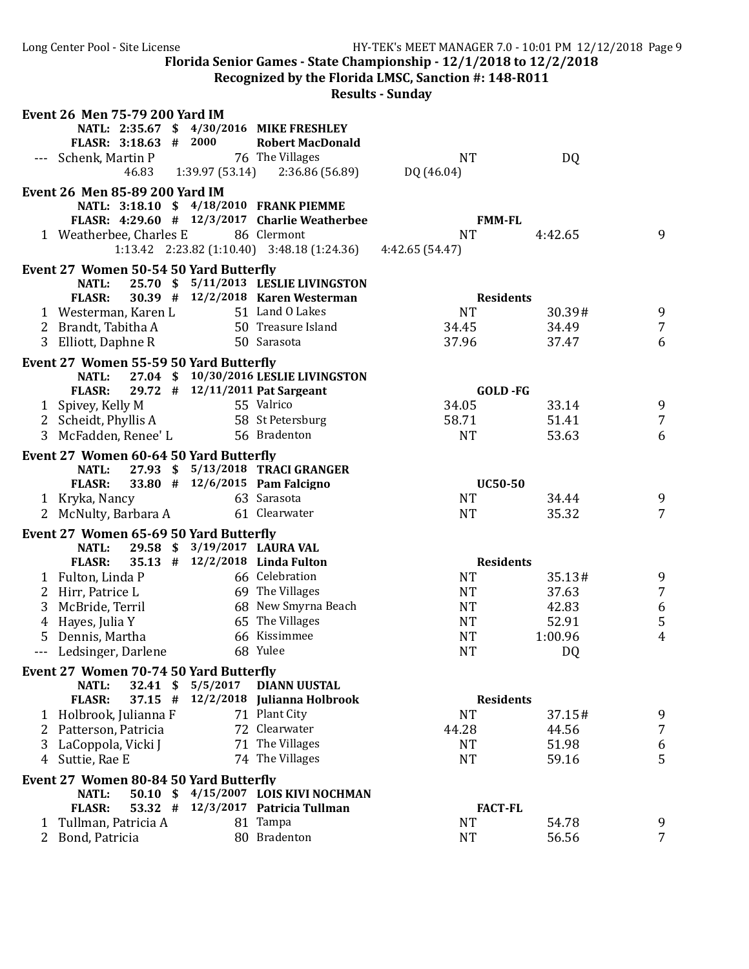|              | Long Center Pool - Site License                        |          |                                                       | HY-TEK's MEET MANAGER 7.0 - 10:01 PM 12/12/2018 Page 9             |                  |                |
|--------------|--------------------------------------------------------|----------|-------------------------------------------------------|--------------------------------------------------------------------|------------------|----------------|
|              |                                                        |          |                                                       | Florida Senior Games - State Championship - 12/1/2018 to 12/2/2018 |                  |                |
|              |                                                        |          |                                                       | Recognized by the Florida LMSC, Sanction #: 148-R011               |                  |                |
|              |                                                        |          |                                                       | <b>Results - Sunday</b>                                            |                  |                |
|              | <b>Event 26 Men 75-79 200 Yard IM</b>                  |          |                                                       |                                                                    |                  |                |
|              |                                                        |          | NATL: 2:35.67 \$ 4/30/2016 MIKE FRESHLEY              |                                                                    |                  |                |
|              | FLASR: 3:18.63 # 2000                                  |          | <b>Robert MacDonald</b>                               |                                                                    |                  |                |
|              | --- Schenk, Martin P                                   |          | 76 The Villages                                       | <b>NT</b>                                                          | DQ               |                |
|              |                                                        |          | 46.83 1:39.97 (53.14) 2:36.86 (56.89)                 | DQ (46.04)                                                         |                  |                |
|              | Event 26 Men 85-89 200 Yard IM                         |          |                                                       |                                                                    |                  |                |
|              |                                                        |          | NATL: 3:18.10 \$ 4/18/2010 FRANK PIEMME               |                                                                    |                  |                |
|              |                                                        |          | FLASR: 4:29.60 # 12/3/2017 Charlie Weatherbee         |                                                                    | <b>FMM-FL</b>    |                |
|              | 1 Weatherbee, Charles E                                |          | 86 Clermont                                           | <b>NT</b>                                                          | 4:42.65          | 9              |
|              |                                                        |          | $1:13.42$ $2:23.82$ $(1:10.40)$ $3:48.18$ $(1:24.36)$ | 4:42.65 (54.47)                                                    |                  |                |
|              |                                                        |          |                                                       |                                                                    |                  |                |
|              | Event 27 Women 50-54 50 Yard Butterfly<br><b>NATL:</b> |          | 25.70 \$ 5/11/2013 LESLIE LIVINGSTON                  |                                                                    |                  |                |
|              | <b>FLASR:</b>                                          |          | 30.39 # 12/2/2018 Karen Westerman                     |                                                                    | <b>Residents</b> |                |
|              | 1 Westerman, Karen L                                   |          | 51 Land O Lakes                                       | <b>NT</b>                                                          | 30.39#           | 9              |
|              |                                                        |          | 50 Treasure Island                                    |                                                                    | 34.49            |                |
|              | 2 Brandt, Tabitha A                                    |          |                                                       | 34.45                                                              |                  | 7              |
|              | 3 Elliott, Daphne R                                    |          | 50 Sarasota                                           | 37.96                                                              | 37.47            | 6              |
|              | Event 27 Women 55-59 50 Yard Butterfly                 |          |                                                       |                                                                    |                  |                |
|              | <b>NATL:</b>                                           |          | 27.04 \$10/30/2016 LESLIE LIVINGSTON                  |                                                                    |                  |                |
|              | <b>FLASR:</b>                                          |          | 29.72 # 12/11/2011 Pat Sargeant                       |                                                                    | GOLD-FG          |                |
|              | 1 Spivey, Kelly M                                      |          | 55 Valrico                                            | 34.05                                                              | 33.14            | 9              |
|              | 2 Scheidt, Phyllis A                                   |          | 58 St Petersburg                                      | 58.71                                                              | 51.41            | 7              |
|              | 3 McFadden, Renee' L                                   |          | 56 Bradenton                                          | <b>NT</b>                                                          | 53.63            | 6              |
|              | Event 27 Women 60-64 50 Yard Butterfly                 |          |                                                       |                                                                    |                  |                |
|              | <b>NATL:</b>                                           |          | 27.93 \$ 5/13/2018 TRACI GRANGER                      |                                                                    |                  |                |
|              | <b>FLASR:</b>                                          |          | 33.80 # 12/6/2015 Pam Falcigno                        |                                                                    | <b>UC50-50</b>   |                |
|              | 1 Kryka, Nancy                                         |          | 63 Sarasota                                           | <b>NT</b>                                                          | 34.44            | 9              |
|              | 2 McNulty, Barbara A                                   |          | 61 Clearwater                                         | <b>NT</b>                                                          | 35.32            | $\overline{7}$ |
|              | Event 27 Women 65-69 50 Yard Butterfly                 |          |                                                       |                                                                    |                  |                |
|              | NATL:                                                  |          | 29.58 \$ 3/19/2017 LAURA VAL                          |                                                                    |                  |                |
|              | <b>FLASR:</b>                                          |          | 35.13 # 12/2/2018 Linda Fulton                        |                                                                    | <b>Residents</b> |                |
|              | 1 Fulton, Linda P                                      |          | 66 Celebration                                        | <b>NT</b>                                                          | 35.13#           | 9              |
|              | 2 Hirr, Patrice L                                      |          | 69 The Villages                                       | <b>NT</b>                                                          | 37.63            | $\overline{7}$ |
| 3            | McBride, Terril                                        |          | 68 New Smyrna Beach                                   | <b>NT</b>                                                          | 42.83            | 6              |
| 4            | Hayes, Julia Y                                         |          | 65 The Villages                                       | <b>NT</b>                                                          | 52.91            | 5              |
| 5.           | Dennis, Martha                                         |          | 66 Kissimmee                                          | <b>NT</b>                                                          | 1:00.96          | 4              |
|              | Ledsinger, Darlene                                     |          | 68 Yulee                                              | <b>NT</b>                                                          | DQ               |                |
| $\cdots$     |                                                        |          |                                                       |                                                                    |                  |                |
|              | Event 27 Women 70-74 50 Yard Butterfly                 |          |                                                       |                                                                    |                  |                |
|              | <b>NATL:</b><br>32.41 \$                               | 5/5/2017 | <b>DIANN UUSTAL</b>                                   |                                                                    |                  |                |
|              | <b>FLASR:</b><br>$37.15$ #                             |          | 12/2/2018 Julianna Holbrook                           |                                                                    | <b>Residents</b> |                |
|              | 1 Holbrook, Julianna F                                 |          | 71 Plant City                                         | <b>NT</b>                                                          | 37.15#           | 9              |
|              | 2 Patterson, Patricia                                  |          | 72 Clearwater                                         | 44.28                                                              | 44.56            | 7              |
| 3            | LaCoppola, Vicki J                                     |          | 71 The Villages                                       | NT                                                                 | 51.98            | 6              |
| 4            | Suttie, Rae E                                          |          | 74 The Villages                                       | <b>NT</b>                                                          | 59.16            | 5              |
|              | Event 27 Women 80-84 50 Yard Butterfly                 |          |                                                       |                                                                    |                  |                |
|              | NATL:<br>$50.10 \text{ }$                              |          | 4/15/2007 LOIS KIVI NOCHMAN                           |                                                                    |                  |                |
|              | <b>FLASR:</b><br>$53.32$ #                             |          | 12/3/2017 Patricia Tullman                            |                                                                    | <b>FACT-FL</b>   |                |
|              | Tullman, Patricia A                                    |          | 81 Tampa                                              | <b>NT</b>                                                          | 54.78            | 9              |
| $\mathbf{2}$ | Bond, Patricia                                         |          | 80 Bradenton                                          | <b>NT</b>                                                          | 56.56            | 7              |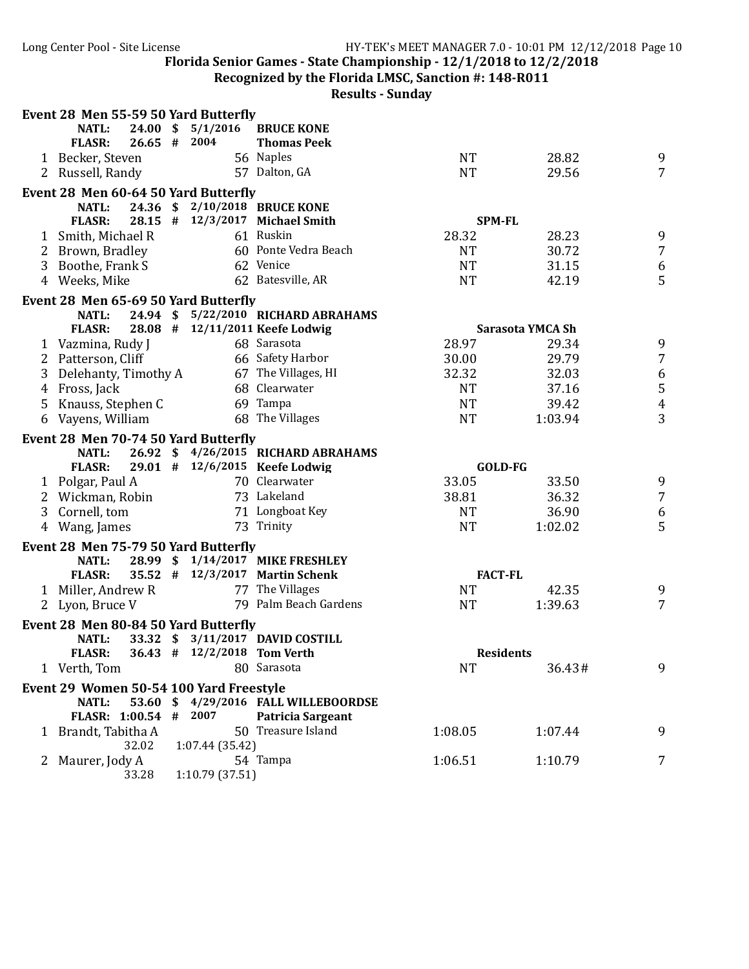**Recognized by the Florida LMSC, Sanction #: 148-R011** 

|   |                      |                     | Event 28 Men 55-59 50 Yard Butterfly    |                                     |           |                  |                  |
|---|----------------------|---------------------|-----------------------------------------|-------------------------------------|-----------|------------------|------------------|
|   | NATL:                | $24.00 \; \text{S}$ | 5/1/2016                                | <b>BRUCE KONE</b>                   |           |                  |                  |
|   | <b>FLASR:</b>        | 26.65 # 2004        |                                         | <b>Thomas Peek</b>                  |           |                  |                  |
|   | 1 Becker, Steven     |                     |                                         | 56 Naples                           | <b>NT</b> | 28.82            | 9                |
|   | 2 Russell, Randy     |                     |                                         | 57 Dalton, GA                       | <b>NT</b> | 29.56            | $\overline{7}$   |
|   |                      |                     | Event 28 Men 60-64 50 Yard Butterfly    |                                     |           |                  |                  |
|   | <b>NATL:</b>         |                     |                                         | 24.36 \$ 2/10/2018 BRUCE KONE       |           |                  |                  |
|   | <b>FLASR:</b>        |                     |                                         | 28.15 # 12/3/2017 Michael Smith     |           | <b>SPM-FL</b>    |                  |
|   | 1 Smith, Michael R   |                     |                                         | 61 Ruskin                           | 28.32     | 28.23            | 9                |
|   | 2 Brown, Bradley     |                     |                                         | 60 Ponte Vedra Beach                | <b>NT</b> | 30.72            | $\overline{7}$   |
| 3 | Boothe, Frank S      |                     |                                         | 62 Venice                           | <b>NT</b> | 31.15            | $\boldsymbol{6}$ |
|   | 4 Weeks, Mike        |                     |                                         | 62 Batesville, AR                   | <b>NT</b> | 42.19            | 5                |
|   |                      |                     | Event 28 Men 65-69 50 Yard Butterfly    |                                     |           |                  |                  |
|   | <b>NATL:</b>         |                     |                                         | 24.94 \$ 5/22/2010 RICHARD ABRAHAMS |           |                  |                  |
|   | <b>FLASR:</b>        |                     |                                         | 28.08 # 12/11/2011 Keefe Lodwig     |           | Sarasota YMCA Sh |                  |
|   | 1 Vazmina, Rudy J    |                     |                                         | 68 Sarasota                         | 28.97     | 29.34            | 9                |
|   | 2 Patterson, Cliff   |                     |                                         | 66 Safety Harbor                    | 30.00     | 29.79            | $\sqrt{7}$       |
| 3 | Delehanty, Timothy A |                     |                                         | 67 The Villages, HI                 | 32.32     | 32.03            | 6                |
|   | 4 Fross, Jack        |                     |                                         | 68 Clearwater                       | <b>NT</b> | 37.16            | 5                |
|   | 5 Knauss, Stephen C  |                     |                                         | 69 Tampa                            | <b>NT</b> | 39.42            | $\overline{4}$   |
|   | 6 Vayens, William    |                     |                                         | 68 The Villages                     | <b>NT</b> | 1:03.94          | 3                |
|   |                      |                     |                                         |                                     |           |                  |                  |
|   | <b>NATL:</b>         |                     | Event 28 Men 70-74 50 Yard Butterfly    | 26.92 \$4/26/2015 RICHARD ABRAHAMS  |           |                  |                  |
|   | <b>FLASR:</b>        |                     |                                         | 29.01 # 12/6/2015 Keefe Lodwig      |           | GOLD-FG          |                  |
|   |                      |                     |                                         | 70 Clearwater                       | 33.05     | 33.50            | 9                |
|   | 1 Polgar, Paul A     |                     |                                         | 73 Lakeland                         | 38.81     |                  |                  |
|   | 2 Wickman, Robin     |                     |                                         |                                     |           | 36.32            | $\overline{7}$   |
| 3 | Cornell, tom         |                     |                                         | 71 Longboat Key<br>73 Trinity       | <b>NT</b> | 36.90            | 6                |
|   | 4 Wang, James        |                     |                                         |                                     | <b>NT</b> | 1:02.02          | 5                |
|   |                      |                     | Event 28 Men 75-79 50 Yard Butterfly    |                                     |           |                  |                  |
|   | <b>NATL:</b>         |                     |                                         | 28.99 \$ 1/14/2017 MIKE FRESHLEY    |           |                  |                  |
|   | <b>FLASR:</b>        |                     |                                         | 35.52 # 12/3/2017 Martin Schenk     |           | <b>FACT-FL</b>   |                  |
|   | 1 Miller, Andrew R   |                     |                                         | 77 The Villages                     | <b>NT</b> | 42.35            | 9                |
|   | 2 Lyon, Bruce V      |                     |                                         | 79 Palm Beach Gardens               | <b>NT</b> | 1:39.63          | $\overline{7}$   |
|   |                      |                     | Event 28 Men 80-84 50 Yard Butterfly    |                                     |           |                  |                  |
|   | NATL:                |                     |                                         | 33.32 \$ 3/11/2017 DAVID COSTILL    |           |                  |                  |
|   | <b>FLASR:</b>        |                     | 36.43 # 12/2/2018 Tom Verth             |                                     |           | <b>Residents</b> |                  |
|   | 1 Verth, Tom         |                     |                                         | 80 Sarasota                         | <b>NT</b> | 36.43#           | 9                |
|   |                      |                     | Event 29 Women 50-54 100 Yard Freestyle |                                     |           |                  |                  |
|   | NATL:                | $53.60 \text{ }$    |                                         | 4/29/2016 FALL WILLEBOORDSE         |           |                  |                  |
|   | FLASR: 1:00.54 #     |                     | 2007                                    | Patricia Sargeant                   |           |                  |                  |
|   | 1 Brandt, Tabitha A  |                     |                                         | 50 Treasure Island                  | 1:08.05   | 1:07.44          | 9                |
|   |                      | 32.02               | 1:07.44(35.42)                          |                                     |           |                  |                  |
| 2 | Maurer, Jody A       |                     |                                         | 54 Tampa                            | 1:06.51   | 1:10.79          | 7                |
|   |                      | 33.28               | 1:10.79 (37.51)                         |                                     |           |                  |                  |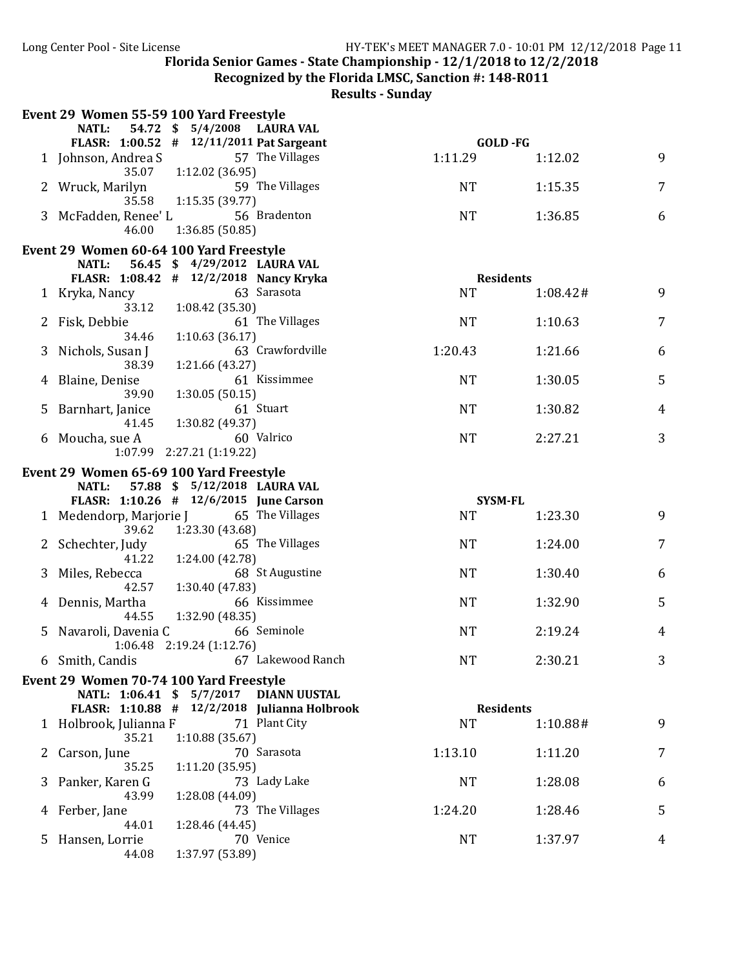**Recognized by the Florida LMSC, Sanction #: 148-R011** 

|   | Event 29 Women 55-59 100 Yard Freestyle                                           |                                          |                                              |                    |          |   |
|---|-----------------------------------------------------------------------------------|------------------------------------------|----------------------------------------------|--------------------|----------|---|
|   | NATL:                                                                             | 54.72 \$ 5/4/2008 LAURA VAL              |                                              |                    |          |   |
|   | FLASR: 1:00.52 # 12/11/2011 Pat Sargeant<br>1 Johnson, Andrea S                   |                                          | 57 The Villages                              | GOLD-FG<br>1:11.29 | 1:12.02  | 9 |
|   | 35.07                                                                             | 1:12.02(36.95)                           |                                              |                    |          |   |
|   | 2 Wruck, Marilyn                                                                  |                                          | 59 The Villages                              | <b>NT</b>          | 1:15.35  | 7 |
|   | 35.58                                                                             | 1:15.35(39.77)                           |                                              |                    |          |   |
|   | 3 McFadden, Renee' L                                                              |                                          | 56 Bradenton                                 | <b>NT</b>          | 1:36.85  | 6 |
|   | 46.00                                                                             | 1:36.85(50.85)                           |                                              |                    |          |   |
|   | Event 29 Women 60-64 100 Yard Freestyle                                           |                                          |                                              |                    |          |   |
|   | <b>NATL:</b>                                                                      | 56.45 \$4/29/2012 LAURA VAL              |                                              |                    |          |   |
|   | FLASR: 1:08.42 # 12/2/2018 Nancy Kryka                                            |                                          |                                              | <b>Residents</b>   |          |   |
|   | 1 Kryka, Nancy                                                                    |                                          | 63 Sarasota                                  | <b>NT</b>          | 1:08.42# | 9 |
|   | 33.12<br>Fisk, Debbie                                                             | 1:08.42 (35.30)                          | 61 The Villages                              | <b>NT</b>          | 1:10.63  | 7 |
|   | 34.46                                                                             | 1:10.63(36.17)                           |                                              |                    |          |   |
| 3 | Nichols, Susan J                                                                  |                                          | 63 Crawfordville                             | 1:20.43            | 1:21.66  | 6 |
|   | 38.39                                                                             | 1:21.66 (43.27)                          |                                              |                    |          |   |
| 4 | Blaine, Denise                                                                    |                                          | 61 Kissimmee                                 | <b>NT</b>          | 1:30.05  | 5 |
|   | 39.90                                                                             | 1:30.05(50.15)                           |                                              |                    |          |   |
| 5 | Barnhart, Janice                                                                  |                                          | 61 Stuart                                    | <b>NT</b>          | 1:30.82  | 4 |
|   | 41.45                                                                             | 1:30.82 (49.37)                          |                                              |                    |          |   |
|   | 6 Moucha, sue A                                                                   |                                          | 60 Valrico                                   | <b>NT</b>          | 2:27.21  | 3 |
|   |                                                                                   | $1:07.99$ $2:27.21$ $(1:19.22)$          |                                              |                    |          |   |
|   | Event 29 Women 65-69 100 Yard Freestyle                                           |                                          |                                              |                    |          |   |
|   | <b>NATL:</b><br>FLASR: 1:10.26 # 12/6/2015 June Carson                            | 57.88 \$ 5/12/2018 LAURA VAL             |                                              | <b>SYSM-FL</b>     |          |   |
|   | 1 Medendorp, Marjorie J 65 The Villages                                           |                                          |                                              | <b>NT</b>          | 1:23.30  | 9 |
|   | 39.62                                                                             | 1:23.30 (43.68)                          |                                              |                    |          |   |
|   | 2 Schechter, Judy                                                                 | 65 The Villages                          |                                              | <b>NT</b>          | 1:24.00  | 7 |
|   | 41.22                                                                             | 1:24.00 (42.78)                          |                                              |                    |          |   |
|   | 3 Miles, Rebecca                                                                  |                                          | 68 St Augustine                              | <b>NT</b>          | 1:30.40  | 6 |
|   | 42.57                                                                             | 1:30.40 (47.83)                          |                                              |                    |          |   |
|   | 4 Dennis, Martha                                                                  |                                          | 66 Kissimmee                                 | <b>NT</b>          | 1:32.90  | 5 |
|   | 44.55                                                                             | 1:32.90 (48.35)                          |                                              |                    |          |   |
| 5 | Navaroli, Davenia C                                                               | 66 Seminole<br>1:06.48 2:19.24 (1:12.76) |                                              | <b>NT</b>          | 2:19.24  | 4 |
|   | 6 Smith, Candis                                                                   |                                          | 67 Lakewood Ranch                            | NT                 | 2:30.21  | 3 |
|   |                                                                                   |                                          |                                              |                    |          |   |
|   | Event 29 Women 70-74 100 Yard Freestyle<br>NATL: 1:06.41 \$ 5/7/2017 DIANN UUSTAL |                                          |                                              |                    |          |   |
|   |                                                                                   |                                          | FLASR: 1:10.88 # 12/2/2018 Julianna Holbrook | <b>Residents</b>   |          |   |
|   | 1 Holbrook, Julianna F                                                            |                                          | 71 Plant City                                | <b>NT</b>          | 1:10.88# | 9 |
|   | 35.21                                                                             | 1:10.88(35.67)                           |                                              |                    |          |   |
|   | Carson, June                                                                      |                                          | 70 Sarasota                                  | 1:13.10            | 1:11.20  | 7 |
|   | 35.25                                                                             | 1:11.20(35.95)                           |                                              |                    |          |   |
| 3 | Panker, Karen G                                                                   |                                          | 73 Lady Lake                                 | <b>NT</b>          | 1:28.08  | 6 |
|   | 43.99                                                                             | 1:28.08 (44.09)                          |                                              |                    |          |   |
|   | Ferber, Jane                                                                      |                                          | 73 The Villages                              | 1:24.20            | 1:28.46  | 5 |
| 5 | 44.01<br>Hansen, Lorrie                                                           | 1:28.46 (44.45)                          | 70 Venice                                    | <b>NT</b>          | 1:37.97  | 4 |
|   | 44.08                                                                             | 1:37.97 (53.89)                          |                                              |                    |          |   |
|   |                                                                                   |                                          |                                              |                    |          |   |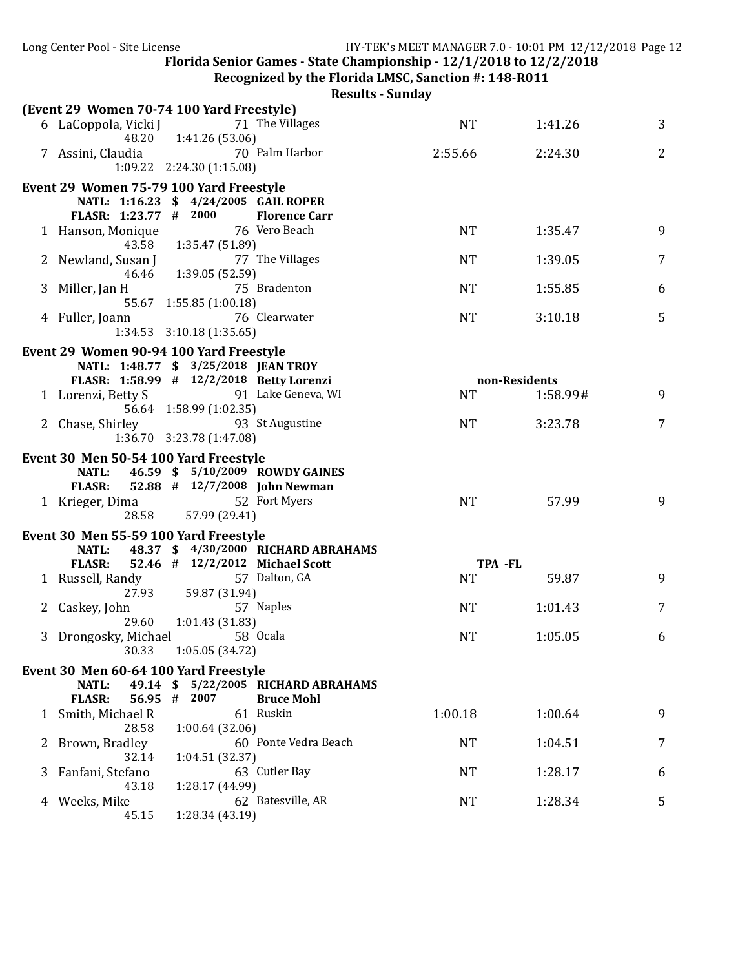**Recognized by the Florida LMSC, Sanction #: 148-R011** 

|              | (Event 29 Women 70-74 100 Yard Freestyle) |                               |                                    |           |               |   |
|--------------|-------------------------------------------|-------------------------------|------------------------------------|-----------|---------------|---|
|              | 6 LaCoppola, Vicki J                      |                               | 71 The Villages                    | <b>NT</b> | 1:41.26       | 3 |
|              | 48.20                                     | 1:41.26 (53.06)               |                                    |           |               |   |
|              | 7 Assini, Claudia                         |                               | 70 Palm Harbor                     | 2:55.66   | 2:24.30       | 2 |
|              |                                           | 1:09.22 2:24.30 (1:15.08)     |                                    |           |               |   |
|              | Event 29 Women 75-79 100 Yard Freestyle   |                               |                                    |           |               |   |
|              | NATL: 1:16.23 \$ 4/24/2005 GAIL ROPER     |                               |                                    |           |               |   |
|              | FLASR: 1:23.77 # 2000                     |                               | <b>Florence Carr</b>               |           |               |   |
|              | 1 Hanson, Monique                         |                               | 76 Vero Beach                      | <b>NT</b> | 1:35.47       | 9 |
|              | 43.58                                     | 1:35.47 (51.89)               |                                    |           |               |   |
|              | 2 Newland, Susan J                        |                               | 77 The Villages                    | <b>NT</b> | 1:39.05       | 7 |
|              | 46.46                                     | 1:39.05 (52.59)               |                                    |           |               |   |
| 3            | Miller, Jan H                             |                               | 75 Bradenton                       | <b>NT</b> | 1:55.85       | 6 |
|              |                                           | 55.67 1:55.85 (1:00.18)       |                                    |           |               |   |
|              | 4 Fuller, Joann                           |                               | 76 Clearwater                      | <b>NT</b> | 3:10.18       | 5 |
|              |                                           | $1:34.53$ $3:10.18$ (1:35.65) |                                    |           |               |   |
|              | Event 29 Women 90-94 100 Yard Freestyle   |                               |                                    |           |               |   |
|              | NATL: 1:48.77 \$ 3/25/2018 JEAN TROY      |                               |                                    |           |               |   |
|              | FLASR: 1:58.99 # 12/2/2018 Betty Lorenzi  |                               |                                    |           | non-Residents |   |
|              | 1 Lorenzi, Betty S                        |                               | 91 Lake Geneva, WI                 | <b>NT</b> | 1:58.99#      | 9 |
|              |                                           | 56.64 1:58.99 (1:02.35)       |                                    |           |               |   |
|              | 2 Chase, Shirley                          |                               | 93 St Augustine                    | <b>NT</b> | 3:23.78       | 7 |
|              |                                           | 1:36.70 3:23.78 (1:47.08)     |                                    |           |               |   |
|              | Event 30 Men 50-54 100 Yard Freestyle     |                               |                                    |           |               |   |
|              | <b>NATL:</b>                              |                               | 46.59 \$ 5/10/2009 ROWDY GAINES    |           |               |   |
|              | <b>FLASR:</b>                             |                               | 52.88 # 12/7/2008 John Newman      |           |               |   |
|              | 1 Krieger, Dima                           |                               | 52 Fort Myers                      | <b>NT</b> | 57.99         | 9 |
|              | 28.58                                     | 57.99 (29.41)                 |                                    |           |               |   |
|              | Event 30 Men 55-59 100 Yard Freestyle     |                               |                                    |           |               |   |
|              | <b>NATL:</b>                              |                               | 48.37 \$4/30/2000 RICHARD ABRAHAMS |           |               |   |
|              | <b>FLASR:</b>                             |                               | 52.46 # 12/2/2012 Michael Scott    | TPA -FL   |               |   |
|              | 1 Russell, Randy                          |                               | 57 Dalton, GA                      | <b>NT</b> | 59.87         | 9 |
|              | 27.93                                     | 59.87 (31.94)                 |                                    |           |               |   |
|              | 2 Caskey, John                            |                               | 57 Naples                          | <b>NT</b> | 1:01.43       | 7 |
|              | 29.60                                     | 1:01.43(31.83)                |                                    |           |               |   |
|              | 3 Drongosky, Michael                      |                               | 58 Ocala                           | <b>NT</b> | 1:05.05       | 6 |
|              | 30.33 1:05.05 (34.72)                     |                               |                                    |           |               |   |
|              | Event 30 Men 60-64 100 Yard Freestyle     |                               |                                    |           |               |   |
|              | 49.14 \$<br>NATL:                         |                               | 5/22/2005 RICHARD ABRAHAMS         |           |               |   |
|              | <b>FLASR:</b><br>56.95 #                  | 2007                          | <b>Bruce Mohl</b>                  |           |               |   |
| 1            | Smith, Michael R                          |                               | 61 Ruskin                          | 1:00.18   | 1:00.64       | 9 |
|              | 28.58                                     | 1:00.64(32.06)                |                                    |           |               |   |
| $\mathbf{z}$ | Brown, Bradley                            |                               | 60 Ponte Vedra Beach               | <b>NT</b> | 1:04.51       | 7 |
|              | 32.14                                     | 1:04.51 (32.37)               |                                    |           |               |   |
| 3            | Fanfani, Stefano                          |                               | 63 Cutler Bay                      | <b>NT</b> | 1:28.17       | 6 |
|              | 43.18                                     | 1:28.17 (44.99)               |                                    |           |               |   |
| 4            | Weeks, Mike                               |                               | 62 Batesville, AR                  | NT        | 1:28.34       | 5 |
|              | 45.15                                     | 1:28.34 (43.19)               |                                    |           |               |   |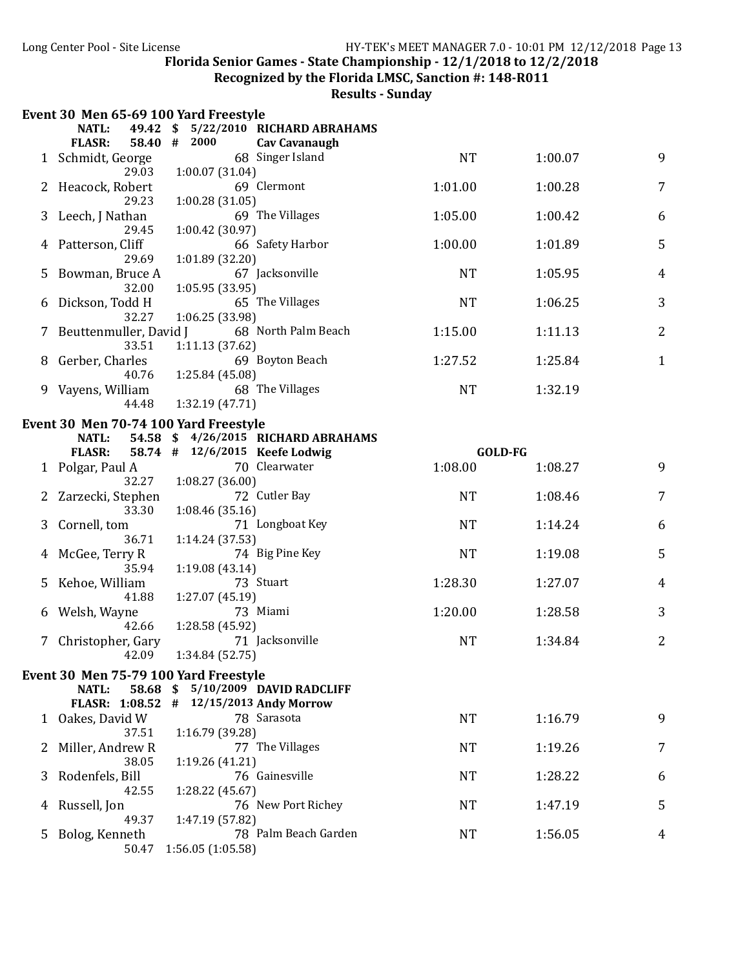**Recognized by the Florida LMSC, Sanction #: 148-R011** 

|   | Event 30 Men 65-69 100 Yard Freestyle                               |      |                                    |                                    |           |                |                |
|---|---------------------------------------------------------------------|------|------------------------------------|------------------------------------|-----------|----------------|----------------|
|   | <b>NATL:</b><br>49.42                                               | - \$ |                                    | 5/22/2010 RICHARD ABRAHAMS         |           |                |                |
|   | <b>FLASR:</b><br>58.40 #                                            |      | 2000                               | <b>Cav Cavanaugh</b>               |           |                |                |
|   | 1 Schmidt, George<br>29.03                                          |      | 1:00.07(31.04)                     | 68 Singer Island                   | <b>NT</b> | 1:00.07        | 9              |
|   | Heacock, Robert<br>29.23                                            |      | 1:00.28 (31.05)                    | 69 Clermont                        | 1:01.00   | 1:00.28        | 7              |
| 3 | Leech, J Nathan                                                     |      |                                    | 69 The Villages                    | 1:05.00   | 1:00.42        | 6              |
|   | 29.45<br>Patterson, Cliff                                           |      | 1:00.42 (30.97)                    | 66 Safety Harbor                   | 1:00.00   | 1:01.89        | 5              |
| 5 | 29.69<br>Bowman, Bruce A                                            |      | 1:01.89 (32.20)                    | 67 Jacksonville                    | <b>NT</b> | 1:05.95        | 4              |
| 6 | 32.00<br>Dickson, Todd H                                            |      | 1:05.95 (33.95)                    | 65 The Villages                    | <b>NT</b> | 1:06.25        | 3              |
|   | 32.27<br>Beuttenmuller, David J                                     |      | 1:06.25 (33.98)                    | 68 North Palm Beach                | 1:15.00   | 1:11.13        | $\overline{2}$ |
| 8 | 33.51<br>Gerber, Charles                                            |      | 1:11.13(37.62)                     | 69 Boyton Beach                    | 1:27.52   | 1:25.84        | $\mathbf{1}$   |
|   | 40.76<br>9 Vayens, William                                          |      | 1:25.84 (45.08)                    | 68 The Villages                    | <b>NT</b> | 1:32.19        |                |
|   | 44.48                                                               |      | 1:32.19 (47.71)                    |                                    |           |                |                |
|   | Event 30 Men 70-74 100 Yard Freestyle                               |      |                                    |                                    |           |                |                |
|   | <b>NATL:</b>                                                        |      |                                    | 54.58 \$4/26/2015 RICHARD ABRAHAMS |           |                |                |
|   | <b>FLASR:</b>                                                       |      |                                    | 58.74 # 12/6/2015 Keefe Lodwig     |           | <b>GOLD-FG</b> |                |
|   | Polgar, Paul A<br>32.27                                             |      |                                    | 70 Clearwater                      | 1:08.00   | 1:08.27        | 9              |
|   | Zarzecki, Stephen<br>33.30                                          |      | 1:08.27 (36.00)<br>1:08.46 (35.16) | 72 Cutler Bay                      | <b>NT</b> | 1:08.46        | 7              |
|   | Cornell, tom<br>36.71                                               |      |                                    | 71 Longboat Key                    | <b>NT</b> | 1:14.24        | 6              |
|   | McGee, Terry R                                                      |      | 1:14.24 (37.53)                    | 74 Big Pine Key                    | <b>NT</b> | 1:19.08        | 5              |
|   | 35.94<br>Kehoe, William                                             |      | 1:19.08 (43.14)                    | 73 Stuart                          | 1:28.30   | 1:27.07        | 4              |
|   | 41.88<br>Welsh, Wayne                                               |      | 1:27.07 (45.19)                    | 73 Miami                           | 1:20.00   | 1:28.58        | 3              |
|   | 42.66<br>Christopher, Gary<br>42.09                                 |      | 1:28.58 (45.92)<br>1:34.84 (52.75) | 71 Jacksonville                    | <b>NT</b> | 1:34.84        | $\overline{2}$ |
|   |                                                                     |      |                                    |                                    |           |                |                |
|   | Event 30 Men 75-79 100 Yard Freestyle                               |      |                                    | 5/10/2009 DAVID RADCLIFF           |           |                |                |
|   | <b>NATL:</b><br>58.68 \$<br>FLASR: 1:08.52 # 12/15/2013 Andy Morrow |      |                                    |                                    |           |                |                |
|   | 1 Oakes, David W<br>37.51                                           |      | 1:16.79 (39.28)                    | 78 Sarasota                        | <b>NT</b> | 1:16.79        | 9              |
| 2 | Miller, Andrew R<br>38.05                                           |      | 1:19.26 (41.21)                    | 77 The Villages                    | <b>NT</b> | 1:19.26        | 7              |
| 3 | Rodenfels, Bill<br>42.55                                            |      | 1:28.22 (45.67)                    | 76 Gainesville                     | <b>NT</b> | 1:28.22        | 6              |
| 4 | Russell, Jon<br>49.37                                               |      | 1:47.19 (57.82)                    | 76 New Port Richey                 | <b>NT</b> | 1:47.19        | 5              |
| 5 | Bolog, Kenneth<br>50.47                                             |      | 1:56.05 (1:05.58)                  | 78 Palm Beach Garden               | <b>NT</b> | 1:56.05        | 4              |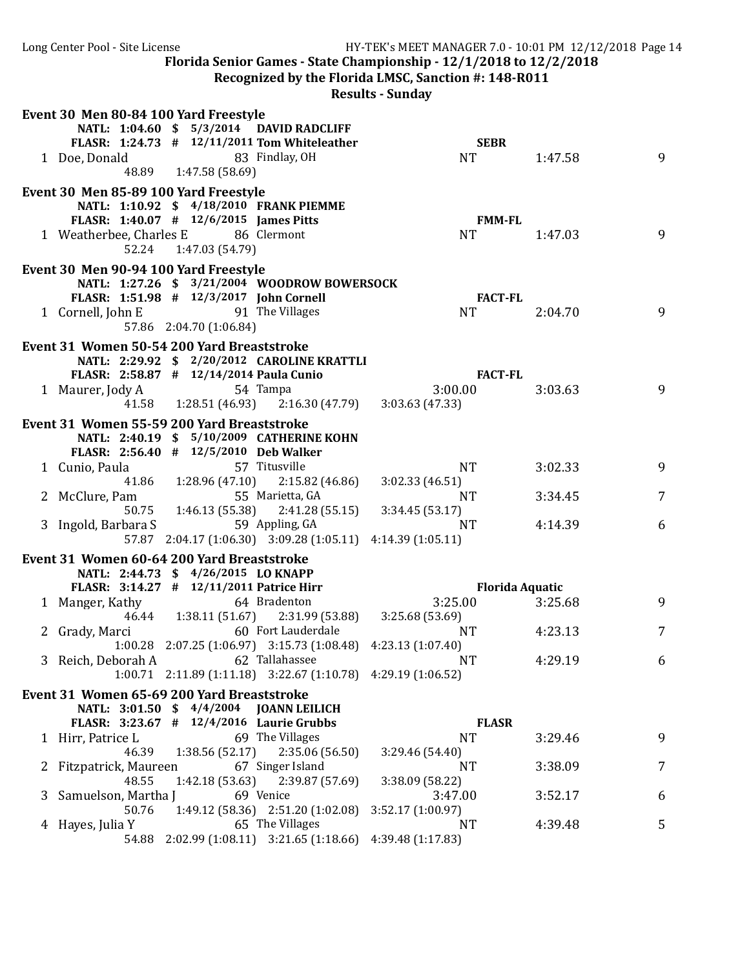**Recognized by the Florida LMSC, Sanction #: 148-R011** 

|   | Event 30 Men 80-84 100 Yard Freestyle                                             |                         |                                                               |                   |                        |   |
|---|-----------------------------------------------------------------------------------|-------------------------|---------------------------------------------------------------|-------------------|------------------------|---|
|   |                                                                                   |                         | NATL: 1:04.60 \$ 5/3/2014 DAVID RADCLIFF                      |                   |                        |   |
|   |                                                                                   |                         | FLASR: 1:24.73 # 12/11/2011 Tom Whiteleather                  | <b>SEBR</b>       |                        |   |
|   | 1 Doe, Donald                                                                     |                         | 83 Findlay, OH                                                | <b>NT</b>         | 1:47.58                | 9 |
|   |                                                                                   | 48.89 1:47.58 (58.69)   |                                                               |                   |                        |   |
|   | Event 30 Men 85-89 100 Yard Freestyle                                             |                         |                                                               |                   |                        |   |
|   |                                                                                   |                         | NATL: 1:10.92 \$ 4/18/2010 FRANK PIEMME                       |                   |                        |   |
|   | FLASR: 1:40.07 # 12/6/2015 James Pitts                                            |                         |                                                               | <b>FMM-FL</b>     |                        |   |
|   | 1 Weatherbee, Charles E 86 Clermont                                               |                         |                                                               | <b>NT</b>         | 1:47.03                | 9 |
|   |                                                                                   | 52.24 1:47.03 (54.79)   |                                                               |                   |                        |   |
|   | Event 30 Men 90-94 100 Yard Freestyle                                             |                         |                                                               |                   |                        |   |
|   |                                                                                   |                         | NATL: 1:27.26 \$ 3/21/2004 WOODROW BOWERSOCK                  |                   |                        |   |
|   | FLASR: 1:51.98 # 12/3/2017 John Cornell                                           |                         |                                                               | <b>FACT-FL</b>    |                        |   |
|   | 1 Cornell, John E 91 The Villages                                                 |                         |                                                               | <b>NT</b>         | 2:04.70                | 9 |
|   |                                                                                   | 57.86 2:04.70 (1:06.84) |                                                               |                   |                        |   |
|   | Event 31 Women 50-54 200 Yard Breaststroke                                        |                         |                                                               |                   |                        |   |
|   |                                                                                   |                         | NATL: 2:29.92 \$ 2/20/2012 CAROLINE KRATTLI                   |                   |                        |   |
|   | FLASR: 2:58.87 # 12/14/2014 Paula Cunio                                           |                         |                                                               | <b>FACT-FL</b>    |                        |   |
|   | 1 Maurer, Jody A                                                                  |                         | 54 Tampa                                                      | 3:00.00           | 3:03.63                | 9 |
|   |                                                                                   |                         | 41.58   1:28.51 (46.93)   2:16.30 (47.79)   3:03.63 (47.33)   |                   |                        |   |
|   | Event 31 Women 55-59 200 Yard Breaststroke                                        |                         |                                                               |                   |                        |   |
|   |                                                                                   |                         | NATL: 2:40.19 \$ 5/10/2009 CATHERINE KOHN                     |                   |                        |   |
|   | FLASR: 2:56.40 # 12/5/2010 Deb Walker                                             |                         |                                                               |                   |                        |   |
|   | 1 Cunio, Paula                                                                    |                         | 57 Titusville                                                 | NT.               | 3:02.33                | 9 |
|   |                                                                                   |                         | 41.86   1:28.96 (47.10)   2:15.82 (46.86)                     | 3:02.33 (46.51)   |                        |   |
|   | McClure, Pam                                                                      |                         | 55 Marietta, GA                                               | <b>NT</b>         | 3:34.45                | 7 |
|   |                                                                                   |                         | 50.75   1:46.13   (55.38)   2:41.28   (55.15)                 | 3:34.45 (53.17)   |                        |   |
|   | 3 Ingold, Barbara S                                                               |                         | 59 Appling, GA                                                | <b>NT</b>         | 4:14.39                | 6 |
|   |                                                                                   |                         | 57.87 2:04.17 (1:06.30) 3:09.28 (1:05.11) 4:14.39 (1:05.11)   |                   |                        |   |
|   |                                                                                   |                         |                                                               |                   |                        |   |
|   | Event 31 Women 60-64 200 Yard Breaststroke<br>NATL: 2:44.73 \$ 4/26/2015 LO KNAPP |                         |                                                               |                   |                        |   |
|   | FLASR: 3:14.27 # 12/11/2011 Patrice Hirr                                          |                         |                                                               |                   | <b>Florida Aquatic</b> |   |
|   | 1 Manger, Kathy                                                                   | 64 Bradenton            |                                                               | 3:25.00           | 3:25.68                | 9 |
|   |                                                                                   |                         | 46.44 1:38.11 (51.67) 2:31.99 (53.88)                         | 3:25.68 (53.69)   |                        |   |
|   | 2 Grady, Marci                                                                    |                         | 60 Fort Lauderdale                                            | <b>NT</b>         | 4:23.13                | 7 |
|   |                                                                                   |                         | 1:00.28 2:07.25 (1:06.97) 3:15.73 (1:08.48) 4:23.13 (1:07.40) |                   |                        |   |
|   | 3 Reich, Deborah A                                                                |                         | 62 Tallahassee                                                | NT                | 4:29.19                | 6 |
|   |                                                                                   |                         | 1:00.71 2:11.89 (1:11.18) 3:22.67 (1:10.78) 4:29.19 (1:06.52) |                   |                        |   |
|   | Event 31 Women 65-69 200 Yard Breaststroke                                        |                         |                                                               |                   |                        |   |
|   |                                                                                   |                         | NATL: 3:01.50 \$ 4/4/2004 JOANN LEILICH                       |                   |                        |   |
|   | FLASR: 3:23.67 # 12/4/2016 Laurie Grubbs                                          |                         |                                                               | <b>FLASR</b>      |                        |   |
|   | 1 Hirr, Patrice L                                                                 |                         | 69 The Villages                                               | <b>NT</b>         | 3:29.46                | 9 |
|   | 46.39                                                                             | 1:38.56 (52.17)         | 2:35.06(56.50)                                                | 3:29.46 (54.40)   |                        |   |
|   | Fitzpatrick, Maureen                                                              |                         | 67 Singer Island                                              | NT                | 3:38.09                | 7 |
|   | 48.55                                                                             | 1:42.18(53.63)          | 2:39.87 (57.69)                                               | 3:38.09 (58.22)   |                        |   |
| 3 | Samuelson, Martha J                                                               |                         | 69 Venice                                                     | 3:47.00           | 3:52.17                | 6 |
|   | 50.76                                                                             |                         | 1:49.12 (58.36) 2:51.20 (1:02.08)                             | 3:52.17 (1:00.97) |                        |   |
|   | 4 Hayes, Julia Y                                                                  |                         | 65 The Villages                                               | NT                | 4:39.48                | 5 |
|   |                                                                                   |                         | 54.88 2:02.99 (1:08.11) 3:21.65 (1:18.66)                     | 4:39.48 (1:17.83) |                        |   |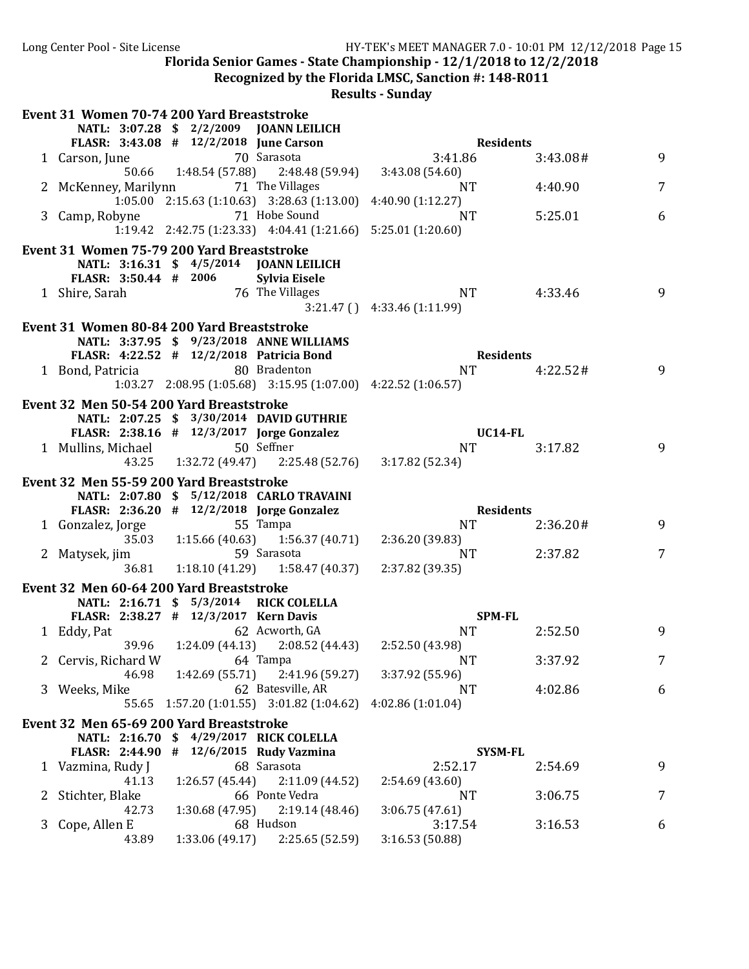**Recognized by the Florida LMSC, Sanction #: 148-R011** 

|              | Event 31 Women 70-74 200 Yard Breaststroke |                 |                                                                             |                                                                                                        |          |                 |
|--------------|--------------------------------------------|-----------------|-----------------------------------------------------------------------------|--------------------------------------------------------------------------------------------------------|----------|-----------------|
|              |                                            |                 | NATL: 3:07.28 \$ 2/2/2009 JOANN LEILICH                                     |                                                                                                        |          |                 |
|              | FLASR: 3:43.08 # 12/2/2018 June Carson     |                 |                                                                             | on $3:41.8$<br><b>Residents</b>                                                                        |          |                 |
|              |                                            |                 |                                                                             | 1 Carson, June 70 Sarasota 3:41.86<br>50.66 1:48.54 (57.88) 2:48.48 (59.94) 3:43.08 (54.60)<br>3:41.86 | 3:43.08# | 9               |
|              |                                            |                 |                                                                             |                                                                                                        |          |                 |
|              | 2 McKenney, Marilynn 71 The Villages       |                 |                                                                             | NT <sub>1</sub>                                                                                        | 4:40.90  | 7               |
|              |                                            |                 | $1:05.00$ $2:15.63$ $(1:10.63)$ $3:28.63$ $(1:13.00)$ $4:40.90$ $(1:12.27)$ |                                                                                                        |          |                 |
|              | 3 Camp, Robyne 71 Hobe Sound               |                 |                                                                             | NT                                                                                                     | 5:25.01  | 6               |
|              |                                            |                 | 1:19.42 2:42.75 (1:23.33) 4:04.41 (1:21.66) 5:25.01 (1:20.60)               |                                                                                                        |          |                 |
|              | Event 31 Women 75-79 200 Yard Breaststroke |                 |                                                                             |                                                                                                        |          |                 |
|              |                                            |                 | NATL: 3:16.31 \$ 4/5/2014 JOANN LEILICH                                     |                                                                                                        |          |                 |
|              | FLASR: 3:50.44 # 2006 Sylvia Eisele        |                 |                                                                             |                                                                                                        |          |                 |
|              | 1 Shire, Sarah 76 The Villages             |                 |                                                                             | NT                                                                                                     | 4:33.46  | 9               |
|              |                                            |                 |                                                                             | $3:21.47$ () $4:33.46$ (1:11.99)                                                                       |          |                 |
|              | Event 31 Women 80-84 200 Yard Breaststroke |                 |                                                                             |                                                                                                        |          |                 |
|              |                                            |                 | NATL: 3:37.95 \$ 9/23/2018 ANNE WILLIAMS                                    |                                                                                                        |          |                 |
|              | FLASR: 4:22.52 # 12/2/2018 Patricia Bond   |                 |                                                                             | Residents                                                                                              |          |                 |
|              | 1 Bond, Patricia 60 Bradenton              |                 |                                                                             | NT 4:22.52#                                                                                            |          | -9              |
|              |                                            |                 | 1:03.27 2:08.95 (1:05.68) 3:15.95 (1:07.00) 4:22.52 (1:06.57)               |                                                                                                        |          |                 |
|              | Event 32 Men 50-54 200 Yard Breaststroke   |                 |                                                                             |                                                                                                        |          |                 |
|              |                                            |                 | NATL: 2:07.25 \$ 3/30/2014 DAVID GUTHRIE                                    |                                                                                                        |          |                 |
|              |                                            |                 | FLASR: $2:38.16$ # $12/3/2017$ Jorge Gonzalez                               | <b>UC14-FL</b>                                                                                         |          |                 |
|              | 1 Mullins, Michael 50 Seffner              |                 |                                                                             | <b>NT</b>                                                                                              | 3:17.82  | 9               |
|              |                                            |                 | 43.25 1:32.72 (49.47) 2:25.48 (52.76) 3:17.82 (52.34)                       |                                                                                                        |          |                 |
|              | Event 32 Men 55-59 200 Yard Breaststroke   |                 |                                                                             |                                                                                                        |          |                 |
|              |                                            |                 |                                                                             |                                                                                                        |          |                 |
|              |                                            |                 | NATL: 2:07.80 \$ 5/12/2018 CARLO TRAVAINI                                   |                                                                                                        |          |                 |
|              | FLASR: 2:36.20 # 12/2/2018 Jorge Gonzalez  |                 |                                                                             | <b>Residents</b>                                                                                       |          |                 |
|              | 1 Gonzalez, Jorge                          |                 | 55 Tampa                                                                    | NT                                                                                                     | 2:36.20# | 9               |
|              |                                            |                 | 35.03 1:15.66 (40.63) 1:56.37 (40.71) 2:36.20 (39.83)                       |                                                                                                        |          |                 |
|              |                                            |                 |                                                                             | 2:37.82<br>NT                                                                                          |          | 7               |
|              |                                            |                 | 2 Matysek, jim 59 Sarasota 1:18.10 (41.29) 58.847 (40.37) 2:37.82 (39.35)   |                                                                                                        |          |                 |
|              | Event 32 Men 60-64 200 Yard Breaststroke   |                 |                                                                             |                                                                                                        |          |                 |
|              |                                            |                 | NATL: 2:16.71 \$ 5/3/2014 RICK COLELLA                                      |                                                                                                        |          |                 |
|              | FLASR: 2:38.27 # 12/3/2017 Kern Davis      |                 |                                                                             | SPM-FL                                                                                                 |          |                 |
|              | 1 Eddy, Pat                                |                 | 62 Acworth, GA                                                              | <b>NT</b>                                                                                              | 2:52.50  | 9               |
|              |                                            |                 | 39.96 1:24.09 (44.13) 2:08.52 (44.43) 2:52.50 (43.98)                       |                                                                                                        |          |                 |
|              | 2 Cervis, Richard W 64 Tampa               |                 |                                                                             | NT NT                                                                                                  | 3:37.92  | $7\overline{ }$ |
|              | 46.98                                      |                 | $1:42.69(55.71)$ $2:41.96(59.27)$                                           | 3:37.92 (55.96)                                                                                        |          |                 |
|              | 3 Weeks, Mike                              |                 | 62 Batesville, AR                                                           | NT.                                                                                                    | 4:02.86  | 6               |
|              |                                            |                 | 55.65 1:57.20 (1:01.55) 3:01.82 (1:04.62) 4:02.86 (1:01.04)                 |                                                                                                        |          |                 |
|              | Event 32 Men 65-69 200 Yard Breaststroke   |                 |                                                                             |                                                                                                        |          |                 |
|              |                                            |                 | NATL: 2:16.70 \$ 4/29/2017 RICK COLELLA                                     |                                                                                                        |          |                 |
|              | FLASR: 2:44.90 # 12/6/2015 Rudy Vazmina    |                 |                                                                             | <b>SYSM-FL</b>                                                                                         |          |                 |
|              | 1 Vazmina, Rudy J                          |                 | 68 Sarasota                                                                 | 2:52.17                                                                                                | 2:54.69  | 9               |
|              | 41.13                                      | 1:26.57 (45.44) | 2:11.09(44.52)                                                              | 2:54.69 (43.60)                                                                                        |          |                 |
| $\mathbf{Z}$ | Stichter, Blake                            |                 | 66 Ponte Vedra                                                              | NT                                                                                                     | 3:06.75  | 7               |
|              | 42.73                                      | 1:30.68 (47.95) | 2:19.14(48.46)                                                              | 3:06.75(47.61)                                                                                         |          |                 |
| 3            | Cope, Allen E<br>43.89                     | 1:33.06(49.17)  | 68 Hudson<br>2:25.65 (52.59)                                                | 3:17.54<br>3:16.53 (50.88)                                                                             | 3:16.53  | 6               |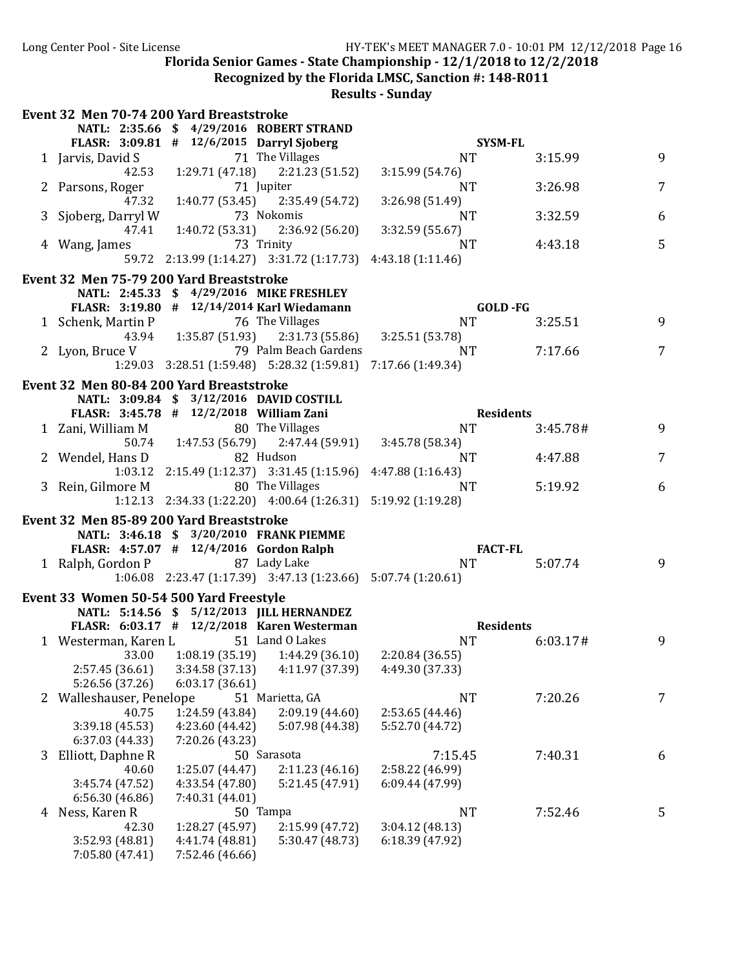**Recognized by the Florida LMSC, Sanction #: 148-R011** 

|   | Event 32 Men 70-74 200 Yard Breaststroke  |                                    |                                                                     |                 |                  |                |
|---|-------------------------------------------|------------------------------------|---------------------------------------------------------------------|-----------------|------------------|----------------|
|   |                                           |                                    | NATL: 2:35.66 \$ 4/29/2016 ROBERT STRAND                            |                 |                  |                |
|   | FLASR: 3:09.81 # 12/6/2015 Darryl Sjoberg |                                    |                                                                     | <b>SYSM-FL</b>  |                  |                |
|   | 1 Jarvis, David S                         |                                    | 71 The Villages                                                     | <b>NT</b>       | 3:15.99          | 9              |
|   | 42.53                                     |                                    | $1:29.71(47.18)$ $2:21.23(51.52)$                                   | 3:15.99(54.76)  |                  |                |
|   | 2 Parsons, Roger                          |                                    | 71 Jupiter                                                          | NT              | 3:26.98          | $\overline{7}$ |
|   | 47.32                                     |                                    | 1:40.77 (53.45) 2:35.49 (54.72)                                     | 3:26.98 (51.49) |                  |                |
|   | 3 Sjoberg, Darryl W                       |                                    | 73 Nokomis                                                          | NT              | 3:32.59          | 6              |
|   | 47.41                                     |                                    | $1:40.72(53.31)$ $2:36.92(56.20)$                                   | 3:32.59 (55.67) |                  |                |
|   | 4 Wang, James                             |                                    | 73 Trinity                                                          | NT              | 4:43.18          | 5              |
|   |                                           |                                    | 59.72 2:13.99 (1:14.27) 3:31.72 (1:17.73) 4:43.18 (1:11.46)         |                 |                  |                |
|   | Event 32 Men 75-79 200 Yard Breaststroke  |                                    |                                                                     |                 |                  |                |
|   |                                           |                                    | NATL: 2:45.33 \$ 4/29/2016 MIKE FRESHLEY                            |                 |                  |                |
|   |                                           |                                    | FLASR: 3:19.80 # 12/14/2014 Karl Wiedamann                          |                 | <b>GOLD</b> -FG  |                |
|   | 1 Schenk, Martin P                        |                                    | 76 The Villages                                                     | <b>NT</b>       | 3:25.51          | 9              |
|   |                                           |                                    | 43.94   1:35.87 (51.93)   2:31.73 (55.86)                           | 3:25.51 (53.78) |                  |                |
|   | 2 Lyon, Bruce V                           |                                    | 79 Palm Beach Gardens                                               | NT.             | 7:17.66          | 7              |
|   |                                           |                                    | 1:29.03 3:28.51 (1:59.48) 5:28.32 (1:59.81) 7:17.66 (1:49.34)       |                 |                  |                |
|   |                                           |                                    |                                                                     |                 |                  |                |
|   | Event 32 Men 80-84 200 Yard Breaststroke  |                                    |                                                                     |                 |                  |                |
|   |                                           |                                    | NATL: 3:09.84 \$ 3/12/2016 DAVID COSTILL                            |                 |                  |                |
|   | FLASR: 3:45.78 # 12/2/2018 William Zani   |                                    |                                                                     |                 | <b>Residents</b> |                |
|   | 1 Zani, William M                         |                                    | 80 The Villages                                                     | <b>NT</b>       | 3:45.78#         | 9              |
|   |                                           |                                    | 50.74   1:47.53   (56.79)   2:47.44   (59.91)   3:45.78   (58.34)   |                 |                  |                |
|   | 2 Wendel, Hans D                          | 82 Hudson                          |                                                                     | <b>NT</b>       | 4:47.88          | $\overline{7}$ |
|   |                                           |                                    | 1:03.12  2:15.49  (1:12.37)  3:31.45  (1:15.96)  4:47.88  (1:16.43) |                 |                  |                |
|   | 3 Rein, Gilmore M 80 The Villages         |                                    |                                                                     | <b>NT</b>       | 5:19.92          | 6              |
|   |                                           |                                    | 1:12.13 2:34.33 (1:22.20) 4:00.64 (1:26.31) 5:19.92 (1:19.28)       |                 |                  |                |
|   | Event 32 Men 85-89 200 Yard Breaststroke  |                                    |                                                                     |                 |                  |                |
|   |                                           |                                    | NATL: 3:46.18 \$ 3/20/2010 FRANK PIEMME                             |                 |                  |                |
|   | FLASR: 4:57.07 # 12/4/2016 Gordon Ralph   |                                    |                                                                     | <b>FACT-FL</b>  |                  |                |
|   | 1 Ralph, Gordon P 87 Lady Lake            |                                    |                                                                     | <b>NT</b>       | 5:07.74          | 9              |
|   |                                           |                                    | 1:06.08 2:23.47 (1:17.39) 3:47.13 (1:23.66) 5:07.74 (1:20.61)       |                 |                  |                |
|   | Event 33 Women 50-54 500 Yard Freestyle   |                                    |                                                                     |                 |                  |                |
|   |                                           |                                    | NATL: 5:14.56 \$ 5/12/2013 JILL HERNANDEZ                           |                 |                  |                |
|   |                                           |                                    | FLASR: 6:03.17 # 12/2/2018 Karen Westerman                          |                 | <b>Residents</b> |                |
|   | 1 Westerman, Karen L 51 Land 0 Lakes      |                                    |                                                                     | <b>NT</b>       | 6:03.17#         | 9              |
|   |                                           |                                    | 33.00 1:08.19 (35.19) 1:44.29 (36.10) 2:20.84 (36.55)               |                 |                  |                |
|   |                                           |                                    |                                                                     |                 |                  |                |
|   | 2:57.45 (36.61)                           | 3:34.58 (37.13)                    | 4:11.97 (37.39)                                                     | 4:49.30 (37.33) |                  |                |
|   | 5:26.56 (37.26)                           | 6:03.17(36.61)                     |                                                                     |                 |                  |                |
|   | 2 Walleshauser, Penelope                  |                                    | 51 Marietta, GA                                                     | <b>NT</b>       | 7:20.26          | 7              |
|   | 40.75                                     | 1:24.59 (43.84)                    | 2:09.19(44.60)                                                      | 2:53.65 (44.46) |                  |                |
|   | 3:39.18 (45.53)                           | 4:23.60 (44.42)                    | 5:07.98 (44.38)                                                     | 5:52.70 (44.72) |                  |                |
|   | 6:37.03 (44.33)                           | 7:20.26 (43.23)                    |                                                                     |                 |                  |                |
| 3 | Elliott, Daphne R                         | 1:25.07 (44.47)                    | 50 Sarasota                                                         | 7:15.45         | 7:40.31          | 6              |
|   | 40.60                                     |                                    | 2:11.23(46.16)                                                      | 2:58.22 (46.99) |                  |                |
|   |                                           |                                    |                                                                     |                 |                  |                |
|   | 3:45.74 (47.52)                           | 4:33.54 (47.80)                    | 5:21.45 (47.91)                                                     | 6:09.44 (47.99) |                  |                |
|   | 6:56.30(46.86)                            | 7:40.31 (44.01)                    |                                                                     |                 |                  |                |
| 4 | Ness, Karen R                             |                                    | 50 Tampa                                                            | <b>NT</b>       | 7:52.46          | 5              |
|   | 42.30                                     | 1:28.27 (45.97)                    | 2:15.99 (47.72)                                                     | 3:04.12(48.13)  |                  |                |
|   | 3:52.93 (48.81)<br>7:05.80 (47.41)        | 4:41.74 (48.81)<br>7:52.46 (46.66) | 5:30.47 (48.73)                                                     | 6:18.39 (47.92) |                  |                |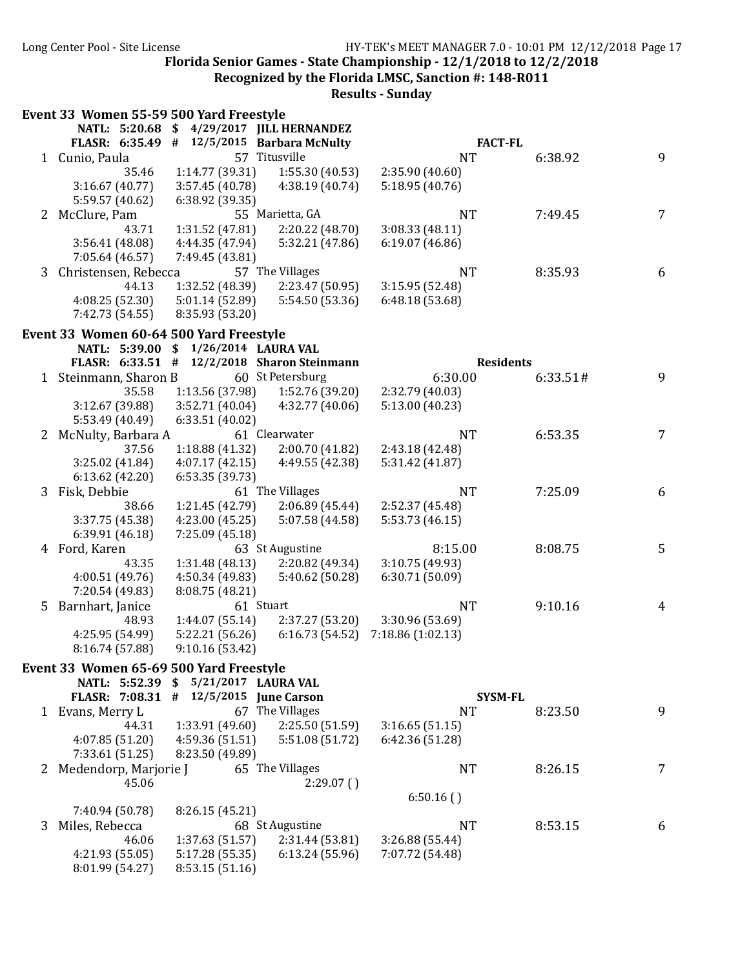**Recognized by the Florida LMSC, Sanction #: 148-R011** 

| NATL: 5:20.68 \$ 4/29/2017 JILL HERNANDEZ<br>FLASR: 6:35.49 # 12/5/2015 Barbara McNulty<br><b>FACT-FL</b><br>57 Titusville<br><b>NT</b><br>9<br>1 Cunio, Paula<br>6:38.92<br>1:14.77 (39.31)<br>1:55.30 (40.53)<br>2:35.90(40.60)<br>35.46<br>5:18.95 (40.76)<br>3:16.67(40.77)<br>3:57.45 (40.78)<br>4:38.19 (40.74)<br>5:59.57 (40.62)<br>6:38.92 (39.35)<br>2 McClure, Pam<br>55 Marietta, GA<br><b>NT</b><br>7:49.45<br>$7\overline{ }$<br>1:31.52 (47.81)<br>2:20.22 (48.70)<br>3:08.33 (48.11)<br>43.71<br>3:56.41 (48.08)<br>4:44.35 (47.94)<br>5:32.21 (47.86)<br>6:19.07(46.86)<br>7:49.45 (43.81)<br>7:05.64 (46.57)<br>57 The Villages<br><b>NT</b><br>Christensen, Rebecca<br>8:35.93<br>6<br>3<br>1:32.52 (48.39)<br>44.13<br>2:23.47 (50.95)<br>3:15.95 (52.48)<br>4:08.25(52.30)<br>5:01.14(52.89)<br>5:54.50 (53.36)<br>6:48.18(53.68)<br>8:35.93 (53.20)<br>7:42.73 (54.55)<br>Event 33 Women 60-64 500 Yard Freestyle<br>NATL: 5:39.00 \$ 1/26/2014 LAURA VAL<br>FLASR: 6:33.51 #<br>12/2/2018 Sharon Steinmann<br><b>Residents</b><br>1 Steinmann, Sharon B<br>60 St Petersburg<br>9<br>6:30.00<br>6:33.51#<br>1:13.56 (37.98)<br>1:52.76 (39.20)<br>2:32.79 (40.03)<br>35.58<br>3:12.67 (39.88)<br>3:52.71 (40.04)<br>4:32.77 (40.06)<br>5:13.00(40.23)<br>5:53.49 (40.49)<br>6:33.51(40.02)<br>McNulty, Barbara A<br>61 Clearwater<br><b>NT</b><br>6:53.35<br>7<br>37.56<br>1:18.88(41.32)<br>2:00.70(41.82)<br>2:43.18 (42.48)<br>3:25.02 (41.84)<br>4:07.17(42.15)<br>4:49.55 (42.38)<br>5:31.42 (41.87)<br>6:13.62(42.20)<br>6:53.35 (39.73)<br>61 The Villages<br><b>NT</b><br>7:25.09<br>3<br>Fisk, Debbie<br>6<br>38.66<br>1:21.45 (42.79)<br>2:06.89(45.44)<br>2:52.37 (45.48)<br>4:23.00(45.25)<br>3:37.75 (45.38)<br>5:07.58 (44.58)<br>5:53.73 (46.15)<br>6:39.91 (46.18)<br>7:25.09 (45.18)<br>8:15.00<br>8:08.75<br>4 Ford, Karen<br>63 St Augustine<br>5<br>1:31.48 (48.13)<br>2:20.82 (49.34)<br>3:10.75 (49.93)<br>43.35<br>4:50.34(49.83)<br>6:30.71 (50.09)<br>4:00.51 (49.76)<br>5:40.62 (50.28)<br>7:20.54 (49.83)<br>8:08.75 (48.21)<br>61 Stuart<br><b>NT</b><br>9:10.16<br>Barnhart, Janice<br>5.<br>4<br>48.93<br>1:44.07(55.14)<br>2:37.27 (53.20)<br>3:30.96 (53.69)<br>5:22.21(56.26)<br>7:18.86 (1:02.13)<br>4:25.95 (54.99)<br>6:16.73 (54.52)<br>8:16.74 (57.88)<br>9:10.16 (53.42)<br>Event 33 Women 65-69 500 Yard Freestyle<br>NATL: 5:52.39 \$ 5/21/2017 LAURA VAL<br>FLASR: $7:08.31$ # $12/5/2015$ June Carson<br><b>SYSM-FL</b><br>67 The Villages<br>9<br><b>NT</b><br>8:23.50<br>1 Evans, Merry L<br>1:33.91 (49.60)<br>2:25.50 (51.59)<br>3:16.65(51.15)<br>44.31<br>4:07.85 (51.20)<br>4:59.36 (51.51)<br>5:51.08 (51.72)<br>6:42.36 (51.28)<br>7:33.61 (51.25)<br>8:23.50 (49.89)<br>2 Medendorp, Marjorie J<br>65 The Villages<br>NT<br>8:26.15<br>7<br>45.06<br>2:29.07()<br>6:50.16()<br>8:26.15 (45.21)<br>7:40.94 (50.78)<br>68 St Augustine<br>Miles, Rebecca<br><b>NT</b><br>8:53.15<br>3<br>6<br>3:26.88 (55.44)<br>1:37.63 (51.57)<br>2:31.44 (53.81)<br>46.06<br>4:21.93 (55.05)<br>5:17.28 (55.35)<br>6:13.24(55.96)<br>7:07.72 (54.48) | Event 33 Women 55-59 500 Yard Freestyle |                |  |  |
|------------------------------------------------------------------------------------------------------------------------------------------------------------------------------------------------------------------------------------------------------------------------------------------------------------------------------------------------------------------------------------------------------------------------------------------------------------------------------------------------------------------------------------------------------------------------------------------------------------------------------------------------------------------------------------------------------------------------------------------------------------------------------------------------------------------------------------------------------------------------------------------------------------------------------------------------------------------------------------------------------------------------------------------------------------------------------------------------------------------------------------------------------------------------------------------------------------------------------------------------------------------------------------------------------------------------------------------------------------------------------------------------------------------------------------------------------------------------------------------------------------------------------------------------------------------------------------------------------------------------------------------------------------------------------------------------------------------------------------------------------------------------------------------------------------------------------------------------------------------------------------------------------------------------------------------------------------------------------------------------------------------------------------------------------------------------------------------------------------------------------------------------------------------------------------------------------------------------------------------------------------------------------------------------------------------------------------------------------------------------------------------------------------------------------------------------------------------------------------------------------------------------------------------------------------------------------------------------------------------------------------------------------------------------------------------------------------------------------------------------------------------------------------------------------------------------------------------------------------------------------------------------------------------------------------------------------------------------------------------------------------------------------------------------------------------------------------------------------------------|-----------------------------------------|----------------|--|--|
|                                                                                                                                                                                                                                                                                                                                                                                                                                                                                                                                                                                                                                                                                                                                                                                                                                                                                                                                                                                                                                                                                                                                                                                                                                                                                                                                                                                                                                                                                                                                                                                                                                                                                                                                                                                                                                                                                                                                                                                                                                                                                                                                                                                                                                                                                                                                                                                                                                                                                                                                                                                                                                                                                                                                                                                                                                                                                                                                                                                                                                                                                                                  |                                         |                |  |  |
|                                                                                                                                                                                                                                                                                                                                                                                                                                                                                                                                                                                                                                                                                                                                                                                                                                                                                                                                                                                                                                                                                                                                                                                                                                                                                                                                                                                                                                                                                                                                                                                                                                                                                                                                                                                                                                                                                                                                                                                                                                                                                                                                                                                                                                                                                                                                                                                                                                                                                                                                                                                                                                                                                                                                                                                                                                                                                                                                                                                                                                                                                                                  |                                         |                |  |  |
|                                                                                                                                                                                                                                                                                                                                                                                                                                                                                                                                                                                                                                                                                                                                                                                                                                                                                                                                                                                                                                                                                                                                                                                                                                                                                                                                                                                                                                                                                                                                                                                                                                                                                                                                                                                                                                                                                                                                                                                                                                                                                                                                                                                                                                                                                                                                                                                                                                                                                                                                                                                                                                                                                                                                                                                                                                                                                                                                                                                                                                                                                                                  |                                         |                |  |  |
|                                                                                                                                                                                                                                                                                                                                                                                                                                                                                                                                                                                                                                                                                                                                                                                                                                                                                                                                                                                                                                                                                                                                                                                                                                                                                                                                                                                                                                                                                                                                                                                                                                                                                                                                                                                                                                                                                                                                                                                                                                                                                                                                                                                                                                                                                                                                                                                                                                                                                                                                                                                                                                                                                                                                                                                                                                                                                                                                                                                                                                                                                                                  |                                         |                |  |  |
|                                                                                                                                                                                                                                                                                                                                                                                                                                                                                                                                                                                                                                                                                                                                                                                                                                                                                                                                                                                                                                                                                                                                                                                                                                                                                                                                                                                                                                                                                                                                                                                                                                                                                                                                                                                                                                                                                                                                                                                                                                                                                                                                                                                                                                                                                                                                                                                                                                                                                                                                                                                                                                                                                                                                                                                                                                                                                                                                                                                                                                                                                                                  |                                         |                |  |  |
|                                                                                                                                                                                                                                                                                                                                                                                                                                                                                                                                                                                                                                                                                                                                                                                                                                                                                                                                                                                                                                                                                                                                                                                                                                                                                                                                                                                                                                                                                                                                                                                                                                                                                                                                                                                                                                                                                                                                                                                                                                                                                                                                                                                                                                                                                                                                                                                                                                                                                                                                                                                                                                                                                                                                                                                                                                                                                                                                                                                                                                                                                                                  |                                         |                |  |  |
|                                                                                                                                                                                                                                                                                                                                                                                                                                                                                                                                                                                                                                                                                                                                                                                                                                                                                                                                                                                                                                                                                                                                                                                                                                                                                                                                                                                                                                                                                                                                                                                                                                                                                                                                                                                                                                                                                                                                                                                                                                                                                                                                                                                                                                                                                                                                                                                                                                                                                                                                                                                                                                                                                                                                                                                                                                                                                                                                                                                                                                                                                                                  |                                         |                |  |  |
|                                                                                                                                                                                                                                                                                                                                                                                                                                                                                                                                                                                                                                                                                                                                                                                                                                                                                                                                                                                                                                                                                                                                                                                                                                                                                                                                                                                                                                                                                                                                                                                                                                                                                                                                                                                                                                                                                                                                                                                                                                                                                                                                                                                                                                                                                                                                                                                                                                                                                                                                                                                                                                                                                                                                                                                                                                                                                                                                                                                                                                                                                                                  |                                         |                |  |  |
|                                                                                                                                                                                                                                                                                                                                                                                                                                                                                                                                                                                                                                                                                                                                                                                                                                                                                                                                                                                                                                                                                                                                                                                                                                                                                                                                                                                                                                                                                                                                                                                                                                                                                                                                                                                                                                                                                                                                                                                                                                                                                                                                                                                                                                                                                                                                                                                                                                                                                                                                                                                                                                                                                                                                                                                                                                                                                                                                                                                                                                                                                                                  |                                         |                |  |  |
|                                                                                                                                                                                                                                                                                                                                                                                                                                                                                                                                                                                                                                                                                                                                                                                                                                                                                                                                                                                                                                                                                                                                                                                                                                                                                                                                                                                                                                                                                                                                                                                                                                                                                                                                                                                                                                                                                                                                                                                                                                                                                                                                                                                                                                                                                                                                                                                                                                                                                                                                                                                                                                                                                                                                                                                                                                                                                                                                                                                                                                                                                                                  |                                         |                |  |  |
|                                                                                                                                                                                                                                                                                                                                                                                                                                                                                                                                                                                                                                                                                                                                                                                                                                                                                                                                                                                                                                                                                                                                                                                                                                                                                                                                                                                                                                                                                                                                                                                                                                                                                                                                                                                                                                                                                                                                                                                                                                                                                                                                                                                                                                                                                                                                                                                                                                                                                                                                                                                                                                                                                                                                                                                                                                                                                                                                                                                                                                                                                                                  |                                         |                |  |  |
|                                                                                                                                                                                                                                                                                                                                                                                                                                                                                                                                                                                                                                                                                                                                                                                                                                                                                                                                                                                                                                                                                                                                                                                                                                                                                                                                                                                                                                                                                                                                                                                                                                                                                                                                                                                                                                                                                                                                                                                                                                                                                                                                                                                                                                                                                                                                                                                                                                                                                                                                                                                                                                                                                                                                                                                                                                                                                                                                                                                                                                                                                                                  |                                         |                |  |  |
|                                                                                                                                                                                                                                                                                                                                                                                                                                                                                                                                                                                                                                                                                                                                                                                                                                                                                                                                                                                                                                                                                                                                                                                                                                                                                                                                                                                                                                                                                                                                                                                                                                                                                                                                                                                                                                                                                                                                                                                                                                                                                                                                                                                                                                                                                                                                                                                                                                                                                                                                                                                                                                                                                                                                                                                                                                                                                                                                                                                                                                                                                                                  |                                         |                |  |  |
|                                                                                                                                                                                                                                                                                                                                                                                                                                                                                                                                                                                                                                                                                                                                                                                                                                                                                                                                                                                                                                                                                                                                                                                                                                                                                                                                                                                                                                                                                                                                                                                                                                                                                                                                                                                                                                                                                                                                                                                                                                                                                                                                                                                                                                                                                                                                                                                                                                                                                                                                                                                                                                                                                                                                                                                                                                                                                                                                                                                                                                                                                                                  |                                         |                |  |  |
|                                                                                                                                                                                                                                                                                                                                                                                                                                                                                                                                                                                                                                                                                                                                                                                                                                                                                                                                                                                                                                                                                                                                                                                                                                                                                                                                                                                                                                                                                                                                                                                                                                                                                                                                                                                                                                                                                                                                                                                                                                                                                                                                                                                                                                                                                                                                                                                                                                                                                                                                                                                                                                                                                                                                                                                                                                                                                                                                                                                                                                                                                                                  |                                         |                |  |  |
|                                                                                                                                                                                                                                                                                                                                                                                                                                                                                                                                                                                                                                                                                                                                                                                                                                                                                                                                                                                                                                                                                                                                                                                                                                                                                                                                                                                                                                                                                                                                                                                                                                                                                                                                                                                                                                                                                                                                                                                                                                                                                                                                                                                                                                                                                                                                                                                                                                                                                                                                                                                                                                                                                                                                                                                                                                                                                                                                                                                                                                                                                                                  |                                         |                |  |  |
|                                                                                                                                                                                                                                                                                                                                                                                                                                                                                                                                                                                                                                                                                                                                                                                                                                                                                                                                                                                                                                                                                                                                                                                                                                                                                                                                                                                                                                                                                                                                                                                                                                                                                                                                                                                                                                                                                                                                                                                                                                                                                                                                                                                                                                                                                                                                                                                                                                                                                                                                                                                                                                                                                                                                                                                                                                                                                                                                                                                                                                                                                                                  |                                         |                |  |  |
|                                                                                                                                                                                                                                                                                                                                                                                                                                                                                                                                                                                                                                                                                                                                                                                                                                                                                                                                                                                                                                                                                                                                                                                                                                                                                                                                                                                                                                                                                                                                                                                                                                                                                                                                                                                                                                                                                                                                                                                                                                                                                                                                                                                                                                                                                                                                                                                                                                                                                                                                                                                                                                                                                                                                                                                                                                                                                                                                                                                                                                                                                                                  |                                         |                |  |  |
|                                                                                                                                                                                                                                                                                                                                                                                                                                                                                                                                                                                                                                                                                                                                                                                                                                                                                                                                                                                                                                                                                                                                                                                                                                                                                                                                                                                                                                                                                                                                                                                                                                                                                                                                                                                                                                                                                                                                                                                                                                                                                                                                                                                                                                                                                                                                                                                                                                                                                                                                                                                                                                                                                                                                                                                                                                                                                                                                                                                                                                                                                                                  |                                         |                |  |  |
|                                                                                                                                                                                                                                                                                                                                                                                                                                                                                                                                                                                                                                                                                                                                                                                                                                                                                                                                                                                                                                                                                                                                                                                                                                                                                                                                                                                                                                                                                                                                                                                                                                                                                                                                                                                                                                                                                                                                                                                                                                                                                                                                                                                                                                                                                                                                                                                                                                                                                                                                                                                                                                                                                                                                                                                                                                                                                                                                                                                                                                                                                                                  |                                         |                |  |  |
|                                                                                                                                                                                                                                                                                                                                                                                                                                                                                                                                                                                                                                                                                                                                                                                                                                                                                                                                                                                                                                                                                                                                                                                                                                                                                                                                                                                                                                                                                                                                                                                                                                                                                                                                                                                                                                                                                                                                                                                                                                                                                                                                                                                                                                                                                                                                                                                                                                                                                                                                                                                                                                                                                                                                                                                                                                                                                                                                                                                                                                                                                                                  |                                         |                |  |  |
|                                                                                                                                                                                                                                                                                                                                                                                                                                                                                                                                                                                                                                                                                                                                                                                                                                                                                                                                                                                                                                                                                                                                                                                                                                                                                                                                                                                                                                                                                                                                                                                                                                                                                                                                                                                                                                                                                                                                                                                                                                                                                                                                                                                                                                                                                                                                                                                                                                                                                                                                                                                                                                                                                                                                                                                                                                                                                                                                                                                                                                                                                                                  |                                         |                |  |  |
|                                                                                                                                                                                                                                                                                                                                                                                                                                                                                                                                                                                                                                                                                                                                                                                                                                                                                                                                                                                                                                                                                                                                                                                                                                                                                                                                                                                                                                                                                                                                                                                                                                                                                                                                                                                                                                                                                                                                                                                                                                                                                                                                                                                                                                                                                                                                                                                                                                                                                                                                                                                                                                                                                                                                                                                                                                                                                                                                                                                                                                                                                                                  |                                         |                |  |  |
|                                                                                                                                                                                                                                                                                                                                                                                                                                                                                                                                                                                                                                                                                                                                                                                                                                                                                                                                                                                                                                                                                                                                                                                                                                                                                                                                                                                                                                                                                                                                                                                                                                                                                                                                                                                                                                                                                                                                                                                                                                                                                                                                                                                                                                                                                                                                                                                                                                                                                                                                                                                                                                                                                                                                                                                                                                                                                                                                                                                                                                                                                                                  |                                         |                |  |  |
|                                                                                                                                                                                                                                                                                                                                                                                                                                                                                                                                                                                                                                                                                                                                                                                                                                                                                                                                                                                                                                                                                                                                                                                                                                                                                                                                                                                                                                                                                                                                                                                                                                                                                                                                                                                                                                                                                                                                                                                                                                                                                                                                                                                                                                                                                                                                                                                                                                                                                                                                                                                                                                                                                                                                                                                                                                                                                                                                                                                                                                                                                                                  |                                         |                |  |  |
|                                                                                                                                                                                                                                                                                                                                                                                                                                                                                                                                                                                                                                                                                                                                                                                                                                                                                                                                                                                                                                                                                                                                                                                                                                                                                                                                                                                                                                                                                                                                                                                                                                                                                                                                                                                                                                                                                                                                                                                                                                                                                                                                                                                                                                                                                                                                                                                                                                                                                                                                                                                                                                                                                                                                                                                                                                                                                                                                                                                                                                                                                                                  |                                         |                |  |  |
|                                                                                                                                                                                                                                                                                                                                                                                                                                                                                                                                                                                                                                                                                                                                                                                                                                                                                                                                                                                                                                                                                                                                                                                                                                                                                                                                                                                                                                                                                                                                                                                                                                                                                                                                                                                                                                                                                                                                                                                                                                                                                                                                                                                                                                                                                                                                                                                                                                                                                                                                                                                                                                                                                                                                                                                                                                                                                                                                                                                                                                                                                                                  |                                         |                |  |  |
|                                                                                                                                                                                                                                                                                                                                                                                                                                                                                                                                                                                                                                                                                                                                                                                                                                                                                                                                                                                                                                                                                                                                                                                                                                                                                                                                                                                                                                                                                                                                                                                                                                                                                                                                                                                                                                                                                                                                                                                                                                                                                                                                                                                                                                                                                                                                                                                                                                                                                                                                                                                                                                                                                                                                                                                                                                                                                                                                                                                                                                                                                                                  |                                         |                |  |  |
|                                                                                                                                                                                                                                                                                                                                                                                                                                                                                                                                                                                                                                                                                                                                                                                                                                                                                                                                                                                                                                                                                                                                                                                                                                                                                                                                                                                                                                                                                                                                                                                                                                                                                                                                                                                                                                                                                                                                                                                                                                                                                                                                                                                                                                                                                                                                                                                                                                                                                                                                                                                                                                                                                                                                                                                                                                                                                                                                                                                                                                                                                                                  |                                         |                |  |  |
|                                                                                                                                                                                                                                                                                                                                                                                                                                                                                                                                                                                                                                                                                                                                                                                                                                                                                                                                                                                                                                                                                                                                                                                                                                                                                                                                                                                                                                                                                                                                                                                                                                                                                                                                                                                                                                                                                                                                                                                                                                                                                                                                                                                                                                                                                                                                                                                                                                                                                                                                                                                                                                                                                                                                                                                                                                                                                                                                                                                                                                                                                                                  |                                         |                |  |  |
|                                                                                                                                                                                                                                                                                                                                                                                                                                                                                                                                                                                                                                                                                                                                                                                                                                                                                                                                                                                                                                                                                                                                                                                                                                                                                                                                                                                                                                                                                                                                                                                                                                                                                                                                                                                                                                                                                                                                                                                                                                                                                                                                                                                                                                                                                                                                                                                                                                                                                                                                                                                                                                                                                                                                                                                                                                                                                                                                                                                                                                                                                                                  |                                         |                |  |  |
|                                                                                                                                                                                                                                                                                                                                                                                                                                                                                                                                                                                                                                                                                                                                                                                                                                                                                                                                                                                                                                                                                                                                                                                                                                                                                                                                                                                                                                                                                                                                                                                                                                                                                                                                                                                                                                                                                                                                                                                                                                                                                                                                                                                                                                                                                                                                                                                                                                                                                                                                                                                                                                                                                                                                                                                                                                                                                                                                                                                                                                                                                                                  |                                         |                |  |  |
|                                                                                                                                                                                                                                                                                                                                                                                                                                                                                                                                                                                                                                                                                                                                                                                                                                                                                                                                                                                                                                                                                                                                                                                                                                                                                                                                                                                                                                                                                                                                                                                                                                                                                                                                                                                                                                                                                                                                                                                                                                                                                                                                                                                                                                                                                                                                                                                                                                                                                                                                                                                                                                                                                                                                                                                                                                                                                                                                                                                                                                                                                                                  |                                         |                |  |  |
|                                                                                                                                                                                                                                                                                                                                                                                                                                                                                                                                                                                                                                                                                                                                                                                                                                                                                                                                                                                                                                                                                                                                                                                                                                                                                                                                                                                                                                                                                                                                                                                                                                                                                                                                                                                                                                                                                                                                                                                                                                                                                                                                                                                                                                                                                                                                                                                                                                                                                                                                                                                                                                                                                                                                                                                                                                                                                                                                                                                                                                                                                                                  |                                         |                |  |  |
|                                                                                                                                                                                                                                                                                                                                                                                                                                                                                                                                                                                                                                                                                                                                                                                                                                                                                                                                                                                                                                                                                                                                                                                                                                                                                                                                                                                                                                                                                                                                                                                                                                                                                                                                                                                                                                                                                                                                                                                                                                                                                                                                                                                                                                                                                                                                                                                                                                                                                                                                                                                                                                                                                                                                                                                                                                                                                                                                                                                                                                                                                                                  |                                         |                |  |  |
|                                                                                                                                                                                                                                                                                                                                                                                                                                                                                                                                                                                                                                                                                                                                                                                                                                                                                                                                                                                                                                                                                                                                                                                                                                                                                                                                                                                                                                                                                                                                                                                                                                                                                                                                                                                                                                                                                                                                                                                                                                                                                                                                                                                                                                                                                                                                                                                                                                                                                                                                                                                                                                                                                                                                                                                                                                                                                                                                                                                                                                                                                                                  |                                         |                |  |  |
|                                                                                                                                                                                                                                                                                                                                                                                                                                                                                                                                                                                                                                                                                                                                                                                                                                                                                                                                                                                                                                                                                                                                                                                                                                                                                                                                                                                                                                                                                                                                                                                                                                                                                                                                                                                                                                                                                                                                                                                                                                                                                                                                                                                                                                                                                                                                                                                                                                                                                                                                                                                                                                                                                                                                                                                                                                                                                                                                                                                                                                                                                                                  |                                         |                |  |  |
|                                                                                                                                                                                                                                                                                                                                                                                                                                                                                                                                                                                                                                                                                                                                                                                                                                                                                                                                                                                                                                                                                                                                                                                                                                                                                                                                                                                                                                                                                                                                                                                                                                                                                                                                                                                                                                                                                                                                                                                                                                                                                                                                                                                                                                                                                                                                                                                                                                                                                                                                                                                                                                                                                                                                                                                                                                                                                                                                                                                                                                                                                                                  |                                         |                |  |  |
|                                                                                                                                                                                                                                                                                                                                                                                                                                                                                                                                                                                                                                                                                                                                                                                                                                                                                                                                                                                                                                                                                                                                                                                                                                                                                                                                                                                                                                                                                                                                                                                                                                                                                                                                                                                                                                                                                                                                                                                                                                                                                                                                                                                                                                                                                                                                                                                                                                                                                                                                                                                                                                                                                                                                                                                                                                                                                                                                                                                                                                                                                                                  |                                         |                |  |  |
|                                                                                                                                                                                                                                                                                                                                                                                                                                                                                                                                                                                                                                                                                                                                                                                                                                                                                                                                                                                                                                                                                                                                                                                                                                                                                                                                                                                                                                                                                                                                                                                                                                                                                                                                                                                                                                                                                                                                                                                                                                                                                                                                                                                                                                                                                                                                                                                                                                                                                                                                                                                                                                                                                                                                                                                                                                                                                                                                                                                                                                                                                                                  |                                         |                |  |  |
|                                                                                                                                                                                                                                                                                                                                                                                                                                                                                                                                                                                                                                                                                                                                                                                                                                                                                                                                                                                                                                                                                                                                                                                                                                                                                                                                                                                                                                                                                                                                                                                                                                                                                                                                                                                                                                                                                                                                                                                                                                                                                                                                                                                                                                                                                                                                                                                                                                                                                                                                                                                                                                                                                                                                                                                                                                                                                                                                                                                                                                                                                                                  |                                         |                |  |  |
|                                                                                                                                                                                                                                                                                                                                                                                                                                                                                                                                                                                                                                                                                                                                                                                                                                                                                                                                                                                                                                                                                                                                                                                                                                                                                                                                                                                                                                                                                                                                                                                                                                                                                                                                                                                                                                                                                                                                                                                                                                                                                                                                                                                                                                                                                                                                                                                                                                                                                                                                                                                                                                                                                                                                                                                                                                                                                                                                                                                                                                                                                                                  |                                         |                |  |  |
|                                                                                                                                                                                                                                                                                                                                                                                                                                                                                                                                                                                                                                                                                                                                                                                                                                                                                                                                                                                                                                                                                                                                                                                                                                                                                                                                                                                                                                                                                                                                                                                                                                                                                                                                                                                                                                                                                                                                                                                                                                                                                                                                                                                                                                                                                                                                                                                                                                                                                                                                                                                                                                                                                                                                                                                                                                                                                                                                                                                                                                                                                                                  |                                         |                |  |  |
|                                                                                                                                                                                                                                                                                                                                                                                                                                                                                                                                                                                                                                                                                                                                                                                                                                                                                                                                                                                                                                                                                                                                                                                                                                                                                                                                                                                                                                                                                                                                                                                                                                                                                                                                                                                                                                                                                                                                                                                                                                                                                                                                                                                                                                                                                                                                                                                                                                                                                                                                                                                                                                                                                                                                                                                                                                                                                                                                                                                                                                                                                                                  |                                         |                |  |  |
|                                                                                                                                                                                                                                                                                                                                                                                                                                                                                                                                                                                                                                                                                                                                                                                                                                                                                                                                                                                                                                                                                                                                                                                                                                                                                                                                                                                                                                                                                                                                                                                                                                                                                                                                                                                                                                                                                                                                                                                                                                                                                                                                                                                                                                                                                                                                                                                                                                                                                                                                                                                                                                                                                                                                                                                                                                                                                                                                                                                                                                                                                                                  |                                         |                |  |  |
|                                                                                                                                                                                                                                                                                                                                                                                                                                                                                                                                                                                                                                                                                                                                                                                                                                                                                                                                                                                                                                                                                                                                                                                                                                                                                                                                                                                                                                                                                                                                                                                                                                                                                                                                                                                                                                                                                                                                                                                                                                                                                                                                                                                                                                                                                                                                                                                                                                                                                                                                                                                                                                                                                                                                                                                                                                                                                                                                                                                                                                                                                                                  |                                         |                |  |  |
|                                                                                                                                                                                                                                                                                                                                                                                                                                                                                                                                                                                                                                                                                                                                                                                                                                                                                                                                                                                                                                                                                                                                                                                                                                                                                                                                                                                                                                                                                                                                                                                                                                                                                                                                                                                                                                                                                                                                                                                                                                                                                                                                                                                                                                                                                                                                                                                                                                                                                                                                                                                                                                                                                                                                                                                                                                                                                                                                                                                                                                                                                                                  |                                         |                |  |  |
|                                                                                                                                                                                                                                                                                                                                                                                                                                                                                                                                                                                                                                                                                                                                                                                                                                                                                                                                                                                                                                                                                                                                                                                                                                                                                                                                                                                                                                                                                                                                                                                                                                                                                                                                                                                                                                                                                                                                                                                                                                                                                                                                                                                                                                                                                                                                                                                                                                                                                                                                                                                                                                                                                                                                                                                                                                                                                                                                                                                                                                                                                                                  |                                         |                |  |  |
|                                                                                                                                                                                                                                                                                                                                                                                                                                                                                                                                                                                                                                                                                                                                                                                                                                                                                                                                                                                                                                                                                                                                                                                                                                                                                                                                                                                                                                                                                                                                                                                                                                                                                                                                                                                                                                                                                                                                                                                                                                                                                                                                                                                                                                                                                                                                                                                                                                                                                                                                                                                                                                                                                                                                                                                                                                                                                                                                                                                                                                                                                                                  | 8:01.99 (54.27)                         | 8:53.15(51.16) |  |  |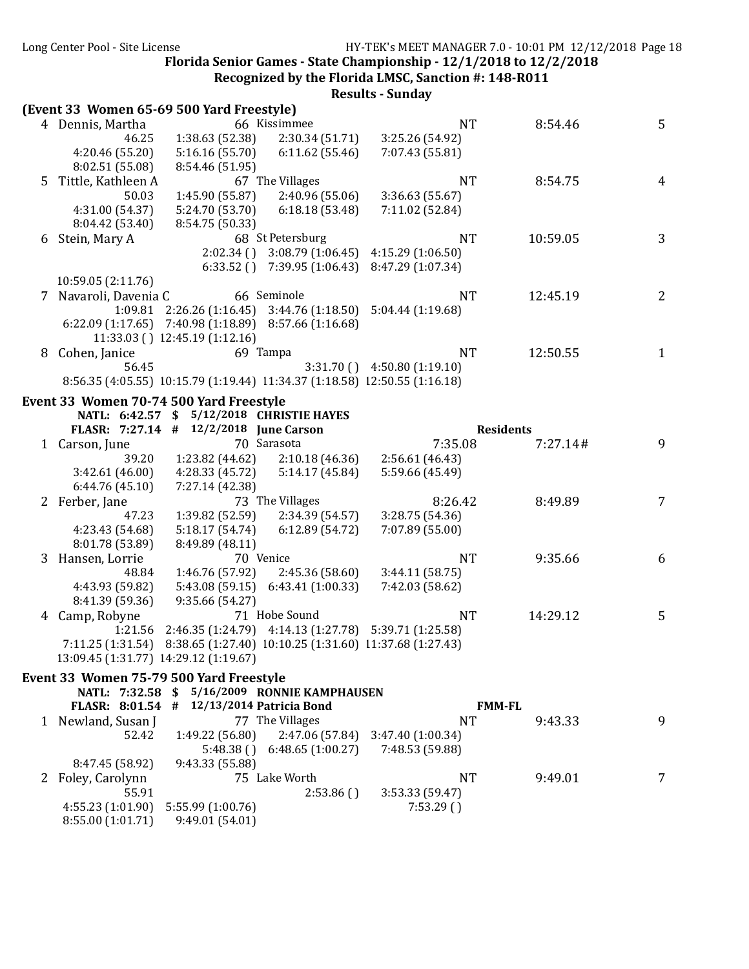**Recognized by the Florida LMSC, Sanction #: 148-R011** 

|   |                                           |                                           |                                                                            | Results - Sulludy |                  |   |
|---|-------------------------------------------|-------------------------------------------|----------------------------------------------------------------------------|-------------------|------------------|---|
|   | (Event 33 Women 65-69 500 Yard Freestyle) |                                           |                                                                            |                   |                  |   |
|   | 4 Dennis, Martha                          |                                           | 66 Kissimmee                                                               | <b>NT</b>         | 8:54.46          | 5 |
|   | 46.25                                     | 1:38.63 (52.38)                           | 2:30.34(51.71)                                                             | 3:25.26 (54.92)   |                  |   |
|   | 4:20.46 (55.20)                           | 5:16.16(55.70)                            | 6:11.62(55.46)                                                             | 7:07.43 (55.81)   |                  |   |
|   | 8:02.51 (55.08)                           | 8:54.46 (51.95)                           |                                                                            |                   |                  |   |
| 5 | Tittle, Kathleen A                        |                                           | 67 The Villages                                                            | <b>NT</b>         | 8:54.75          | 4 |
|   | 50.03                                     | 1:45.90 (55.87)                           | 2:40.96(55.06)                                                             | 3:36.63 (55.67)   |                  |   |
|   | 4:31.00 (54.37)                           | 5:24.70 (53.70)                           | 6:18.18(53.48)                                                             | 7:11.02 (52.84)   |                  |   |
|   | 8:04.42 (53.40)                           | 8:54.75 (50.33)                           |                                                                            |                   |                  |   |
|   |                                           |                                           | 68 St Petersburg                                                           |                   |                  | 3 |
| 6 | Stein, Mary A                             |                                           |                                                                            | <b>NT</b>         | 10:59.05         |   |
|   |                                           | 2:02.34()                                 | 3:08.79 (1:06.45)                                                          | 4:15.29 (1:06.50) |                  |   |
|   |                                           |                                           | $6:33.52$ () $7:39.95$ (1:06.43)                                           | 8:47.29 (1:07.34) |                  |   |
|   | 10:59.05 (2:11.76)                        |                                           |                                                                            |                   |                  |   |
|   | 7 Navaroli, Davenia C                     |                                           | 66 Seminole                                                                | <b>NT</b>         | 12:45.19         | 2 |
|   |                                           | $1:09.81$ $2:26.26$ (1:16.45)             | 3:44.76 (1:18.50)                                                          | 5:04.44(1:19.68)  |                  |   |
|   |                                           |                                           | $6:22.09$ (1:17.65) 7:40.98 (1:18.89) 8:57.66 (1:16.68)                    |                   |                  |   |
|   |                                           | 11:33.03 () 12:45.19 (1:12.16)            |                                                                            |                   |                  |   |
| 8 | Cohen, Janice                             |                                           | 69 Tampa                                                                   | <b>NT</b>         | 12:50.55         | 1 |
|   | 56.45                                     |                                           | 3:31.70()                                                                  | 4:50.80 (1:19.10) |                  |   |
|   |                                           |                                           | 8:56.35 (4:05.55) 10:15.79 (1:19.44) 11:34.37 (1:18.58) 12:50.55 (1:16.18) |                   |                  |   |
|   | Event 33 Women 70-74 500 Yard Freestyle   |                                           |                                                                            |                   |                  |   |
|   |                                           | NATL: 6:42.57 \$ 5/12/2018 CHRISTIE HAYES |                                                                            |                   |                  |   |
|   |                                           | FLASR: 7:27.14 # 12/2/2018 June Carson    |                                                                            |                   | <b>Residents</b> |   |
|   | 1 Carson, June                            |                                           | 70 Sarasota                                                                | 7:35.08           | 7:27.14#         | 9 |
|   | 39.20                                     | 1:23.82 (44.62)                           | 2:10.18 (46.36)                                                            | 2:56.61(46.43)    |                  |   |
|   | 3:42.61 (46.00)                           | 4:28.33 (45.72)                           | 5:14.17 (45.84)                                                            | 5:59.66 (45.49)   |                  |   |
|   | 6:44.76(45.10)                            | 7:27.14 (42.38)                           |                                                                            |                   |                  |   |
|   | 2 Ferber, Jane                            |                                           | 73 The Villages                                                            | 8:26.42           | 8:49.89          | 7 |
|   | 47.23                                     | 1:39.82 (52.59)                           | 2:34.39 (54.57)                                                            | 3:28.75 (54.36)   |                  |   |
|   |                                           | 5:18.17(54.74)                            |                                                                            | 7:07.89 (55.00)   |                  |   |
|   | 4:23.43 (54.68)                           |                                           | 6:12.89(54.72)                                                             |                   |                  |   |
|   | 8:01.78 (53.89)                           | 8:49.89 (48.11)                           |                                                                            |                   |                  |   |
|   | Hansen, Lorrie                            |                                           | 70 Venice                                                                  | <b>NT</b>         | 9:35.66          | 6 |
|   | 48.84                                     | 1:46.76 (57.92)                           | 2:45.36 (58.60)                                                            | 3:44.11(58.75)    |                  |   |
|   | 4:43.93 (59.82)                           | 5:43.08 (59.15)                           | 6:43.41(1:00.33)                                                           | 7:42.03 (58.62)   |                  |   |
|   | 8:41.39 (59.36)                           | 9:35.66 (54.27)                           |                                                                            |                   |                  |   |
|   | 4 Camp, Robyne                            |                                           | 71 Hobe Sound                                                              | <b>NT</b>         | 14:29.12         | 5 |
|   |                                           |                                           | 1:21.56 2:46.35 (1:24.79) 4:14.13 (1:27.78) 5:39.71 (1:25.58)              |                   |                  |   |
|   |                                           |                                           | 7:11.25 (1:31.54) 8:38.65 (1:27.40) 10:10.25 (1:31.60) 11:37.68 (1:27.43)  |                   |                  |   |
|   | 13:09.45 (1:31.77) 14:29.12 (1:19.67)     |                                           |                                                                            |                   |                  |   |
|   | Event 33 Women 75-79 500 Yard Freestyle   |                                           |                                                                            |                   |                  |   |
|   | NATL: 7:32.58                             |                                           | \$5/16/2009 RONNIE KAMPHAUSEN                                              |                   |                  |   |
|   | FLASR: 8:01.54 #                          |                                           | 12/13/2014 Patricia Bond                                                   |                   | <b>FMM-FL</b>    |   |
|   | 1 Newland, Susan J                        |                                           | 77 The Villages                                                            | <b>NT</b>         | 9:43.33          | 9 |
|   | 52.42                                     | 1:49.22 (56.80)                           | 2:47.06 (57.84)                                                            | 3:47.40 (1:00.34) |                  |   |
|   |                                           | 5:48.38()                                 | 6:48.65(1:00.27)                                                           | 7:48.53 (59.88)   |                  |   |
|   | 8:47.45 (58.92)                           | 9:43.33 (55.88)                           |                                                                            |                   |                  |   |
|   | 2 Foley, Carolynn                         |                                           | 75 Lake Worth                                                              | <b>NT</b>         | 9:49.01          | 7 |
|   | 55.91                                     |                                           | 2:53.86()                                                                  | 3:53.33 (59.47)   |                  |   |
|   | 4:55.23 (1:01.90)                         | 5:55.99 (1:00.76)                         |                                                                            | 7:53.29(          |                  |   |
|   | 8:55.00 (1:01.71)                         | 9:49.01 (54.01)                           |                                                                            |                   |                  |   |
|   |                                           |                                           |                                                                            |                   |                  |   |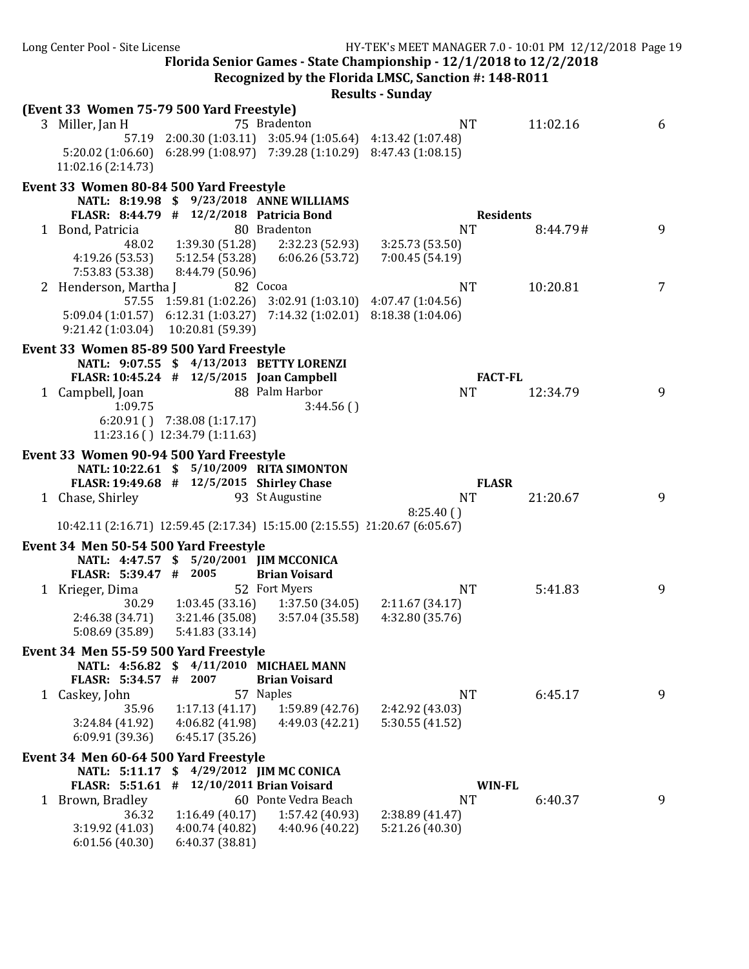Florida Senior Games - State Championship -  $12/1/2018$  to  $12/2/2018$ **Recognized by the Florida LMSC, Sanction #: 148-R011** 

|                                                               |                                          |                                                                                                                                        | <b>Results - Sunday</b>            |          |   |
|---------------------------------------------------------------|------------------------------------------|----------------------------------------------------------------------------------------------------------------------------------------|------------------------------------|----------|---|
| (Event 33 Women 75-79 500 Yard Freestyle)                     |                                          |                                                                                                                                        |                                    |          |   |
| 3 Miller, Jan H                                               |                                          | 75 Bradenton                                                                                                                           | <b>NT</b>                          | 11:02.16 | 6 |
|                                                               |                                          | 57.19 2:00.30 (1:03.11) 3:05.94 (1:05.64) 4:13.42 (1:07.48)                                                                            |                                    |          |   |
|                                                               |                                          | 5:20.02 (1:06.60) 6:28.99 (1:08.97) 7:39.28 (1:10.29) 8:47.43 (1:08.15)                                                                |                                    |          |   |
| 11:02.16 (2:14.73)                                            |                                          |                                                                                                                                        |                                    |          |   |
| Event 33 Women 80-84 500 Yard Freestyle                       |                                          |                                                                                                                                        |                                    |          |   |
|                                                               |                                          | NATL: 8:19.98 \$ 9/23/2018 ANNE WILLIAMS                                                                                               |                                    |          |   |
| FLASR: 8:44.79 # 12/2/2018 Patricia Bond                      |                                          |                                                                                                                                        | <b>Residents</b>                   |          |   |
| 1 Bond, Patricia                                              |                                          | 80 Bradenton                                                                                                                           | <b>NT</b>                          | 8:44.79# | 9 |
| 48.02                                                         | 1:39.30 (51.28)                          | 2:32.23 (52.93)                                                                                                                        | 3:25.73 (53.50)                    |          |   |
| 4:19.26 (53.53)                                               |                                          | $5:12.54(53.28)$ $6:06.26(53.72)$                                                                                                      | 7:00.45 (54.19)                    |          |   |
| 7:53.83 (53.38)                                               | 8:44.79 (50.96)                          |                                                                                                                                        |                                    |          |   |
| 2 Henderson, Martha J                                         |                                          | 82 Cocoa                                                                                                                               | <b>NT</b>                          | 10:20.81 | 7 |
|                                                               |                                          | 57.55 1:59.81 (1:02.26) 3:02.91 (1:03.10) 4:07.47 (1:04.56)<br>5:09.04 (1:01.57) 6:12.31 (1:03.27) 7:14.32 (1:02.01) 8:18.38 (1:04.06) |                                    |          |   |
| 9:21.42 (1:03.04) 10:20.81 (59.39)                            |                                          |                                                                                                                                        |                                    |          |   |
|                                                               |                                          |                                                                                                                                        |                                    |          |   |
| Event 33 Women 85-89 500 Yard Freestyle                       |                                          |                                                                                                                                        |                                    |          |   |
|                                                               |                                          | NATL: 9:07.55 \$ 4/13/2013 BETTY LORENZI                                                                                               |                                    |          |   |
| FLASR: 10:45.24 # 12/5/2015 Joan Campbell<br>1 Campbell, Joan |                                          | 88 Palm Harbor                                                                                                                         | <b>FACT-FL</b><br><b>NT</b>        | 12:34.79 | 9 |
| 1:09.75                                                       |                                          | 3:44.56()                                                                                                                              |                                    |          |   |
|                                                               | $6:20.91$ () $7:38.08$ (1:17.17)         |                                                                                                                                        |                                    |          |   |
|                                                               | 11:23.16 () 12:34.79 (1:11.63)           |                                                                                                                                        |                                    |          |   |
| Event 33 Women 90-94 500 Yard Freestyle                       |                                          |                                                                                                                                        |                                    |          |   |
|                                                               |                                          | NATL: 10:22.61 \$ 5/10/2009 RITA SIMONTON                                                                                              |                                    |          |   |
| FLASR: 19:49.68 # 12/5/2015 Shirley Chase                     |                                          |                                                                                                                                        | <b>FLASR</b>                       |          |   |
| 1 Chase, Shirley                                              |                                          | 93 St Augustine                                                                                                                        | <b>NT</b>                          | 21:20.67 | 9 |
|                                                               |                                          |                                                                                                                                        | 8:25.40(                           |          |   |
|                                                               |                                          | 10:42.11 (2:16.71) 12:59.45 (2:17.34) 15:15.00 (2:15.55) 21:20.67 (6:05.67)                                                            |                                    |          |   |
| Event 34 Men 50-54 500 Yard Freestyle                         |                                          |                                                                                                                                        |                                    |          |   |
|                                                               | NATL: 4:47.57 \$ 5/20/2001 JIM MCCONICA  |                                                                                                                                        |                                    |          |   |
| FLASR: 5:39.47 # 2005                                         |                                          | <b>Brian Voisard</b>                                                                                                                   |                                    |          |   |
| 1 Krieger, Dima                                               |                                          | 52 Fort Myers                                                                                                                          | <b>NT</b>                          | 5:41.83  | 9 |
| 30.29                                                         | 1:03.45 (33.16)                          | 1:37.50 (34.05)                                                                                                                        | 2:11.67(34.17)                     |          |   |
| 2:46.38 (34.71)                                               | 3:21.46 (35.08)                          | 3:57.04(35.58)                                                                                                                         | 4:32.80 (35.76)                    |          |   |
| 5:08.69 (35.89)                                               | 5:41.83 (33.14)                          |                                                                                                                                        |                                    |          |   |
| Event 34 Men 55-59 500 Yard Freestyle                         |                                          |                                                                                                                                        |                                    |          |   |
|                                                               |                                          | NATL: 4:56.82 \$ 4/11/2010 MICHAEL MANN                                                                                                |                                    |          |   |
| FLASR: 5:34.57 # 2007                                         |                                          | <b>Brian Voisard</b>                                                                                                                   |                                    |          |   |
| 1 Caskey, John                                                |                                          | 57 Naples                                                                                                                              | <b>NT</b>                          | 6:45.17  | 9 |
| 35.96                                                         | 1:17.13(41.17)                           | 1:59.89 (42.76)                                                                                                                        | 2:42.92 (43.03)                    |          |   |
| 3:24.84 (41.92)                                               | 4:06.82 (41.98)                          | 4:49.03 (42.21)                                                                                                                        | 5:30.55(41.52)                     |          |   |
| 6:09.91 (39.36)                                               | 6:45.17(35.26)                           |                                                                                                                                        |                                    |          |   |
| Event 34 Men 60-64 500 Yard Freestyle                         |                                          |                                                                                                                                        |                                    |          |   |
|                                                               | NATL: 5:11.17 \$ 4/29/2012 JIM MC CONICA |                                                                                                                                        |                                    |          |   |
| FLASR: 5:51.61 #                                              |                                          | 12/10/2011 Brian Voisard                                                                                                               | <b>WIN-FL</b>                      |          |   |
| 1 Brown, Bradley                                              |                                          | 60 Ponte Vedra Beach                                                                                                                   | <b>NT</b>                          | 6:40.37  | 9 |
| 36.32<br>3:19.92 (41.03)                                      | 1:16.49(40.17)<br>4:00.74 (40.82)        | 1:57.42 (40.93)<br>4:40.96 (40.22)                                                                                                     | 2:38.89 (41.47)<br>5:21.26 (40.30) |          |   |
| 6:01.56(40.30)                                                | 6:40.37 (38.81)                          |                                                                                                                                        |                                    |          |   |
|                                                               |                                          |                                                                                                                                        |                                    |          |   |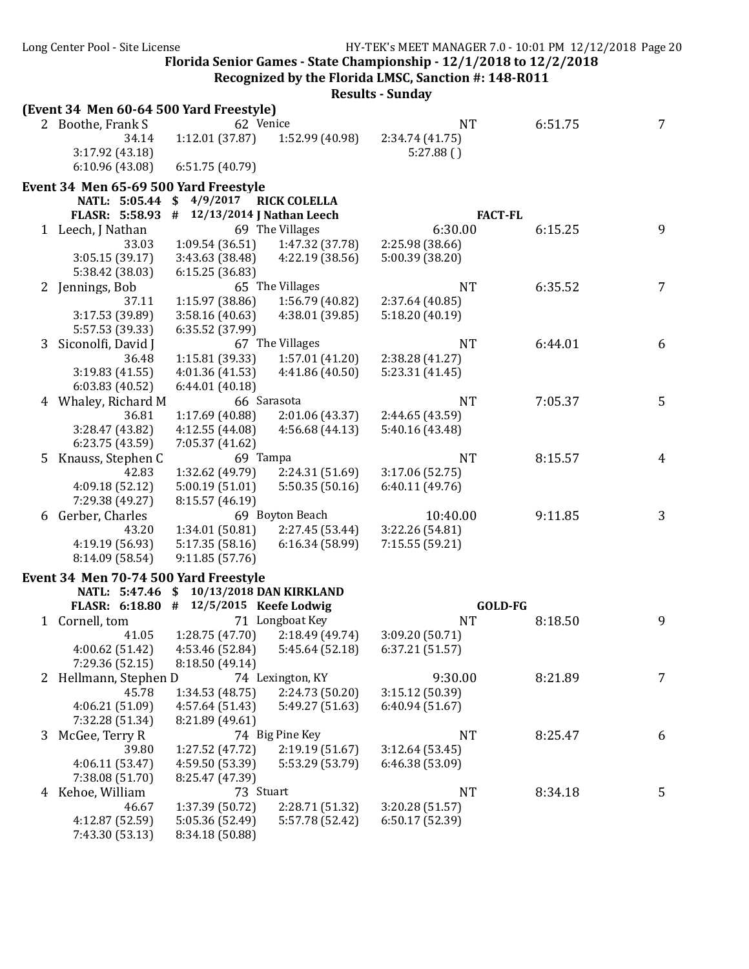**Recognized by the Florida LMSC, Sanction #: 148-R011** 

|              | (Event 34 Men 60-64 500 Yard Freestyle) |                                         |                     |                 |         |                |
|--------------|-----------------------------------------|-----------------------------------------|---------------------|-----------------|---------|----------------|
|              | 2 Boothe, Frank S                       | 62 Venice                               |                     | <b>NT</b>       | 6:51.75 | 7              |
|              | 34.14                                   | 1:12.01 (37.87)                         | 1:52.99 (40.98)     | 2:34.74 (41.75) |         |                |
|              | 3:17.92 (43.18)                         |                                         |                     | 5:27.88()       |         |                |
|              | 6:10.96(43.08)                          | 6:51.75 (40.79)                         |                     |                 |         |                |
|              | Event 34 Men 65-69 500 Yard Freestyle   |                                         |                     |                 |         |                |
|              | NATL: 5:05.44                           | \$<br>4/9/2017                          | <b>RICK COLELLA</b> |                 |         |                |
|              | <b>FLASR: 5:58.93</b>                   | 12/13/2014 J Nathan Leech<br>#          |                     | <b>FACT-FL</b>  |         |                |
|              | 1 Leech, J Nathan                       |                                         | 69 The Villages     | 6:30.00         | 6:15.25 | 9              |
|              | 33.03                                   | 1:09.54(36.51)                          | 1:47.32 (37.78)     | 2:25.98 (38.66) |         |                |
|              | 3:05.15 (39.17)                         | 3:43.63 (38.48)                         | 4:22.19 (38.56)     | 5:00.39 (38.20) |         |                |
|              | 5:38.42 (38.03)                         | 6:15.25(36.83)                          |                     |                 |         |                |
| $\mathbf{z}$ | Jennings, Bob                           |                                         | 65 The Villages     | <b>NT</b>       | 6:35.52 | 7              |
|              | 37.11                                   | 1:15.97 (38.86)                         | 1:56.79 (40.82)     | 2:37.64 (40.85) |         |                |
|              | 3:17.53 (39.89)                         | 3:58.16 (40.63)                         | 4:38.01 (39.85)     | 5:18.20 (40.19) |         |                |
|              | 5:57.53 (39.33)                         | 6:35.52 (37.99)                         |                     |                 |         |                |
| 3            | Siconolfi, David J                      |                                         | 67 The Villages     | <b>NT</b>       | 6:44.01 | 6              |
|              | 36.48                                   | 1:15.81 (39.33)                         | 1:57.01 (41.20)     | 2:38.28 (41.27) |         |                |
|              | 3:19.83 (41.55)                         | 4:01.36 (41.53)                         | 4:41.86(40.50)      | 5:23.31 (41.45) |         |                |
|              | 6:03.83(40.52)                          | 6:44.01 (40.18)                         | 66 Sarasota         | <b>NT</b>       | 7:05.37 | 5              |
|              | Whaley, Richard M<br>36.81              | 1:17.69 (40.88)                         | 2:01.06 (43.37)     | 2:44.65 (43.59) |         |                |
|              | 3:28.47 (43.82)                         | 4:12.55 (44.08)                         | 4:56.68 (44.13)     | 5:40.16 (43.48) |         |                |
|              | 6:23.75 (43.59)                         | 7:05.37 (41.62)                         |                     |                 |         |                |
| 5            | Knauss, Stephen C                       | 69 Tampa                                |                     | <b>NT</b>       | 8:15.57 | $\overline{4}$ |
|              | 42.83                                   | 1:32.62 (49.79)                         | 2:24.31 (51.69)     | 3:17.06 (52.75) |         |                |
|              | 4:09.18 (52.12)                         | 5:00.19(51.01)                          | 5:50.35(50.16)      | 6:40.11 (49.76) |         |                |
|              | 7:29.38 (49.27)                         | 8:15.57 (46.19)                         |                     |                 |         |                |
| 6            | Gerber, Charles                         |                                         | 69 Boyton Beach     | 10:40.00        | 9:11.85 | 3              |
|              | 43.20                                   | 1:34.01 (50.81)                         | 2:27.45 (53.44)     | 3:22.26 (54.81) |         |                |
|              | 4:19.19 (56.93)                         | 5:17.35(58.16)                          | 6:16.34(58.99)      | 7:15.55 (59.21) |         |                |
|              | 8:14.09 (58.54)                         | 9:11.85(57.76)                          |                     |                 |         |                |
|              | Event 34 Men 70-74 500 Yard Freestyle   |                                         |                     |                 |         |                |
|              | NATL: 5:47.46                           | 10/13/2018 DAN KIRKLAND<br>S.           |                     |                 |         |                |
|              |                                         | FLASR: 6:18.80 # 12/5/2015 Keefe Lodwig |                     | GOLD-FG         |         |                |
|              | 1 Cornell, tom                          |                                         | 71 Longboat Key     | <b>NT</b>       | 8:18.50 | 9              |
|              | 41.05                                   | 1:28.75 (47.70)                         | 2:18.49 (49.74)     | 3:09.20 (50.71) |         |                |
|              | 4:00.62 (51.42)                         | 4:53.46 (52.84)                         | 5:45.64 (52.18)     | 6:37.21 (51.57) |         |                |
|              | 7:29.36 (52.15)                         | 8:18.50 (49.14)                         |                     |                 |         |                |
|              | 2 Hellmann, Stephen D                   |                                         | 74 Lexington, KY    | 9:30.00         | 8:21.89 | 7              |
|              | 45.78                                   | 1:34.53(48.75)                          | 2:24.73 (50.20)     | 3:15.12 (50.39) |         |                |
|              | 4:06.21(51.09)                          | 4:57.64(51.43)                          | 5:49.27 (51.63)     | 6:40.94(51.67)  |         |                |
|              | 7:32.28 (51.34)                         | 8:21.89 (49.61)                         |                     |                 |         |                |
| 3            | McGee, Terry R                          |                                         | 74 Big Pine Key     | <b>NT</b>       | 8:25.47 | 6              |
|              | 39.80                                   | 1:27.52 (47.72)                         | 2:19.19(51.67)      | 3:12.64(53.45)  |         |                |
|              | 4:06.11(53.47)                          | 4:59.50 (53.39)                         | 5:53.29 (53.79)     | 6:46.38 (53.09) |         |                |
|              | 7:38.08 (51.70)                         | 8:25.47 (47.39)                         |                     |                 |         |                |
|              | 4 Kehoe, William                        | 73 Stuart                               |                     | <b>NT</b>       | 8:34.18 | 5              |
|              | 46.67                                   | 1:37.39 (50.72)                         | 2:28.71 (51.32)     | 3:20.28 (51.57) |         |                |
|              | 4:12.87 (52.59)                         | 5:05.36 (52.49)                         | 5:57.78 (52.42)     | 6:50.17 (52.39) |         |                |
|              | 7:43.30 (53.13)                         | 8:34.18 (50.88)                         |                     |                 |         |                |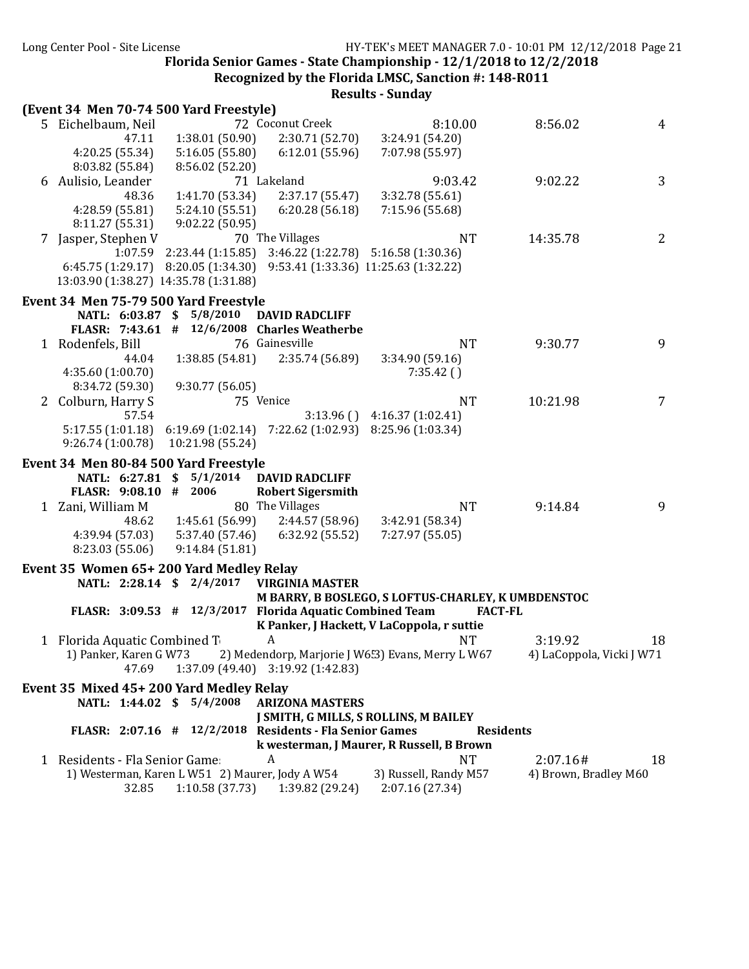**Recognized by the Florida LMSC, Sanction #: 148-R011** 

| (Event 34 Men 70-74 500 Yard Freestyle) |                                                 |                                                                   |                                                    |                           |    |
|-----------------------------------------|-------------------------------------------------|-------------------------------------------------------------------|----------------------------------------------------|---------------------------|----|
| 5 Eichelbaum, Neil                      |                                                 | 72 Coconut Creek                                                  | 8:10.00                                            | 8:56.02                   | 4  |
| 47.11                                   | 1:38.01 (50.90)                                 | 2:30.71 (52.70)                                                   | 3:24.91 (54.20)                                    |                           |    |
| 4:20.25 (55.34)                         | 5:16.05(55.80)                                  | 6:12.01(55.96)                                                    | 7:07.98 (55.97)                                    |                           |    |
| 8:03.82 (55.84)                         | 8:56.02 (52.20)                                 |                                                                   |                                                    |                           |    |
| 6 Aulisio, Leander                      |                                                 | 71 Lakeland                                                       | 9:03.42                                            | 9:02.22                   | 3  |
|                                         |                                                 |                                                                   |                                                    |                           |    |
| 48.36                                   | 1:41.70 (53.34)                                 | 2:37.17 (55.47)                                                   | 3:32.78 (55.61)                                    |                           |    |
| 4:28.59(55.81)                          | 5:24.10 (55.51)                                 | 6:20.28(56.18)                                                    | 7:15.96 (55.68)                                    |                           |    |
| 8:11.27(55.31)                          | 9:02.22(50.95)                                  |                                                                   |                                                    |                           |    |
| 7 Jasper, Stephen V                     |                                                 | 70 The Villages                                                   | <b>NT</b>                                          | 14:35.78                  | 2  |
| 1:07.59                                 | 2:23.44 (1:15.85)                               |                                                                   | 3:46.22 (1:22.78) 5:16.58 (1:30.36)                |                           |    |
| 6:45.75(1:29.17)                        | 8:20.05 (1:34.30)                               |                                                                   | 9:53.41 (1:33.36) 11:25.63 (1:32.22)               |                           |    |
| 13:03.90 (1:38.27) 14:35.78 (1:31.88)   |                                                 |                                                                   |                                                    |                           |    |
| Event 34 Men 75-79 500 Yard Freestyle   |                                                 |                                                                   |                                                    |                           |    |
|                                         | NATL: 6:03.87 \$ 5/8/2010                       | <b>DAVID RADCLIFF</b>                                             |                                                    |                           |    |
|                                         |                                                 | FLASR: $7:43.61$ # $12/6/2008$ Charles Weatherbe                  |                                                    |                           |    |
| 1 Rodenfels, Bill                       |                                                 | 76 Gainesville                                                    | <b>NT</b>                                          | 9:30.77                   | 9  |
| 44.04                                   | 1:38.85(54.81)                                  | 2:35.74 (56.89)                                                   | 3:34.90 (59.16)                                    |                           |    |
| 4:35.60(1:00.70)                        |                                                 |                                                                   | 7:35.42()                                          |                           |    |
| 8:34.72 (59.30)                         | 9:30.77 (56.05)                                 |                                                                   |                                                    |                           |    |
| 2 Colburn, Harry S                      |                                                 | 75 Venice                                                         | <b>NT</b>                                          | 10:21.98                  | 7  |
| 57.54                                   |                                                 |                                                                   | $3:13.96$ () $4:16.37$ (1:02.41)                   |                           |    |
| 5:17.55(1:01.18)                        |                                                 | $6:19.69$ $(1:02.14)$ $7:22.62$ $(1:02.93)$ $8:25.96$ $(1:03.34)$ |                                                    |                           |    |
| 9:26.74 (1:00.78)                       | 10:21.98 (55.24)                                |                                                                   |                                                    |                           |    |
|                                         |                                                 |                                                                   |                                                    |                           |    |
| Event 34 Men 80-84 500 Yard Freestyle   |                                                 |                                                                   |                                                    |                           |    |
|                                         | NATL: 6:27.81 \$ 5/1/2014                       | <b>DAVID RADCLIFF</b>                                             |                                                    |                           |    |
| FLASR: 9:08.10 # 2006                   |                                                 | <b>Robert Sigersmith</b>                                          |                                                    |                           |    |
| 1 Zani, William M                       |                                                 | 80 The Villages                                                   | <b>NT</b>                                          | 9:14.84                   | 9  |
| 48.62                                   | 1:45.61 (56.99)                                 | 2:44.57(58.96)                                                    | 3:42.91 (58.34)                                    |                           |    |
| 4:39.94 (57.03)                         | 5:37.40 (57.46)                                 | 6:32.92 (55.52)                                                   | 7:27.97 (55.05)                                    |                           |    |
| 8:23.03 (55.06)                         | 9:14.84(51.81)                                  |                                                                   |                                                    |                           |    |
| Event 35 Women 65+200 Yard Medley Relay |                                                 |                                                                   |                                                    |                           |    |
|                                         | NATL: 2:28.14 \$ 2/4/2017                       | <b>VIRGINIA MASTER</b>                                            |                                                    |                           |    |
|                                         |                                                 |                                                                   | M BARRY, B BOSLEGO, S LOFTUS-CHARLEY, K UMBDENSTOC |                           |    |
|                                         |                                                 | FLASR: 3:09.53 # 12/3/2017 Florida Aquatic Combined Team          |                                                    | <b>FACT-FL</b>            |    |
|                                         |                                                 |                                                                   | K Panker, J Hackett, V LaCoppola, r suttie         |                           |    |
| 1 Florida Aquatic Combined T            |                                                 | A                                                                 | <b>NT</b>                                          | 3:19.92                   | 18 |
| 1) Panker, Karen G W73                  |                                                 |                                                                   | 2) Medendorp, Marjorie J W653) Evans, Merry L W67  | 4) LaCoppola, Vicki J W71 |    |
| 47.69                                   |                                                 | 1:37.09 (49.40) 3:19.92 (1:42.83)                                 |                                                    |                           |    |
| Event 35 Mixed 45+200 Yard Medley Relay |                                                 |                                                                   |                                                    |                           |    |
|                                         | NATL: 1:44.02 \$ 5/4/2008                       | <b>ARIZONA MASTERS</b>                                            |                                                    |                           |    |
|                                         |                                                 |                                                                   | J SMITH, G MILLS, S ROLLINS, M BAILEY              |                           |    |
|                                         |                                                 | FLASR: $2:07.16$ # $12/2/2018$ Residents - Fla Senior Games       |                                                    | <b>Residents</b>          |    |
|                                         |                                                 |                                                                   | k westerman, J Maurer, R Russell, B Brown          |                           |    |
| 1 Residents - Fla Senior Game:          |                                                 |                                                                   | NT                                                 | 2:07.16#                  | 18 |
|                                         | 1) Westerman, Karen L W51 2) Maurer, Jody A W54 |                                                                   | 3) Russell, Randy M57                              | 4) Brown, Bradley M60     |    |
| 32.85                                   | 1:10.58(37.73)                                  | 1:39.82 (29.24)                                                   | 2:07.16 (27.34)                                    |                           |    |
|                                         |                                                 |                                                                   |                                                    |                           |    |